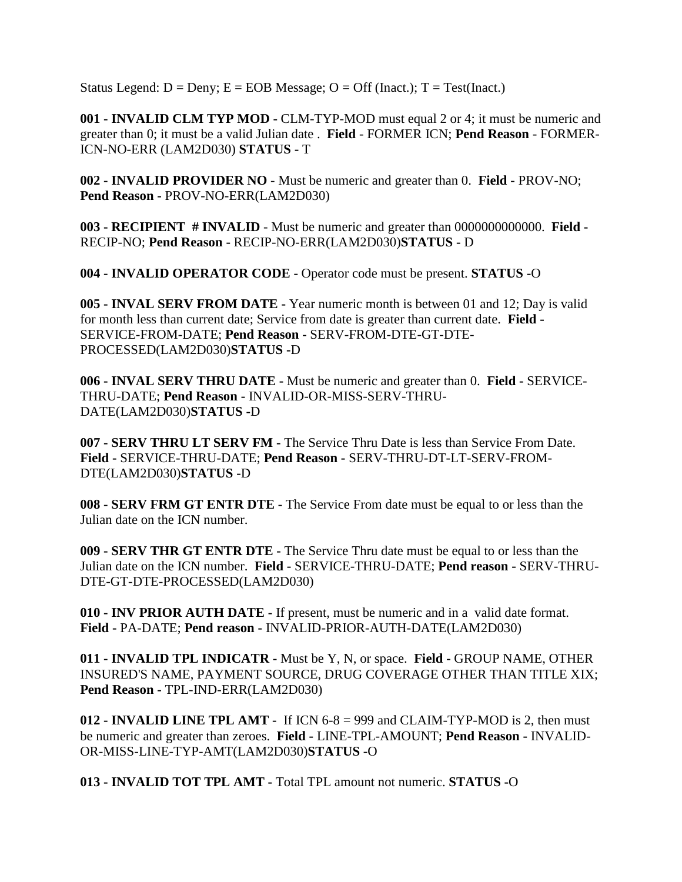Status Legend:  $D =$ Deny;  $E =$  EOB Message;  $O =$  Off (Inact.);  $T =$  Test(Inact.)

**001 - INVALID CLM TYP MOD -** CLM-TYP-MOD must equal 2 or 4; it must be numeric and greater than 0; it must be a valid Julian date . **Field** - FORMER ICN; **Pend Reason** - FORMER-ICN-NO-ERR (LAM2D030) **STATUS -** T

**002 - INVALID PROVIDER NO** - Must be numeric and greater than 0. **Field -** PROV-NO; **Pend Reason -** PROV-NO-ERR(LAM2D030)

**003 - RECIPIENT # INVALID** - Must be numeric and greater than 0000000000000. **Field -** RECIP-NO; **Pend Reason -** RECIP-NO-ERR(LAM2D030)**STATUS -** D

**004 - INVALID OPERATOR CODE -** Operator code must be present. **STATUS -**O

**005 - INVAL SERV FROM DATE -** Year numeric month is between 01 and 12; Day is valid for month less than current date; Service from date is greater than current date. **Field -** SERVICE-FROM-DATE; **Pend Reason -** SERV-FROM-DTE-GT-DTE-PROCESSED(LAM2D030)**STATUS -**D

**006 - INVAL SERV THRU DATE -** Must be numeric and greater than 0. **Field -** SERVICE-THRU-DATE; **Pend Reason -** INVALID-OR-MISS-SERV-THRU-DATE(LAM2D030)**STATUS -**D

**007 - SERV THRU LT SERV FM -** The Service Thru Date is less than Service From Date. **Field -** SERVICE-THRU-DATE; **Pend Reason -** SERV-THRU-DT-LT-SERV-FROM-DTE(LAM2D030)**STATUS -**D

**008 - SERV FRM GT ENTR DTE -** The Service From date must be equal to or less than the Julian date on the ICN number.

**009 - SERV THR GT ENTR DTE -** The Service Thru date must be equal to or less than the Julian date on the ICN number. **Field -** SERVICE-THRU-DATE; **Pend reason -** SERV-THRU-DTE-GT-DTE-PROCESSED(LAM2D030)

**010 - INV PRIOR AUTH DATE -** If present, must be numeric and in a valid date format. **Field -** PA-DATE; **Pend reason -** INVALID-PRIOR-AUTH-DATE(LAM2D030)

**011 - INVALID TPL INDICATR -** Must be Y, N, or space. **Field -** GROUP NAME, OTHER INSURED'S NAME, PAYMENT SOURCE, DRUG COVERAGE OTHER THAN TITLE XIX; **Pend Reason -** TPL-IND-ERR(LAM2D030)

**012 - INVALID LINE TPL AMT -** If ICN 6-8 = 999 and CLAIM-TYP-MOD is 2, then must be numeric and greater than zeroes. **Field -** LINE-TPL-AMOUNT; **Pend Reason -** INVALID-OR-MISS-LINE-TYP-AMT(LAM2D030)**STATUS -**O

**013 - INVALID TOT TPL AMT -** Total TPL amount not numeric. **STATUS -**O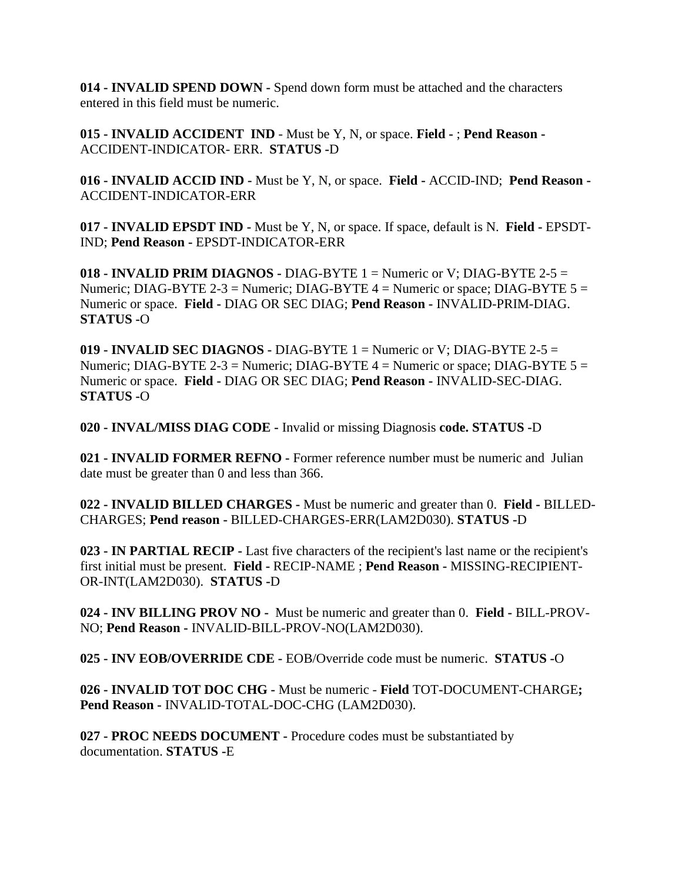**014 - INVALID SPEND DOWN -** Spend down form must be attached and the characters entered in this field must be numeric.

**015 - INVALID ACCIDENT IND** - Must be Y, N, or space. **Field -** ; **Pend Reason -** ACCIDENT-INDICATOR- ERR. **STATUS -**D

**016 - INVALID ACCID IND -** Must be Y, N, or space. **Field -** ACCID-IND; **Pend Reason -** ACCIDENT-INDICATOR-ERR

**017 - INVALID EPSDT IND -** Must be Y, N, or space. If space, default is N. **Field -** EPSDT-IND; **Pend Reason -** EPSDT-INDICATOR-ERR

**018 - INVALID PRIM DIAGNOS -** DIAG-BYTE 1 = Numeric or V; DIAG-BYTE 2-5 = Numeric; DIAG-BYTE 2-3 = Numeric; DIAG-BYTE  $4$  = Numeric or space; DIAG-BYTE  $5$  = Numeric or space. **Field -** DIAG OR SEC DIAG; **Pend Reason -** INVALID-PRIM-DIAG. **STATUS -**O

**019 - INVALID SEC DIAGNOS -** DIAG-BYTE 1 = Numeric or V; DIAG-BYTE 2-5 = Numeric; DIAG-BYTE 2-3 = Numeric; DIAG-BYTE  $4$  = Numeric or space; DIAG-BYTE  $5$  = Numeric or space. **Field -** DIAG OR SEC DIAG; **Pend Reason -** INVALID-SEC-DIAG. **STATUS -**O

**020 - INVAL/MISS DIAG CODE -** Invalid or missing Diagnosis **code. STATUS -**D

**021 - INVALID FORMER REFNO -** Former reference number must be numeric and Julian date must be greater than 0 and less than 366.

**022 - INVALID BILLED CHARGES -** Must be numeric and greater than 0. **Field -** BILLED-CHARGES; **Pend reason -** BILLED-CHARGES-ERR(LAM2D030). **STATUS -**D

**023 - IN PARTIAL RECIP -** Last five characters of the recipient's last name or the recipient's first initial must be present. **Field -** RECIP-NAME ; **Pend Reason -** MISSING-RECIPIENT-OR-INT(LAM2D030). **STATUS -**D

**024 - INV BILLING PROV NO -** Must be numeric and greater than 0. **Field -** BILL-PROV-NO; **Pend Reason -** INVALID-BILL-PROV-NO(LAM2D030).

**025 - INV EOB/OVERRIDE CDE -** EOB/Override code must be numeric. **STATUS -**O

**026 - INVALID TOT DOC CHG -** Must be numeric - **Field** TOT**-**DOCUMENT-CHARGE**; Pend Reason -** INVALID-TOTAL-DOC-CHG (LAM2D030).

**027 - PROC NEEDS DOCUMENT -** Procedure codes must be substantiated by documentation. **STATUS -**E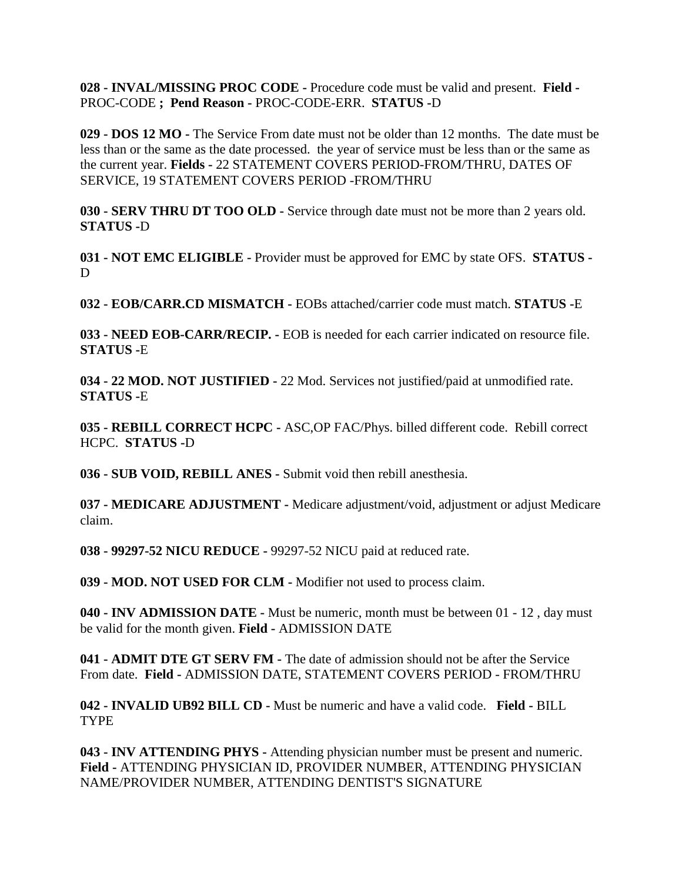**028 - INVAL/MISSING PROC CODE -** Procedure code must be valid and present. **Field -** PROC-CODE **; Pend Reason -** PROC-CODE-ERR. **STATUS -**D

**029 - DOS 12 MO -** The Service From date must not be older than 12 months. The date must be less than or the same as the date processed. the year of service must be less than or the same as the current year. **Fields -** 22 STATEMENT COVERS PERIOD-FROM/THRU, DATES OF SERVICE, 19 STATEMENT COVERS PERIOD -FROM/THRU

**030 - SERV THRU DT TOO OLD -** Service through date must not be more than 2 years old. **STATUS -**D

**031 - NOT EMC ELIGIBLE -** Provider must be approved for EMC by state OFS. **STATUS -** D

**032 - EOB/CARR.CD MISMATCH -** EOBs attached/carrier code must match. **STATUS -**E

**033 - NEED EOB-CARR/RECIP. -** EOB is needed for each carrier indicated on resource file. **STATUS -**E

**034 - 22 MOD. NOT JUSTIFIED -** 22 Mod. Services not justified/paid at unmodified rate. **STATUS -**E

**035 - REBILL CORRECT HCPC -** ASC,OP FAC/Phys. billed different code. Rebill correct HCPC. **STATUS -**D

**036 - SUB VOID, REBILL ANES -** Submit void then rebill anesthesia.

**037 - MEDICARE ADJUSTMENT -** Medicare adjustment/void, adjustment or adjust Medicare claim.

**038 - 99297-52 NICU REDUCE -** 99297-52 NICU paid at reduced rate.

**039 - MOD. NOT USED FOR CLM -** Modifier not used to process claim.

**040 - INV ADMISSION DATE -** Must be numeric, month must be between 01 - 12 , day must be valid for the month given. **Field -** ADMISSION DATE

**041 - ADMIT DTE GT SERV FM -** The date of admission should not be after the Service From date. **Field -** ADMISSION DATE, STATEMENT COVERS PERIOD - FROM/THRU

**042 - INVALID UB92 BILL CD -** Must be numeric and have a valid code. **Field -** BILL **TYPE** 

**043 - INV ATTENDING PHYS -** Attending physician number must be present and numeric. **Field -** ATTENDING PHYSICIAN ID, PROVIDER NUMBER, ATTENDING PHYSICIAN NAME/PROVIDER NUMBER, ATTENDING DENTIST'S SIGNATURE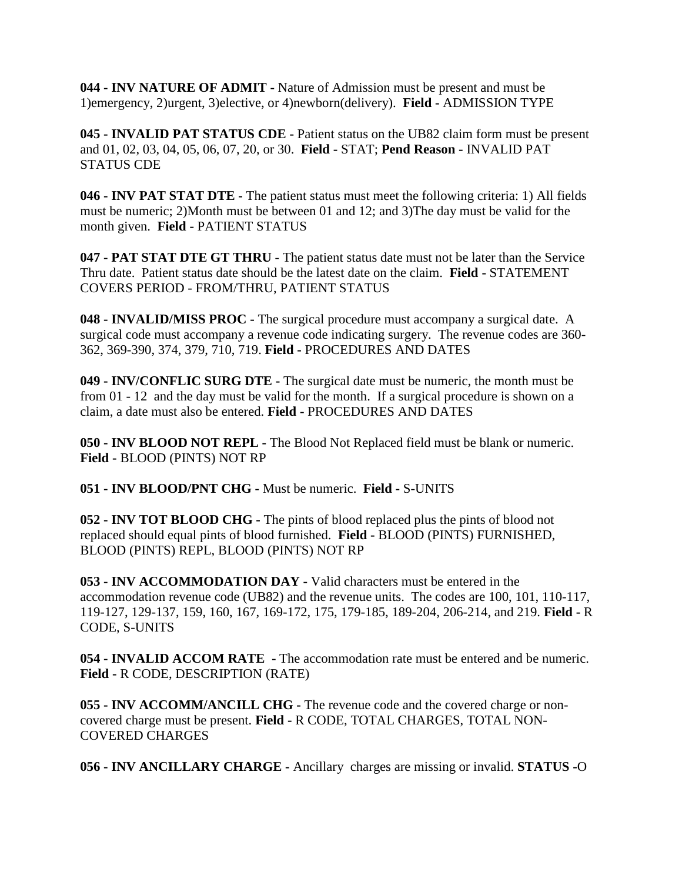**044 - INV NATURE OF ADMIT -** Nature of Admission must be present and must be 1)emergency, 2)urgent, 3)elective, or 4)newborn(delivery). **Field -** ADMISSION TYPE

**045 - INVALID PAT STATUS CDE -** Patient status on the UB82 claim form must be present and 01, 02, 03, 04, 05, 06, 07, 20, or 30. **Field -** STAT; **Pend Reason -** INVALID PAT STATUS CDE

**046 - INV PAT STAT DTE -** The patient status must meet the following criteria: 1) All fields must be numeric; 2)Month must be between 01 and 12; and 3)The day must be valid for the month given. **Field -** PATIENT STATUS

**047 - PAT STAT DTE GT THRU** - The patient status date must not be later than the Service Thru date. Patient status date should be the latest date on the claim. **Field -** STATEMENT COVERS PERIOD - FROM/THRU, PATIENT STATUS

**048 - INVALID/MISS PROC -** The surgical procedure must accompany a surgical date. A surgical code must accompany a revenue code indicating surgery. The revenue codes are 360- 362, 369-390, 374, 379, 710, 719. **Field -** PROCEDURES AND DATES

**049 - INV/CONFLIC SURG DTE -** The surgical date must be numeric, the month must be from 01 - 12 and the day must be valid for the month. If a surgical procedure is shown on a claim, a date must also be entered. **Field -** PROCEDURES AND DATES

**050 - INV BLOOD NOT REPL -** The Blood Not Replaced field must be blank or numeric. **Field -** BLOOD (PINTS) NOT RP

**051 - INV BLOOD/PNT CHG -** Must be numeric. **Field -** S-UNITS

**052 - INV TOT BLOOD CHG -** The pints of blood replaced plus the pints of blood not replaced should equal pints of blood furnished. **Field -** BLOOD (PINTS) FURNISHED, BLOOD (PINTS) REPL, BLOOD (PINTS) NOT RP

**053 - INV ACCOMMODATION DAY -** Valid characters must be entered in the accommodation revenue code (UB82) and the revenue units. The codes are 100, 101, 110-117, 119-127, 129-137, 159, 160, 167, 169-172, 175, 179-185, 189-204, 206-214, and 219. **Field -** R CODE, S-UNITS

**054 - INVALID ACCOM RATE -** The accommodation rate must be entered and be numeric. **Field -** R CODE, DESCRIPTION (RATE)

**055 - INV ACCOMM/ANCILL CHG -** The revenue code and the covered charge or noncovered charge must be present. **Field -** R CODE, TOTAL CHARGES, TOTAL NON-COVERED CHARGES

**056 - INV ANCILLARY CHARGE -** Ancillary charges are missing or invalid. **STATUS -**O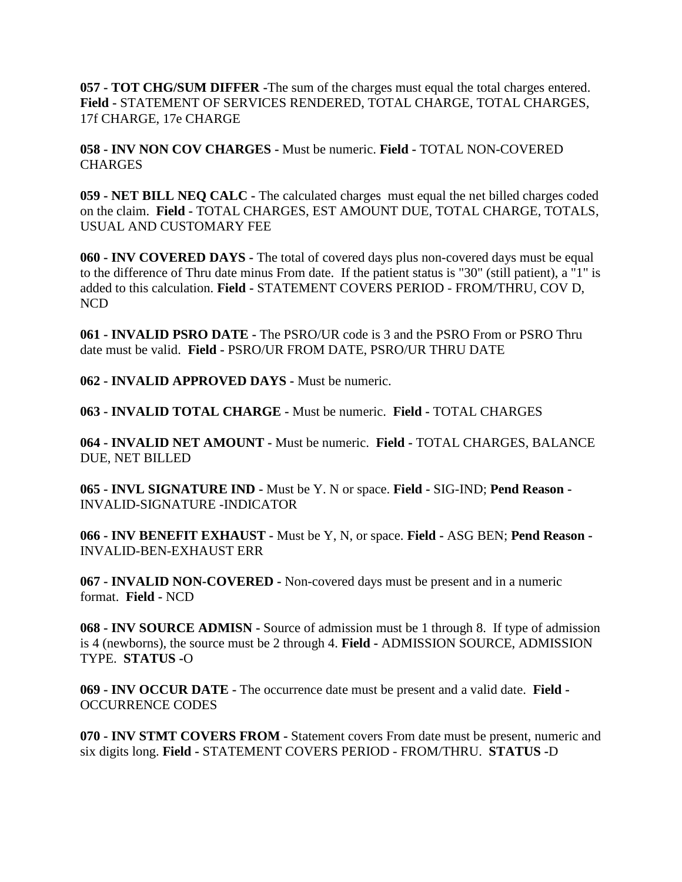**057 - TOT CHG/SUM DIFFER -**The sum of the charges must equal the total charges entered. **Field -** STATEMENT OF SERVICES RENDERED, TOTAL CHARGE, TOTAL CHARGES, 17f CHARGE, 17e CHARGE

**058 - INV NON COV CHARGES -** Must be numeric. **Field -** TOTAL NON-COVERED **CHARGES** 

**059 - NET BILL NEQ CALC -** The calculated charges must equal the net billed charges coded on the claim. **Field -** TOTAL CHARGES, EST AMOUNT DUE, TOTAL CHARGE, TOTALS, USUAL AND CUSTOMARY FEE

**060 - INV COVERED DAYS -** The total of covered days plus non-covered days must be equal to the difference of Thru date minus From date. If the patient status is "30" (still patient), a "1" is added to this calculation. **Field -** STATEMENT COVERS PERIOD - FROM/THRU, COV D, NCD

**061 - INVALID PSRO DATE -** The PSRO/UR code is 3 and the PSRO From or PSRO Thru date must be valid. **Field -** PSRO/UR FROM DATE, PSRO/UR THRU DATE

**062 - INVALID APPROVED DAYS -** Must be numeric.

**063 - INVALID TOTAL CHARGE -** Must be numeric. **Field -** TOTAL CHARGES

**064 - INVALID NET AMOUNT -** Must be numeric. **Field -** TOTAL CHARGES, BALANCE DUE, NET BILLED

**065 - INVL SIGNATURE IND -** Must be Y. N or space. **Field -** SIG-IND; **Pend Reason -** INVALID-SIGNATURE -INDICATOR

**066 - INV BENEFIT EXHAUST -** Must be Y, N, or space. **Field -** ASG BEN; **Pend Reason -** INVALID-BEN-EXHAUST ERR

**067 - INVALID NON-COVERED -** Non-covered days must be present and in a numeric format. **Field -** NCD

**068 - INV SOURCE ADMISN -** Source of admission must be 1 through 8. If type of admission is 4 (newborns), the source must be 2 through 4. **Field -** ADMISSION SOURCE, ADMISSION TYPE. **STATUS -**O

**069 - INV OCCUR DATE -** The occurrence date must be present and a valid date. **Field -** OCCURRENCE CODES

**070 - INV STMT COVERS FROM -** Statement covers From date must be present, numeric and six digits long. **Field -** STATEMENT COVERS PERIOD - FROM/THRU. **STATUS -**D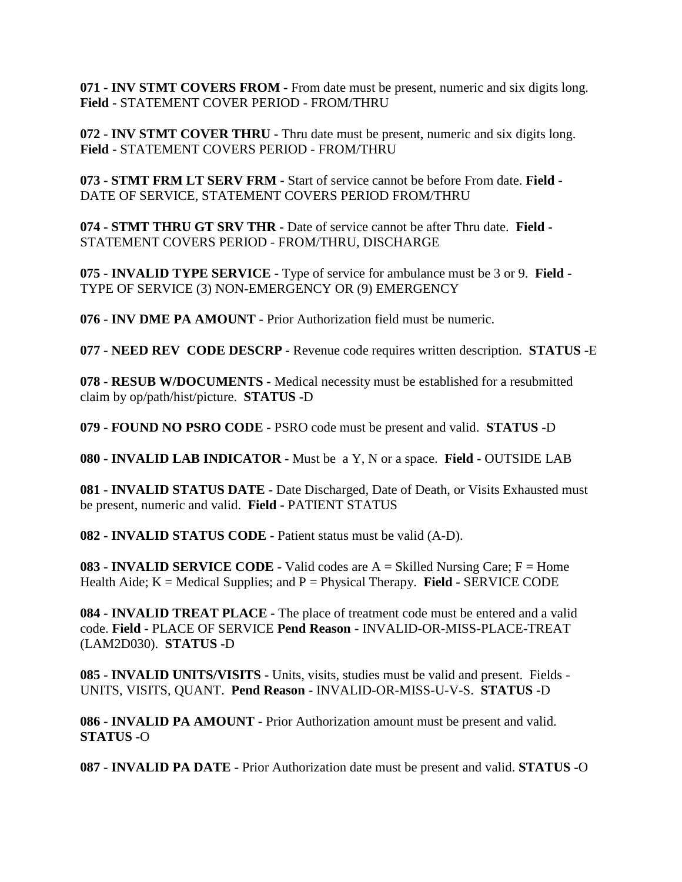**071 - INV STMT COVERS FROM -** From date must be present, numeric and six digits long. **Field -** STATEMENT COVER PERIOD - FROM/THRU

**072 - INV STMT COVER THRU -** Thru date must be present, numeric and six digits long. **Field -** STATEMENT COVERS PERIOD - FROM/THRU

**073 - STMT FRM LT SERV FRM -** Start of service cannot be before From date. **Field -** DATE OF SERVICE, STATEMENT COVERS PERIOD FROM/THRU

**074 - STMT THRU GT SRV THR -** Date of service cannot be after Thru date. **Field -** STATEMENT COVERS PERIOD - FROM/THRU, DISCHARGE

**075 - INVALID TYPE SERVICE -** Type of service for ambulance must be 3 or 9. **Field -** TYPE OF SERVICE (3) NON-EMERGENCY OR (9) EMERGENCY

**076 - INV DME PA AMOUNT -** Prior Authorization field must be numeric.

**077 - NEED REV CODE DESCRP -** Revenue code requires written description. **STATUS -**E

**078 - RESUB W/DOCUMENTS -** Medical necessity must be established for a resubmitted claim by op/path/hist/picture. **STATUS -**D

**079 - FOUND NO PSRO CODE -** PSRO code must be present and valid. **STATUS -**D

**080 - INVALID LAB INDICATOR -** Must be a Y, N or a space. **Field -** OUTSIDE LAB

**081 - INVALID STATUS DATE -** Date Discharged, Date of Death, or Visits Exhausted must be present, numeric and valid. **Field -** PATIENT STATUS

**082 - INVALID STATUS CODE -** Patient status must be valid (A-D).

**083 - INVALID SERVICE CODE -** Valid codes are A = Skilled Nursing Care; F = Home Health Aide; K = Medical Supplies; and P = Physical Therapy. **Field -** SERVICE CODE

**084 - INVALID TREAT PLACE -** The place of treatment code must be entered and a valid code. **Field -** PLACE OF SERVICE **Pend Reason -** INVALID-OR-MISS-PLACE-TREAT (LAM2D030). **STATUS -**D

**085 - INVALID UNITS/VISITS -** Units, visits, studies must be valid and present. Fields - UNITS, VISITS, QUANT. **Pend Reason -** INVALID-OR-MISS-U-V-S. **STATUS -**D

**086 - INVALID PA AMOUNT -** Prior Authorization amount must be present and valid. **STATUS -**O

**087 - INVALID PA DATE -** Prior Authorization date must be present and valid. **STATUS -**O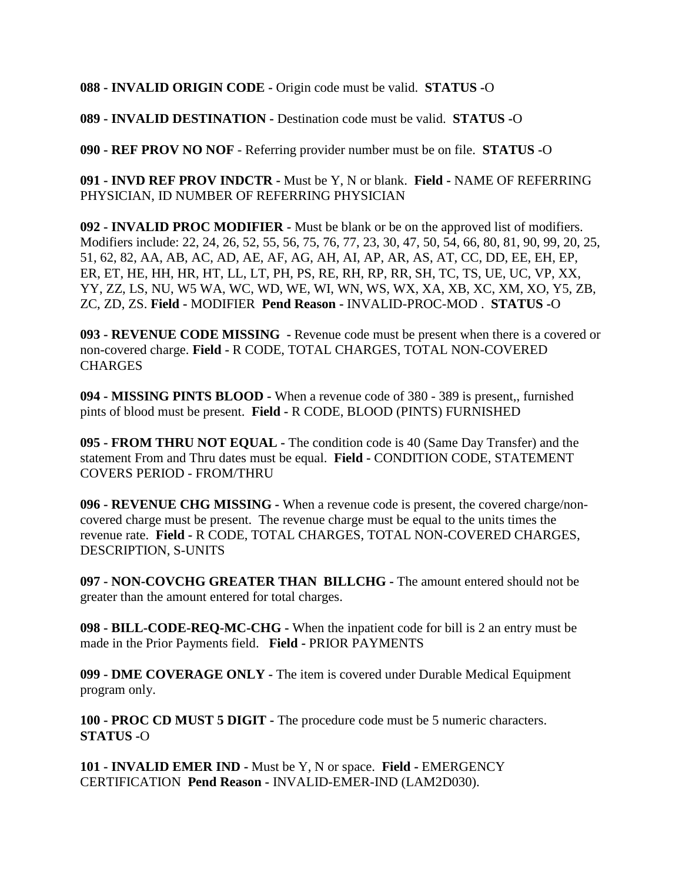**088 - INVALID ORIGIN CODE -** Origin code must be valid. **STATUS -**O

**089 - INVALID DESTINATION -** Destination code must be valid. **STATUS -**O

**090 - REF PROV NO NOF** - Referring provider number must be on file. **STATUS -**O

**091 - INVD REF PROV INDCTR -** Must be Y, N or blank. **Field -** NAME OF REFERRING PHYSICIAN, ID NUMBER OF REFERRING PHYSICIAN

**092 - INVALID PROC MODIFIER -** Must be blank or be on the approved list of modifiers. Modifiers include: 22, 24, 26, 52, 55, 56, 75, 76, 77, 23, 30, 47, 50, 54, 66, 80, 81, 90, 99, 20, 25, 51, 62, 82, AA, AB, AC, AD, AE, AF, AG, AH, AI, AP, AR, AS, AT, CC, DD, EE, EH, EP, ER, ET, HE, HH, HR, HT, LL, LT, PH, PS, RE, RH, RP, RR, SH, TC, TS, UE, UC, VP, XX, YY, ZZ, LS, NU, W5 WA, WC, WD, WE, WI, WN, WS, WX, XA, XB, XC, XM, XO, Y5, ZB, ZC, ZD, ZS. **Field -** MODIFIER **Pend Reason -** INVALID-PROC-MOD . **STATUS -**O

**093 - REVENUE CODE MISSING -** Revenue code must be present when there is a covered or non-covered charge. **Field -** R CODE, TOTAL CHARGES, TOTAL NON-COVERED CHARGES

**094 - MISSING PINTS BLOOD -** When a revenue code of 380 - 389 is present,, furnished pints of blood must be present. **Field -** R CODE, BLOOD (PINTS) FURNISHED

**095 - FROM THRU NOT EQUAL -** The condition code is 40 (Same Day Transfer) and the statement From and Thru dates must be equal. **Field -** CONDITION CODE, STATEMENT COVERS PERIOD - FROM/THRU

**096 - REVENUE CHG MISSING -** When a revenue code is present, the covered charge/noncovered charge must be present. The revenue charge must be equal to the units times the revenue rate. **Field -** R CODE, TOTAL CHARGES, TOTAL NON-COVERED CHARGES, DESCRIPTION, S-UNITS

**097 - NON-COVCHG GREATER THAN BILLCHG -** The amount entered should not be greater than the amount entered for total charges.

**098 - BILL-CODE-REQ-MC-CHG -** When the inpatient code for bill is 2 an entry must be made in the Prior Payments field. **Field -** PRIOR PAYMENTS

**099 - DME COVERAGE ONLY -** The item is covered under Durable Medical Equipment program only.

**100 - PROC CD MUST 5 DIGIT -** The procedure code must be 5 numeric characters. **STATUS -**O

**101 - INVALID EMER IND -** Must be Y, N or space. **Field -** EMERGENCY CERTIFICATION **Pend Reason -** INVALID-EMER-IND (LAM2D030).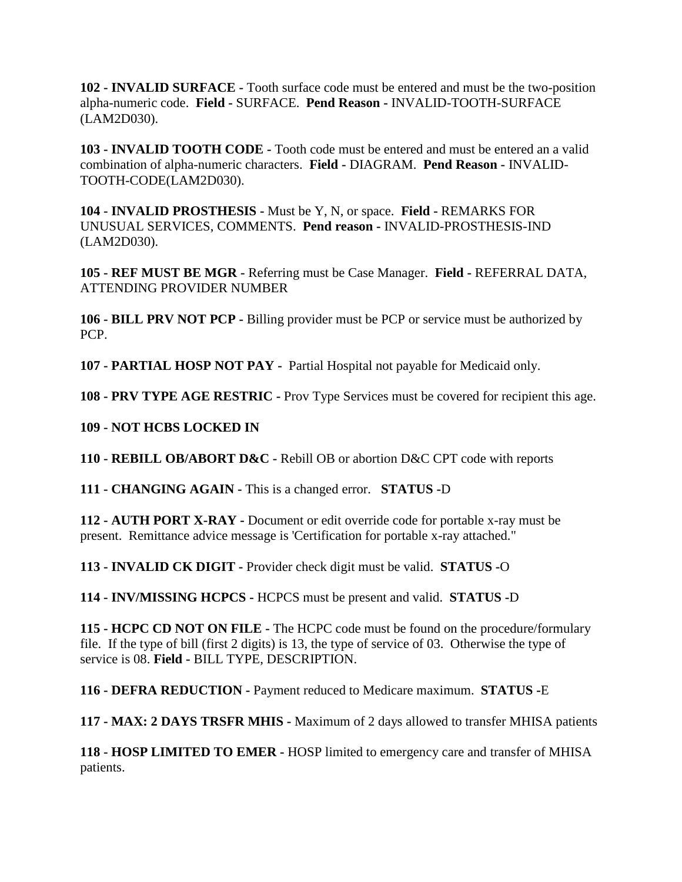**102 - INVALID SURFACE -** Tooth surface code must be entered and must be the two-position alpha-numeric code. **Field -** SURFACE. **Pend Reason -** INVALID-TOOTH-SURFACE (LAM2D030).

**103 - INVALID TOOTH CODE -** Tooth code must be entered and must be entered an a valid combination of alpha-numeric characters. **Field -** DIAGRAM. **Pend Reason -** INVALID-TOOTH-CODE(LAM2D030).

**104 - INVALID PROSTHESIS -** Must be Y, N, or space. **Field -** REMARKS FOR UNUSUAL SERVICES, COMMENTS. **Pend reason -** INVALID-PROSTHESIS-IND (LAM2D030).

**105 - REF MUST BE MGR -** Referring must be Case Manager. **Field -** REFERRAL DATA, ATTENDING PROVIDER NUMBER

**106 - BILL PRV NOT PCP -** Billing provider must be PCP or service must be authorized by PCP.

**107 - PARTIAL HOSP NOT PAY -** Partial Hospital not payable for Medicaid only.

**108 - PRV TYPE AGE RESTRIC -** Prov Type Services must be covered for recipient this age.

**109 - NOT HCBS LOCKED IN** 

**110 - REBILL OB/ABORT D&C -** Rebill OB or abortion D&C CPT code with reports

**111 - CHANGING AGAIN -** This is a changed error. **STATUS -**D

**112 - AUTH PORT X-RAY -** Document or edit override code for portable x-ray must be present. Remittance advice message is 'Certification for portable x-ray attached."

**113 - INVALID CK DIGIT -** Provider check digit must be valid. **STATUS -**O

**114 - INV/MISSING HCPCS -** HCPCS must be present and valid. **STATUS -**D

**115 - HCPC CD NOT ON FILE -** The HCPC code must be found on the procedure/formulary file. If the type of bill (first 2 digits) is 13, the type of service of 03. Otherwise the type of service is 08. **Field -** BILL TYPE, DESCRIPTION.

**116 - DEFRA REDUCTION -** Payment reduced to Medicare maximum. **STATUS -**E

**117 - MAX: 2 DAYS TRSFR MHIS -** Maximum of 2 days allowed to transfer MHISA patients

**118 - HOSP LIMITED TO EMER -** HOSP limited to emergency care and transfer of MHISA patients.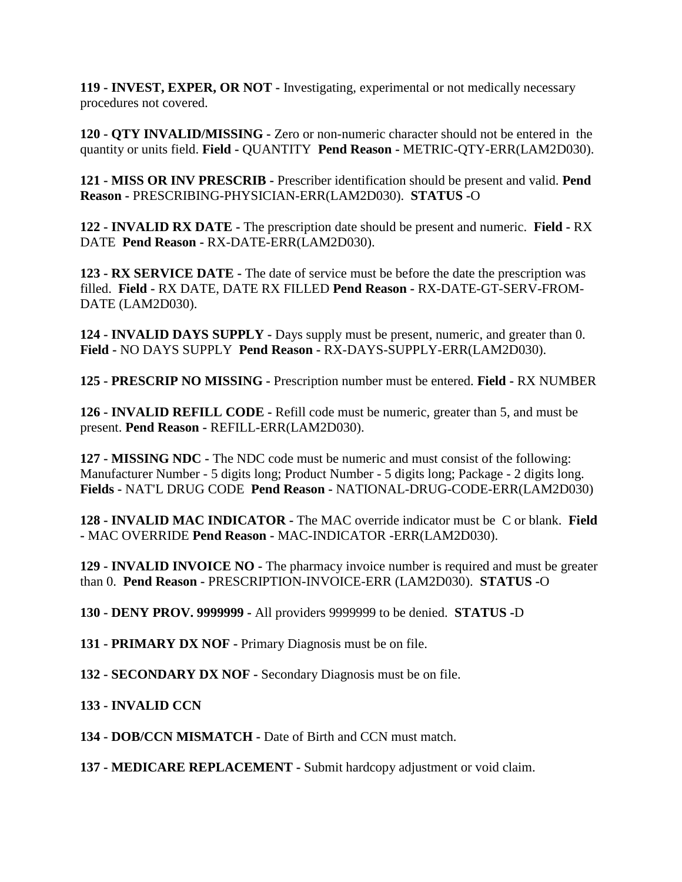**119 - INVEST, EXPER, OR NOT -** Investigating, experimental or not medically necessary procedures not covered.

**120 - QTY INVALID/MISSING -** Zero or non-numeric character should not be entered in the quantity or units field. **Field -** QUANTITY **Pend Reason -** METRIC-QTY-ERR(LAM2D030).

**121 - MISS OR INV PRESCRIB -** Prescriber identification should be present and valid. **Pend Reason -** PRESCRIBING-PHYSICIAN-ERR(LAM2D030). **STATUS -**O

**122 - INVALID RX DATE -** The prescription date should be present and numeric. **Field -** RX DATE **Pend Reason -** RX-DATE-ERR(LAM2D030).

**123 - RX SERVICE DATE -** The date of service must be before the date the prescription was filled. **Field -** RX DATE, DATE RX FILLED **Pend Reason -** RX-DATE-GT-SERV-FROM-DATE (LAM2D030).

**124 - INVALID DAYS SUPPLY -** Days supply must be present, numeric, and greater than 0. **Field -** NO DAYS SUPPLY **Pend Reason -** RX-DAYS-SUPPLY-ERR(LAM2D030).

**125 - PRESCRIP NO MISSING -** Prescription number must be entered. **Field -** RX NUMBER

**126 - INVALID REFILL CODE -** Refill code must be numeric, greater than 5, and must be present. **Pend Reason -** REFILL-ERR(LAM2D030).

**127 - MISSING NDC -** The NDC code must be numeric and must consist of the following: Manufacturer Number - 5 digits long; Product Number - 5 digits long; Package - 2 digits long. **Fields -** NAT'L DRUG CODE **Pend Reason -** NATIONAL-DRUG-CODE-ERR(LAM2D030)

**128 - INVALID MAC INDICATOR -** The MAC override indicator must be C or blank. **Field -** MAC OVERRIDE **Pend Reason -** MAC-INDICATOR -ERR(LAM2D030).

**129 - INVALID INVOICE NO -** The pharmacy invoice number is required and must be greater than 0. **Pend Reason -** PRESCRIPTION-INVOICE-ERR (LAM2D030). **STATUS -**O

**130 - DENY PROV. 9999999 -** All providers 9999999 to be denied. **STATUS -**D

**131 - PRIMARY DX NOF -** Primary Diagnosis must be on file.

**132 - SECONDARY DX NOF -** Secondary Diagnosis must be on file.

# **133 - INVALID CCN**

**134 - DOB/CCN MISMATCH -** Date of Birth and CCN must match.

**137 - MEDICARE REPLACEMENT -** Submit hardcopy adjustment or void claim.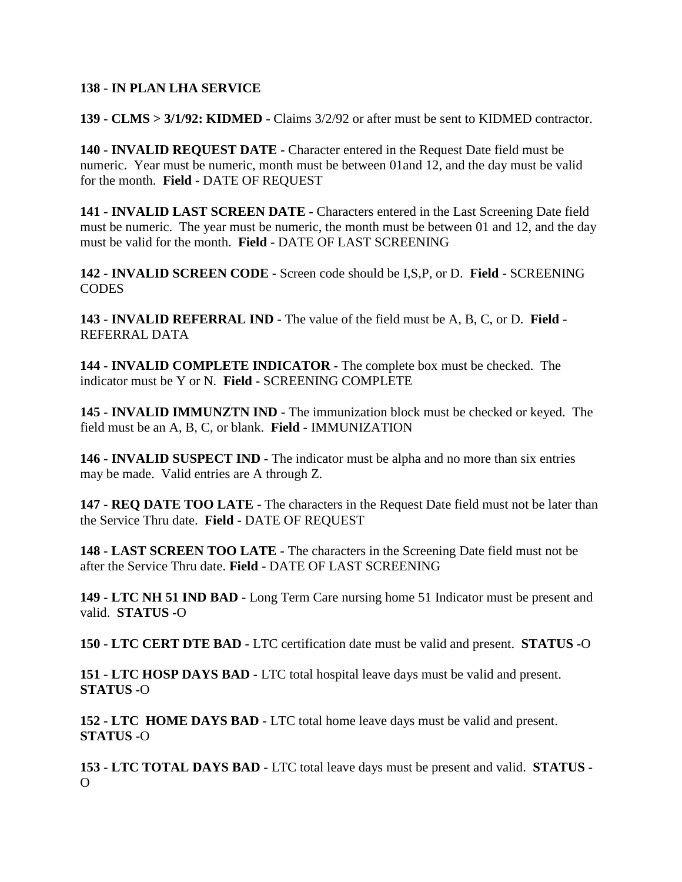### **138 - IN PLAN LHA SERVICE**

**139 - CLMS > 3/1/92: KIDMED -** Claims 3/2/92 or after must be sent to KIDMED contractor.

**140 - INVALID REQUEST DATE -** Character entered in the Request Date field must be numeric. Year must be numeric, month must be between 01and 12, and the day must be valid for the month. **Field -** DATE OF REQUEST

**141 - INVALID LAST SCREEN DATE -** Characters entered in the Last Screening Date field must be numeric. The year must be numeric, the month must be between 01 and 12, and the day must be valid for the month. **Field -** DATE OF LAST SCREENING

**142 - INVALID SCREEN CODE -** Screen code should be I,S,P, or D. **Field -** SCREENING **CODES** 

**143 - INVALID REFERRAL IND -** The value of the field must be A, B, C, or D. **Field -** REFERRAL DATA

**144 - INVALID COMPLETE INDICATOR -** The complete box must be checked. The indicator must be Y or N. **Field -** SCREENING COMPLETE

**145 - INVALID IMMUNZTN IND -** The immunization block must be checked or keyed. The field must be an A, B, C, or blank. **Field -** IMMUNIZATION

**146 - INVALID SUSPECT IND -** The indicator must be alpha and no more than six entries may be made. Valid entries are A through Z.

**147 - REQ DATE TOO LATE -** The characters in the Request Date field must not be later than the Service Thru date. **Field -** DATE OF REQUEST

**148 - LAST SCREEN TOO LATE -** The characters in the Screening Date field must not be after the Service Thru date. **Field -** DATE OF LAST SCREENING

**149 - LTC NH 51 IND BAD -** Long Term Care nursing home 51 Indicator must be present and valid. **STATUS -**O

**150 - LTC CERT DTE BAD -** LTC certification date must be valid and present. **STATUS -**O

**151 - LTC HOSP DAYS BAD -** LTC total hospital leave days must be valid and present. **STATUS -**O

**152 - LTC HOME DAYS BAD -** LTC total home leave days must be valid and present. **STATUS -**O

**153 - LTC TOTAL DAYS BAD -** LTC total leave days must be present and valid. **STATUS -**  $\Omega$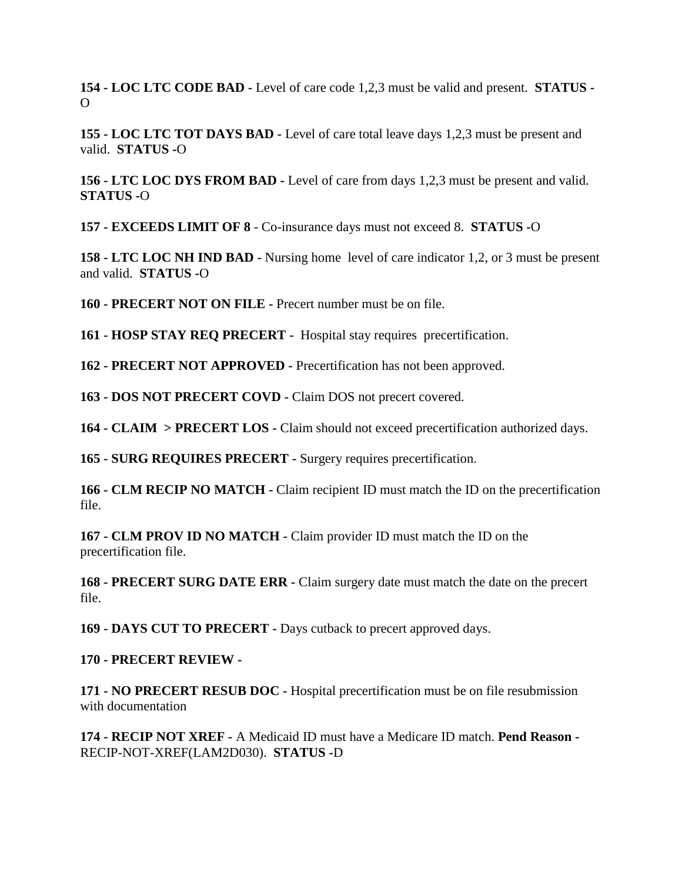**154 - LOC LTC CODE BAD -** Level of care code 1,2,3 must be valid and present. **STATUS -**  $\Omega$ 

**155 - LOC LTC TOT DAYS BAD -** Level of care total leave days 1,2,3 must be present and valid. **STATUS -**O

**156 - LTC LOC DYS FROM BAD -** Level of care from days 1,2,3 must be present and valid. **STATUS -**O

**157 - EXCEEDS LIMIT OF 8** - Co-insurance days must not exceed 8. **STATUS -**O

**158 - LTC LOC NH IND BAD -** Nursing home level of care indicator 1,2, or 3 must be present and valid. **STATUS -**O

**160 - PRECERT NOT ON FILE -** Precert number must be on file.

**161 - HOSP STAY REQ PRECERT -** Hospital stay requires precertification.

**162 - PRECERT NOT APPROVED -** Precertification has not been approved.

**163 - DOS NOT PRECERT COVD -** Claim DOS not precert covered.

**164 - CLAIM > PRECERT LOS -** Claim should not exceed precertification authorized days.

**165 - SURG REQUIRES PRECERT -** Surgery requires precertification.

**166 - CLM RECIP NO MATCH -** Claim recipient ID must match the ID on the precertification file.

**167 - CLM PROV ID NO MATCH -** Claim provider ID must match the ID on the precertification file.

**168 - PRECERT SURG DATE ERR -** Claim surgery date must match the date on the precert file.

**169 - DAYS CUT TO PRECERT -** Days cutback to precert approved days.

## **170 - PRECERT REVIEW -**

**171 - NO PRECERT RESUB DOC -** Hospital precertification must be on file resubmission with documentation

**174 - RECIP NOT XREF -** A Medicaid ID must have a Medicare ID match. **Pend Reason -** RECIP-NOT-XREF(LAM2D030). **STATUS -**D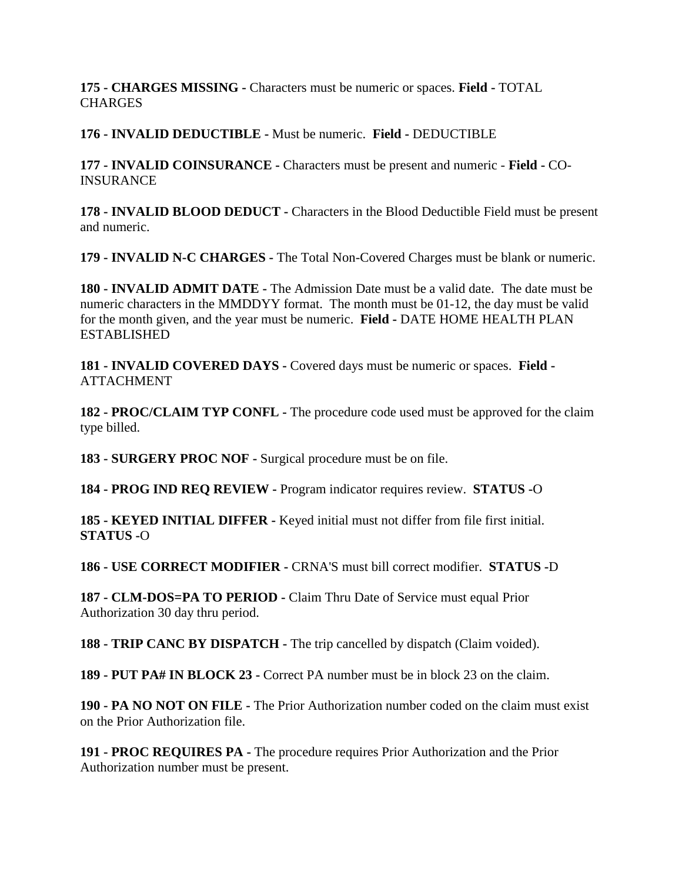**175 - CHARGES MISSING -** Characters must be numeric or spaces. **Field -** TOTAL **CHARGES** 

**176 - INVALID DEDUCTIBLE -** Must be numeric. **Field -** DEDUCTIBLE

**177 - INVALID COINSURANCE -** Characters must be present and numeric - **Field -** CO-INSURANCE

**178 - INVALID BLOOD DEDUCT -** Characters in the Blood Deductible Field must be present and numeric.

**179 - INVALID N-C CHARGES -** The Total Non-Covered Charges must be blank or numeric.

**180 - INVALID ADMIT DATE -** The Admission Date must be a valid date. The date must be numeric characters in the MMDDYY format. The month must be 01-12, the day must be valid for the month given, and the year must be numeric. **Field -** DATE HOME HEALTH PLAN **ESTABLISHED** 

**181 - INVALID COVERED DAYS -** Covered days must be numeric or spaces. **Field - ATTACHMENT** 

**182 - PROC/CLAIM TYP CONFL -** The procedure code used must be approved for the claim type billed.

**183 - SURGERY PROC NOF -** Surgical procedure must be on file.

**184 - PROG IND REQ REVIEW -** Program indicator requires review. **STATUS -**O

**185 - KEYED INITIAL DIFFER -** Keyed initial must not differ from file first initial. **STATUS -**O

**186 - USE CORRECT MODIFIER -** CRNA'S must bill correct modifier. **STATUS -**D

**187 - CLM-DOS=PA TO PERIOD -** Claim Thru Date of Service must equal Prior Authorization 30 day thru period.

**188 - TRIP CANC BY DISPATCH -** The trip cancelled by dispatch (Claim voided).

**189 - PUT PA# IN BLOCK 23 -** Correct PA number must be in block 23 on the claim.

**190 - PA NO NOT ON FILE -** The Prior Authorization number coded on the claim must exist on the Prior Authorization file.

**191 - PROC REQUIRES PA -** The procedure requires Prior Authorization and the Prior Authorization number must be present.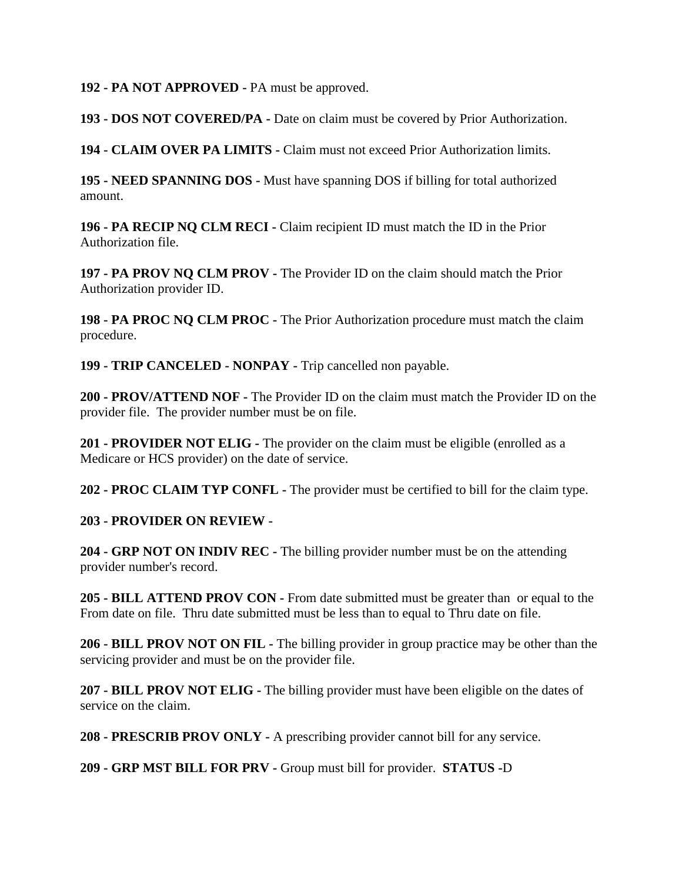#### **192 - PA NOT APPROVED -** PA must be approved.

**193 - DOS NOT COVERED/PA -** Date on claim must be covered by Prior Authorization.

**194 - CLAIM OVER PA LIMITS -** Claim must not exceed Prior Authorization limits.

**195 - NEED SPANNING DOS -** Must have spanning DOS if billing for total authorized amount.

**196 - PA RECIP NQ CLM RECI -** Claim recipient ID must match the ID in the Prior Authorization file.

**197 - PA PROV NQ CLM PROV -** The Provider ID on the claim should match the Prior Authorization provider ID.

**198 - PA PROC NQ CLM PROC -** The Prior Authorization procedure must match the claim procedure.

**199 - TRIP CANCELED - NONPAY -** Trip cancelled non payable.

**200 - PROV/ATTEND NOF -** The Provider ID on the claim must match the Provider ID on the provider file. The provider number must be on file.

**201 - PROVIDER NOT ELIG -** The provider on the claim must be eligible (enrolled as a Medicare or HCS provider) on the date of service.

**202 - PROC CLAIM TYP CONFL -** The provider must be certified to bill for the claim type.

## **203 - PROVIDER ON REVIEW -**

**204 - GRP NOT ON INDIV REC -** The billing provider number must be on the attending provider number's record.

**205 - BILL ATTEND PROV CON -** From date submitted must be greater than or equal to the From date on file. Thru date submitted must be less than to equal to Thru date on file.

**206 - BILL PROV NOT ON FIL -** The billing provider in group practice may be other than the servicing provider and must be on the provider file.

**207 - BILL PROV NOT ELIG -** The billing provider must have been eligible on the dates of service on the claim.

**208 - PRESCRIB PROV ONLY -** A prescribing provider cannot bill for any service.

**209 - GRP MST BILL FOR PRV -** Group must bill for provider. **STATUS -**D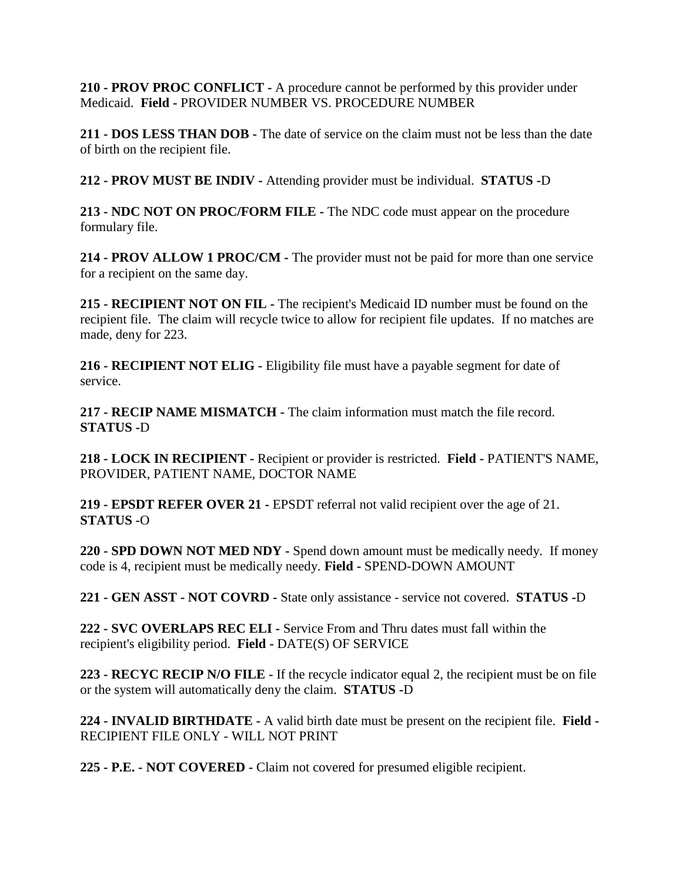**210 - PROV PROC CONFLICT -** A procedure cannot be performed by this provider under Medicaid. **Field -** PROVIDER NUMBER VS. PROCEDURE NUMBER

**211 - DOS LESS THAN DOB -** The date of service on the claim must not be less than the date of birth on the recipient file.

**212 - PROV MUST BE INDIV -** Attending provider must be individual. **STATUS -**D

**213 - NDC NOT ON PROC/FORM FILE -** The NDC code must appear on the procedure formulary file.

**214 - PROV ALLOW 1 PROC/CM -** The provider must not be paid for more than one service for a recipient on the same day.

**215 - RECIPIENT NOT ON FIL -** The recipient's Medicaid ID number must be found on the recipient file. The claim will recycle twice to allow for recipient file updates. If no matches are made, deny for 223.

**216 - RECIPIENT NOT ELIG -** Eligibility file must have a payable segment for date of service.

**217 - RECIP NAME MISMATCH -** The claim information must match the file record. **STATUS -**D

**218 - LOCK IN RECIPIENT -** Recipient or provider is restricted. **Field -** PATIENT'S NAME, PROVIDER, PATIENT NAME, DOCTOR NAME

**219 - EPSDT REFER OVER 21 -** EPSDT referral not valid recipient over the age of 21. **STATUS -**O

**220 - SPD DOWN NOT MED NDY -** Spend down amount must be medically needy. If money code is 4, recipient must be medically needy. **Field -** SPEND-DOWN AMOUNT

**221 - GEN ASST - NOT COVRD -** State only assistance - service not covered. **STATUS -**D

**222 - SVC OVERLAPS REC ELI -** Service From and Thru dates must fall within the recipient's eligibility period. **Field -** DATE(S) OF SERVICE

**223 - RECYC RECIP N/O FILE -** If the recycle indicator equal 2, the recipient must be on file or the system will automatically deny the claim. **STATUS -**D

**224 - INVALID BIRTHDATE -** A valid birth date must be present on the recipient file. **Field -** RECIPIENT FILE ONLY - WILL NOT PRINT

**225 - P.E. - NOT COVERED -** Claim not covered for presumed eligible recipient.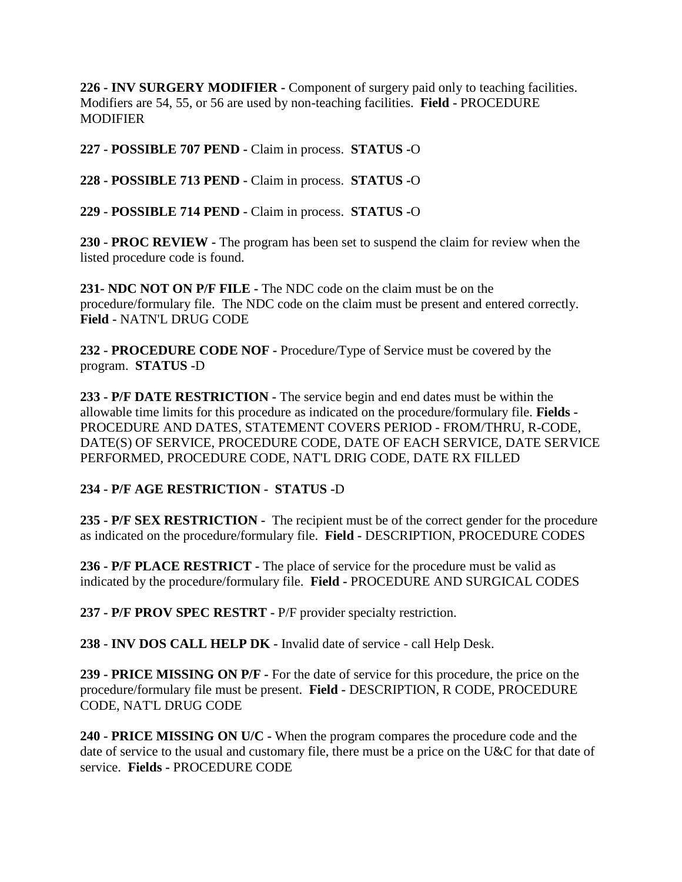**226 - INV SURGERY MODIFIER -** Component of surgery paid only to teaching facilities. Modifiers are 54, 55, or 56 are used by non-teaching facilities. **Field -** PROCEDURE MODIFIER

**227 - POSSIBLE 707 PEND -** Claim in process. **STATUS -**O

**228 - POSSIBLE 713 PEND -** Claim in process. **STATUS -**O

**229 - POSSIBLE 714 PEND -** Claim in process. **STATUS -**O

**230 - PROC REVIEW -** The program has been set to suspend the claim for review when the listed procedure code is found.

**231- NDC NOT ON P/F FILE -** The NDC code on the claim must be on the procedure/formulary file. The NDC code on the claim must be present and entered correctly. **Field -** NATN'L DRUG CODE

**232 - PROCEDURE CODE NOF -** Procedure/Type of Service must be covered by the program. **STATUS -**D

**233 - P/F DATE RESTRICTION -** The service begin and end dates must be within the allowable time limits for this procedure as indicated on the procedure/formulary file. **Fields -** PROCEDURE AND DATES, STATEMENT COVERS PERIOD - FROM/THRU, R-CODE, DATE(S) OF SERVICE, PROCEDURE CODE, DATE OF EACH SERVICE, DATE SERVICE PERFORMED, PROCEDURE CODE, NAT'L DRIG CODE, DATE RX FILLED

# **234 - P/F AGE RESTRICTION - STATUS -**D

**235 - P/F SEX RESTRICTION -** The recipient must be of the correct gender for the procedure as indicated on the procedure/formulary file. **Field -** DESCRIPTION, PROCEDURE CODES

**236 - P/F PLACE RESTRICT -** The place of service for the procedure must be valid as indicated by the procedure/formulary file. **Field -** PROCEDURE AND SURGICAL CODES

**237 - P/F PROV SPEC RESTRT -** P/F provider specialty restriction.

**238 - INV DOS CALL HELP DK -** Invalid date of service - call Help Desk.

**239 - PRICE MISSING ON P/F -** For the date of service for this procedure, the price on the procedure/formulary file must be present. **Field -** DESCRIPTION, R CODE, PROCEDURE CODE, NAT'L DRUG CODE

**240 - PRICE MISSING ON U/C -** When the program compares the procedure code and the date of service to the usual and customary file, there must be a price on the U&C for that date of service. **Fields -** PROCEDURE CODE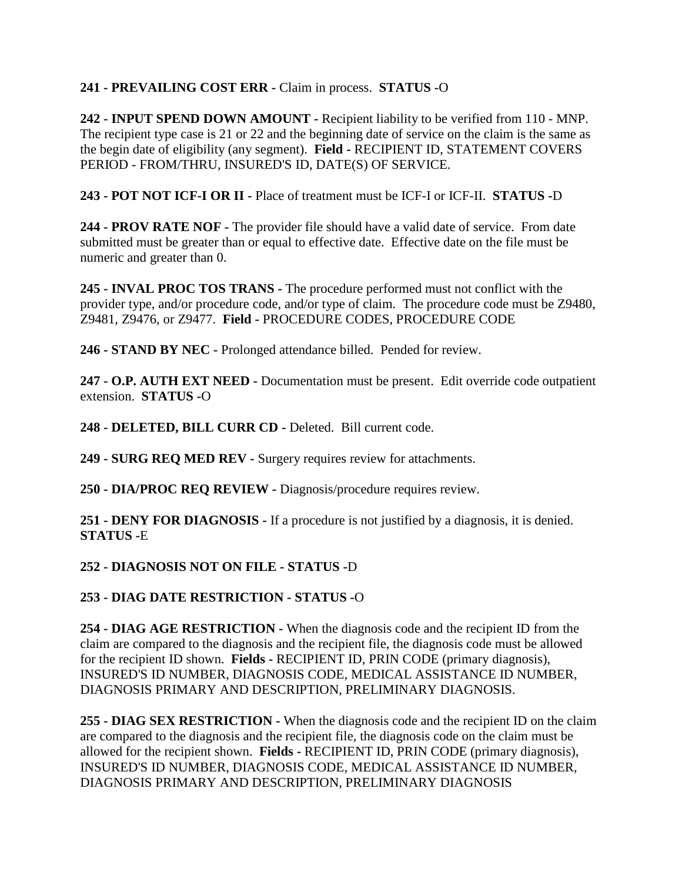## **241 - PREVAILING COST ERR -** Claim in process. **STATUS -**O

**242 - INPUT SPEND DOWN AMOUNT -** Recipient liability to be verified from 110 - MNP. The recipient type case is 21 or 22 and the beginning date of service on the claim is the same as the begin date of eligibility (any segment). **Field -** RECIPIENT ID, STATEMENT COVERS PERIOD - FROM/THRU, INSURED'S ID, DATE(S) OF SERVICE.

**243 - POT NOT ICF-I OR II -** Place of treatment must be ICF-I or ICF-II. **STATUS -**D

**244 - PROV RATE NOF -** The provider file should have a valid date of service. From date submitted must be greater than or equal to effective date. Effective date on the file must be numeric and greater than 0.

**245 - INVAL PROC TOS TRANS -** The procedure performed must not conflict with the provider type, and/or procedure code, and/or type of claim. The procedure code must be Z9480, Z9481, Z9476, or Z9477. **Field -** PROCEDURE CODES, PROCEDURE CODE

**246 - STAND BY NEC -** Prolonged attendance billed. Pended for review.

**247 - O.P. AUTH EXT NEED -** Documentation must be present. Edit override code outpatient extension. **STATUS -**O

**248 - DELETED, BILL CURR CD -** Deleted. Bill current code.

**249 - SURG REQ MED REV -** Surgery requires review for attachments.

**250 - DIA/PROC REQ REVIEW -** Diagnosis/procedure requires review.

**251 - DENY FOR DIAGNOSIS -** If a procedure is not justified by a diagnosis, it is denied. **STATUS -**E

**252 - DIAGNOSIS NOT ON FILE - STATUS -**D

**253 - DIAG DATE RESTRICTION - STATUS -**O

**254 - DIAG AGE RESTRICTION -** When the diagnosis code and the recipient ID from the claim are compared to the diagnosis and the recipient file, the diagnosis code must be allowed for the recipient ID shown. **Fields -** RECIPIENT ID, PRIN CODE (primary diagnosis), INSURED'S ID NUMBER, DIAGNOSIS CODE, MEDICAL ASSISTANCE ID NUMBER, DIAGNOSIS PRIMARY AND DESCRIPTION, PRELIMINARY DIAGNOSIS.

**255 - DIAG SEX RESTRICTION -** When the diagnosis code and the recipient ID on the claim are compared to the diagnosis and the recipient file, the diagnosis code on the claim must be allowed for the recipient shown. **Fields -** RECIPIENT ID, PRIN CODE (primary diagnosis), INSURED'S ID NUMBER, DIAGNOSIS CODE, MEDICAL ASSISTANCE ID NUMBER, DIAGNOSIS PRIMARY AND DESCRIPTION, PRELIMINARY DIAGNOSIS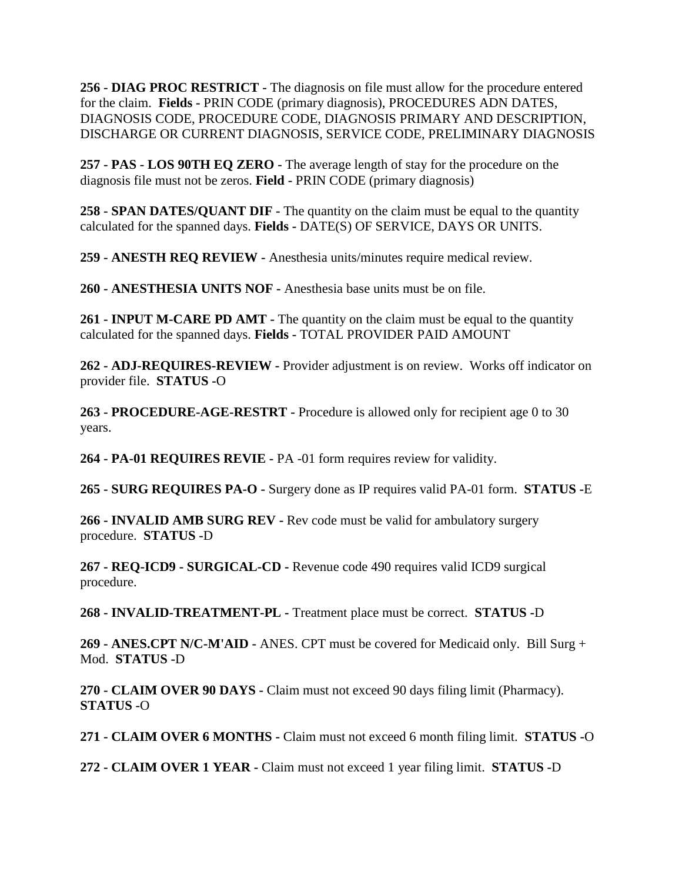**256 - DIAG PROC RESTRICT -** The diagnosis on file must allow for the procedure entered for the claim. **Fields -** PRIN CODE (primary diagnosis), PROCEDURES ADN DATES, DIAGNOSIS CODE, PROCEDURE CODE, DIAGNOSIS PRIMARY AND DESCRIPTION, DISCHARGE OR CURRENT DIAGNOSIS, SERVICE CODE, PRELIMINARY DIAGNOSIS

**257 - PAS - LOS 90TH EQ ZERO -** The average length of stay for the procedure on the diagnosis file must not be zeros. **Field -** PRIN CODE (primary diagnosis)

**258 - SPAN DATES/QUANT DIF -** The quantity on the claim must be equal to the quantity calculated for the spanned days. **Fields -** DATE(S) OF SERVICE, DAYS OR UNITS.

**259 - ANESTH REQ REVIEW -** Anesthesia units/minutes require medical review.

**260 - ANESTHESIA UNITS NOF -** Anesthesia base units must be on file.

**261 - INPUT M-CARE PD AMT -** The quantity on the claim must be equal to the quantity calculated for the spanned days. **Fields -** TOTAL PROVIDER PAID AMOUNT

**262 - ADJ-REQUIRES-REVIEW -** Provider adjustment is on review. Works off indicator on provider file. **STATUS -**O

**263 - PROCEDURE-AGE-RESTRT -** Procedure is allowed only for recipient age 0 to 30 years.

**264 - PA-01 REQUIRES REVIE -** PA -01 form requires review for validity.

**265 - SURG REQUIRES PA-O -** Surgery done as IP requires valid PA-01 form. **STATUS -**E

**266 - INVALID AMB SURG REV -** Rev code must be valid for ambulatory surgery procedure. **STATUS -**D

**267 - REQ-ICD9 - SURGICAL-CD -** Revenue code 490 requires valid ICD9 surgical procedure.

**268 - INVALID-TREATMENT-PL -** Treatment place must be correct. **STATUS -**D

**269 - ANES.CPT N/C-M'AID -** ANES. CPT must be covered for Medicaid only. Bill Surg + Mod. **STATUS -**D

**270 - CLAIM OVER 90 DAYS -** Claim must not exceed 90 days filing limit (Pharmacy). **STATUS -**O

**271 - CLAIM OVER 6 MONTHS -** Claim must not exceed 6 month filing limit. **STATUS -**O

**272 - CLAIM OVER 1 YEAR -** Claim must not exceed 1 year filing limit. **STATUS -**D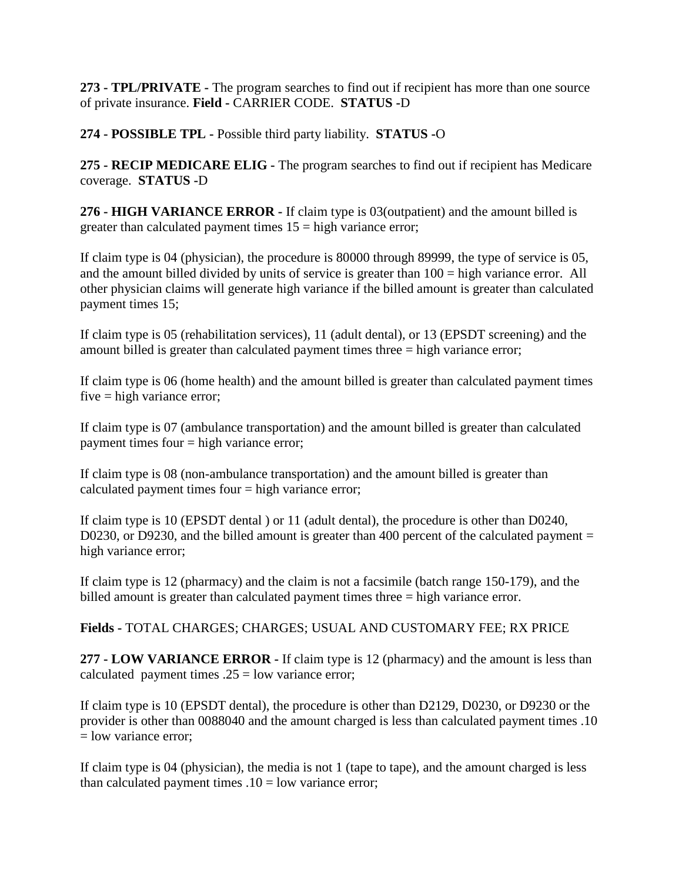**273 - TPL/PRIVATE -** The program searches to find out if recipient has more than one source of private insurance. **Field -** CARRIER CODE. **STATUS -**D

**274 - POSSIBLE TPL -** Possible third party liability. **STATUS -**O

**275 - RECIP MEDICARE ELIG -** The program searches to find out if recipient has Medicare coverage. **STATUS -**D

**276 - HIGH VARIANCE ERROR -** If claim type is 03(outpatient) and the amount billed is greater than calculated payment times  $15 =$  high variance error;

If claim type is 04 (physician), the procedure is 80000 through 89999, the type of service is 05, and the amount billed divided by units of service is greater than 100 = high variance error. All other physician claims will generate high variance if the billed amount is greater than calculated payment times 15;

If claim type is 05 (rehabilitation services), 11 (adult dental), or 13 (EPSDT screening) and the amount billed is greater than calculated payment times three = high variance error;

If claim type is 06 (home health) and the amount billed is greater than calculated payment times five = high variance error;

If claim type is 07 (ambulance transportation) and the amount billed is greater than calculated payment times four = high variance error;

If claim type is 08 (non-ambulance transportation) and the amount billed is greater than calculated payment times four  $=$  high variance error;

If claim type is 10 (EPSDT dental ) or 11 (adult dental), the procedure is other than D0240, D0230, or D9230, and the billed amount is greater than 400 percent of the calculated payment  $=$ high variance error;

If claim type is 12 (pharmacy) and the claim is not a facsimile (batch range 150-179), and the billed amount is greater than calculated payment times three = high variance error.

**Fields -** TOTAL CHARGES; CHARGES; USUAL AND CUSTOMARY FEE; RX PRICE

**277 - LOW VARIANCE ERROR -** If claim type is 12 (pharmacy) and the amount is less than calculated payment times  $.25 =$  low variance error;

If claim type is 10 (EPSDT dental), the procedure is other than D2129, D0230, or D9230 or the provider is other than 0088040 and the amount charged is less than calculated payment times .10 = low variance error;

If claim type is 04 (physician), the media is not 1 (tape to tape), and the amount charged is less than calculated payment times  $.10 =$  low variance error;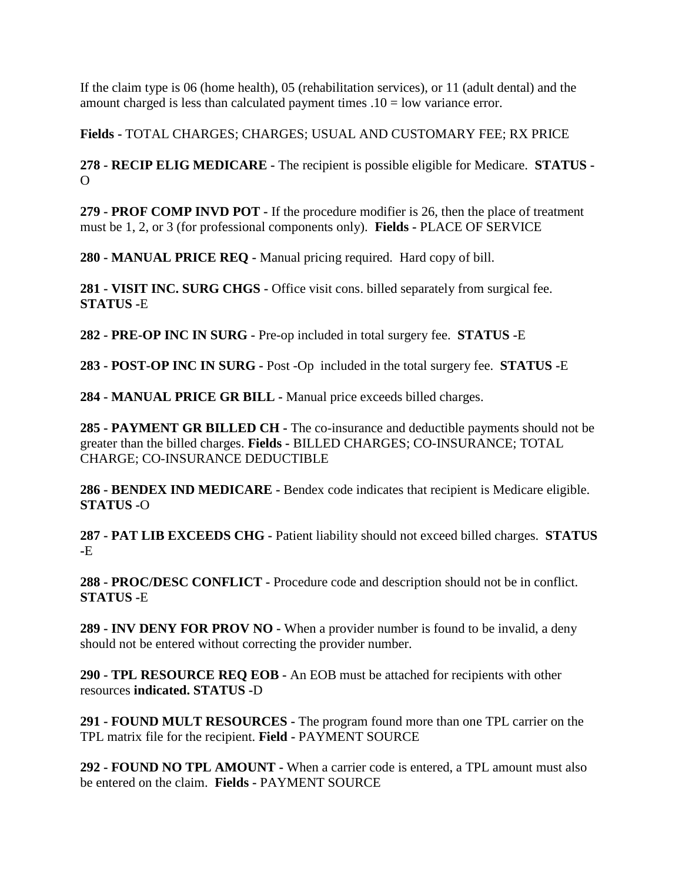If the claim type is 06 (home health), 05 (rehabilitation services), or 11 (adult dental) and the amount charged is less than calculated payment times  $.10 =$  low variance error.

**Fields -** TOTAL CHARGES; CHARGES; USUAL AND CUSTOMARY FEE; RX PRICE

**278 - RECIP ELIG MEDICARE -** The recipient is possible eligible for Medicare. **STATUS -**  $\Omega$ 

**279 - PROF COMP INVD POT -** If the procedure modifier is 26, then the place of treatment must be 1, 2, or 3 (for professional components only). **Fields -** PLACE OF SERVICE

**280 - MANUAL PRICE REQ -** Manual pricing required. Hard copy of bill.

**281 - VISIT INC. SURG CHGS -** Office visit cons. billed separately from surgical fee. **STATUS -**E

**282 - PRE-OP INC IN SURG -** Pre-op included in total surgery fee. **STATUS -**E

**283 - POST-OP INC IN SURG -** Post -Op included in the total surgery fee. **STATUS -**E

**284 - MANUAL PRICE GR BILL -** Manual price exceeds billed charges.

**285 - PAYMENT GR BILLED CH -** The co-insurance and deductible payments should not be greater than the billed charges. **Fields -** BILLED CHARGES; CO-INSURANCE; TOTAL CHARGE; CO-INSURANCE DEDUCTIBLE

**286 - BENDEX IND MEDICARE -** Bendex code indicates that recipient is Medicare eligible. **STATUS -**O

**287 - PAT LIB EXCEEDS CHG -** Patient liability should not exceed billed charges. **STATUS -**E

**288 - PROC/DESC CONFLICT -** Procedure code and description should not be in conflict. **STATUS -**E

**289 - INV DENY FOR PROV NO -** When a provider number is found to be invalid, a deny should not be entered without correcting the provider number.

**290 - TPL RESOURCE REQ EOB -** An EOB must be attached for recipients with other resources **indicated. STATUS -**D

**291 - FOUND MULT RESOURCES -** The program found more than one TPL carrier on the TPL matrix file for the recipient. **Field -** PAYMENT SOURCE

**292 - FOUND NO TPL AMOUNT -** When a carrier code is entered, a TPL amount must also be entered on the claim. **Fields -** PAYMENT SOURCE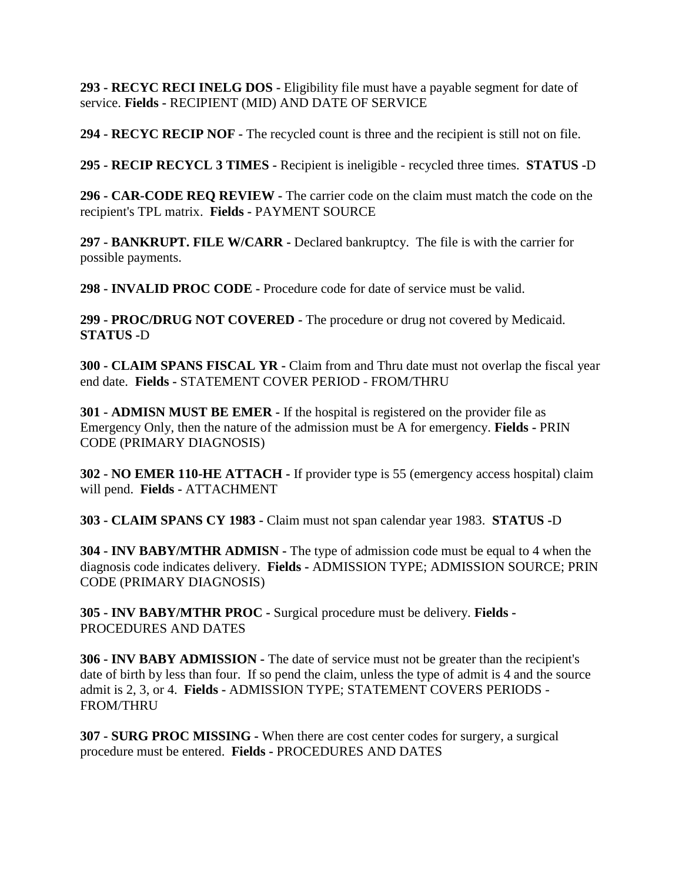**293 - RECYC RECI INELG DOS -** Eligibility file must have a payable segment for date of service. **Fields -** RECIPIENT (MID) AND DATE OF SERVICE

**294 - RECYC RECIP NOF -** The recycled count is three and the recipient is still not on file.

**295 - RECIP RECYCL 3 TIMES -** Recipient is ineligible - recycled three times. **STATUS -**D

**296 - CAR-CODE REQ REVIEW -** The carrier code on the claim must match the code on the recipient's TPL matrix. **Fields -** PAYMENT SOURCE

**297 - BANKRUPT. FILE W/CARR -** Declared bankruptcy. The file is with the carrier for possible payments.

**298 - INVALID PROC CODE -** Procedure code for date of service must be valid.

**299 - PROC/DRUG NOT COVERED -** The procedure or drug not covered by Medicaid. **STATUS -**D

**300 - CLAIM SPANS FISCAL YR -** Claim from and Thru date must not overlap the fiscal year end date. **Fields -** STATEMENT COVER PERIOD - FROM/THRU

**301 - ADMISN MUST BE EMER -** If the hospital is registered on the provider file as Emergency Only, then the nature of the admission must be A for emergency. **Fields -** PRIN CODE (PRIMARY DIAGNOSIS)

**302 - NO EMER 110-HE ATTACH -** If provider type is 55 (emergency access hospital) claim will pend. **Fields -** ATTACHMENT

**303 - CLAIM SPANS CY 1983 -** Claim must not span calendar year 1983. **STATUS -**D

**304 - INV BABY/MTHR ADMISN -** The type of admission code must be equal to 4 when the diagnosis code indicates delivery. **Fields -** ADMISSION TYPE; ADMISSION SOURCE; PRIN CODE (PRIMARY DIAGNOSIS)

**305 - INV BABY/MTHR PROC -** Surgical procedure must be delivery. **Fields -** PROCEDURES AND DATES

**306 - INV BABY ADMISSION -** The date of service must not be greater than the recipient's date of birth by less than four. If so pend the claim, unless the type of admit is 4 and the source admit is 2, 3, or 4. **Fields -** ADMISSION TYPE; STATEMENT COVERS PERIODS - FROM/THRU

**307 - SURG PROC MISSING -** When there are cost center codes for surgery, a surgical procedure must be entered. **Fields -** PROCEDURES AND DATES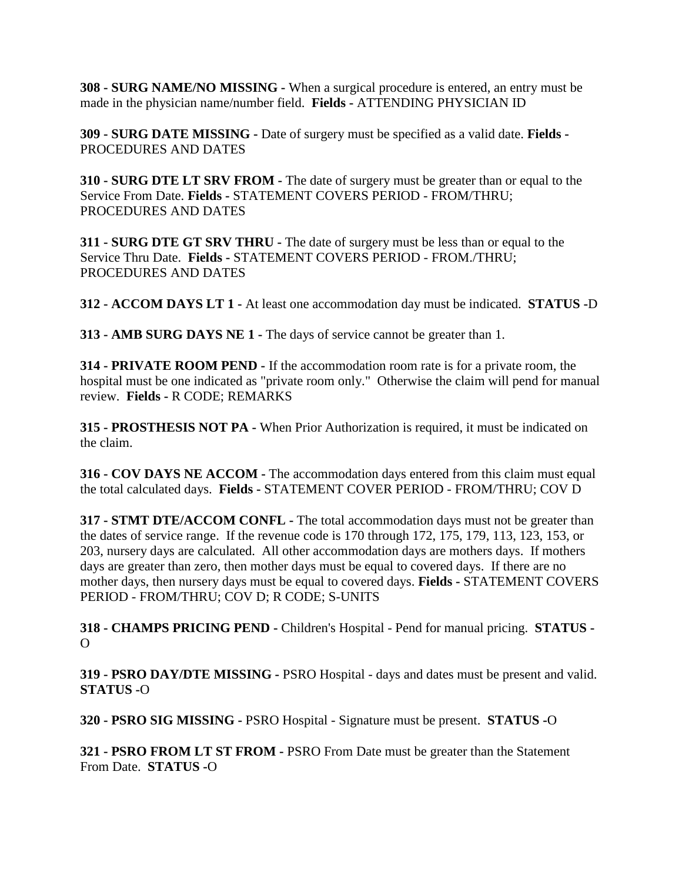**308 - SURG NAME/NO MISSING -** When a surgical procedure is entered, an entry must be made in the physician name/number field. **Fields -** ATTENDING PHYSICIAN ID

**309 - SURG DATE MISSING -** Date of surgery must be specified as a valid date. **Fields -** PROCEDURES AND DATES

**310 - SURG DTE LT SRV FROM -** The date of surgery must be greater than or equal to the Service From Date. **Fields -** STATEMENT COVERS PERIOD - FROM/THRU; PROCEDURES AND DATES

**311 - SURG DTE GT SRV THRU -** The date of surgery must be less than or equal to the Service Thru Date. **Fields -** STATEMENT COVERS PERIOD - FROM./THRU; PROCEDURES AND DATES

**312 - ACCOM DAYS LT 1 -** At least one accommodation day must be indicated. **STATUS -**D

**313 - AMB SURG DAYS NE 1 -** The days of service cannot be greater than 1.

**314 - PRIVATE ROOM PEND -** If the accommodation room rate is for a private room, the hospital must be one indicated as "private room only." Otherwise the claim will pend for manual review. **Fields -** R CODE; REMARKS

**315 - PROSTHESIS NOT PA -** When Prior Authorization is required, it must be indicated on the claim.

**316 - COV DAYS NE ACCOM -** The accommodation days entered from this claim must equal the total calculated days. **Fields -** STATEMENT COVER PERIOD - FROM/THRU; COV D

**317 - STMT DTE/ACCOM CONFL -** The total accommodation days must not be greater than the dates of service range. If the revenue code is 170 through 172, 175, 179, 113, 123, 153, or 203, nursery days are calculated. All other accommodation days are mothers days. If mothers days are greater than zero, then mother days must be equal to covered days. If there are no mother days, then nursery days must be equal to covered days. **Fields -** STATEMENT COVERS PERIOD - FROM/THRU; COV D; R CODE; S-UNITS

**318 - CHAMPS PRICING PEND -** Children's Hospital - Pend for manual pricing. **STATUS -**  $\Omega$ 

**319 - PSRO DAY/DTE MISSING -** PSRO Hospital - days and dates must be present and valid. **STATUS -**O

**320 - PSRO SIG MISSING -** PSRO Hospital - Signature must be present. **STATUS -**O

**321 - PSRO FROM LT ST FROM -** PSRO From Date must be greater than the Statement From Date. **STATUS -**O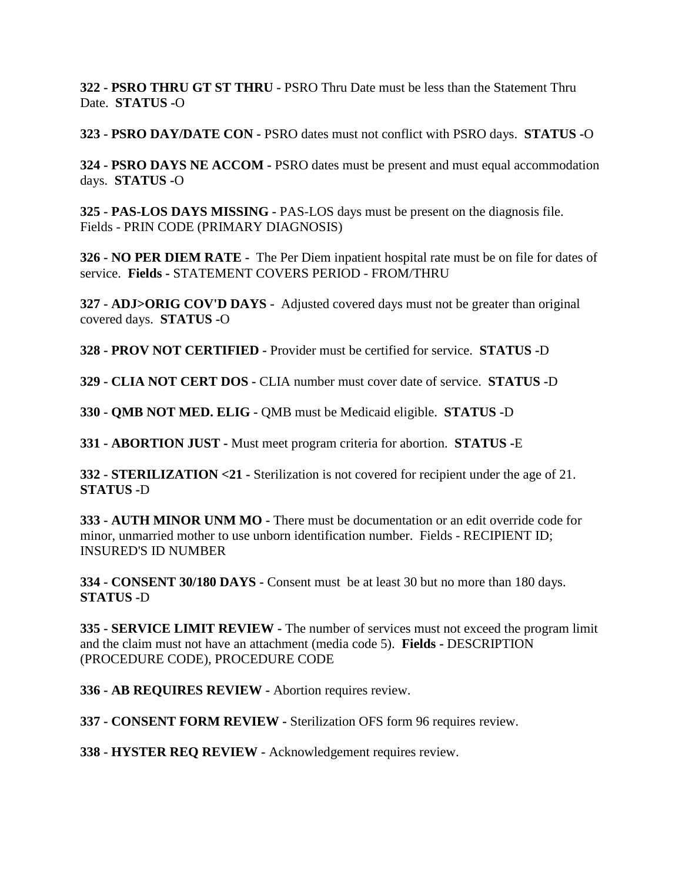**322 - PSRO THRU GT ST THRU -** PSRO Thru Date must be less than the Statement Thru Date. **STATUS -**O

**323 - PSRO DAY/DATE CON -** PSRO dates must not conflict with PSRO days. **STATUS -**O

**324 - PSRO DAYS NE ACCOM -** PSRO dates must be present and must equal accommodation days. **STATUS -**O

**325 - PAS-LOS DAYS MISSING -** PAS-LOS days must be present on the diagnosis file. Fields - PRIN CODE (PRIMARY DIAGNOSIS)

**326 - NO PER DIEM RATE -** The Per Diem inpatient hospital rate must be on file for dates of service. **Fields -** STATEMENT COVERS PERIOD - FROM/THRU

**327 - ADJ>ORIG COV'D DAYS -** Adjusted covered days must not be greater than original covered days. **STATUS -**O

**328 - PROV NOT CERTIFIED -** Provider must be certified for service. **STATUS -**D

**329 - CLIA NOT CERT DOS -** CLIA number must cover date of service. **STATUS -**D

**330 - QMB NOT MED. ELIG -** QMB must be Medicaid eligible. **STATUS -**D

**331 - ABORTION JUST -** Must meet program criteria for abortion. **STATUS -**E

**332 - STERILIZATION <21 -** Sterilization is not covered for recipient under the age of 21. **STATUS -**D

**333 - AUTH MINOR UNM MO -** There must be documentation or an edit override code for minor, unmarried mother to use unborn identification number. Fields - RECIPIENT ID; INSURED'S ID NUMBER

**334 - CONSENT 30/180 DAYS -** Consent must be at least 30 but no more than 180 days. **STATUS -**D

**335 - SERVICE LIMIT REVIEW -** The number of services must not exceed the program limit and the claim must not have an attachment (media code 5). **Fields -** DESCRIPTION (PROCEDURE CODE), PROCEDURE CODE

**336 - AB REQUIRES REVIEW -** Abortion requires review.

**337 - CONSENT FORM REVIEW -** Sterilization OFS form 96 requires review.

**338 - HYSTER REQ REVIEW -** Acknowledgement requires review.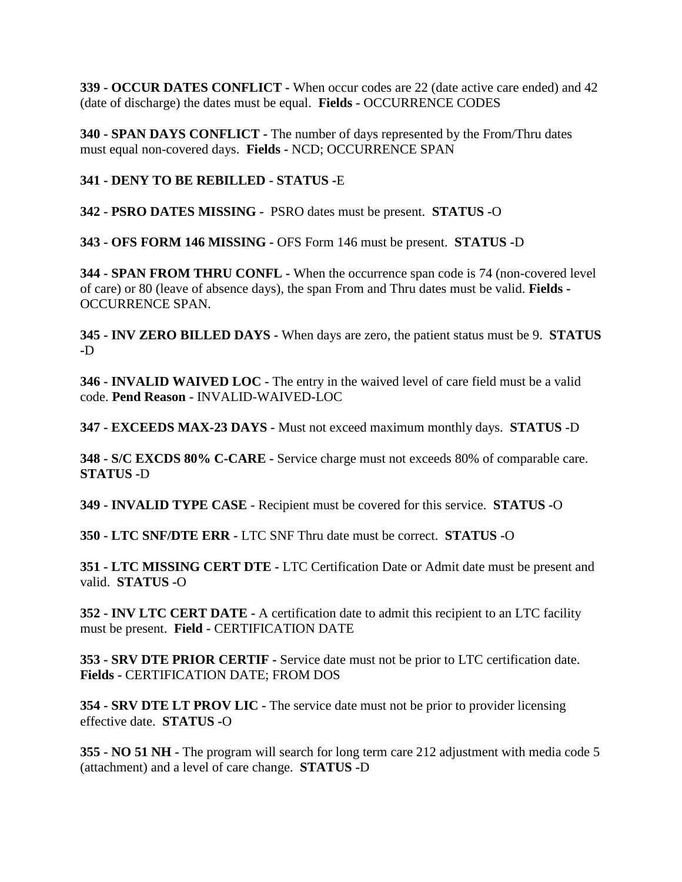**339 - OCCUR DATES CONFLICT -** When occur codes are 22 (date active care ended) and 42 (date of discharge) the dates must be equal. **Fields -** OCCURRENCE CODES

**340 - SPAN DAYS CONFLICT -** The number of days represented by the From/Thru dates must equal non-covered days. **Fields -** NCD; OCCURRENCE SPAN

**341 - DENY TO BE REBILLED - STATUS -**E

**342 - PSRO DATES MISSING -** PSRO dates must be present. **STATUS -**O

**343 - OFS FORM 146 MISSING -** OFS Form 146 must be present. **STATUS -**D

**344 - SPAN FROM THRU CONFL -** When the occurrence span code is 74 (non-covered level of care) or 80 (leave of absence days), the span From and Thru dates must be valid. **Fields -** OCCURRENCE SPAN.

**345 - INV ZERO BILLED DAYS -** When days are zero, the patient status must be 9. **STATUS -**D

**346 - INVALID WAIVED LOC -** The entry in the waived level of care field must be a valid code. **Pend Reason -** INVALID-WAIVED-LOC

**347 - EXCEEDS MAX-23 DAYS -** Must not exceed maximum monthly days. **STATUS -**D

**348 - S/C EXCDS 80% C-CARE -** Service charge must not exceeds 80% of comparable care. **STATUS -**D

**349 - INVALID TYPE CASE -** Recipient must be covered for this service. **STATUS -**O

**350 - LTC SNF/DTE ERR -** LTC SNF Thru date must be correct. **STATUS -**O

**351 - LTC MISSING CERT DTE -** LTC Certification Date or Admit date must be present and valid. **STATUS -**O

**352 - INV LTC CERT DATE -** A certification date to admit this recipient to an LTC facility must be present. **Field -** CERTIFICATION DATE

**353 - SRV DTE PRIOR CERTIF -** Service date must not be prior to LTC certification date. **Fields -** CERTIFICATION DATE; FROM DOS

**354 - SRV DTE LT PROV LIC -** The service date must not be prior to provider licensing effective date. **STATUS -**O

**355 - NO 51 NH -** The program will search for long term care 212 adjustment with media code 5 (attachment) and a level of care change. **STATUS -**D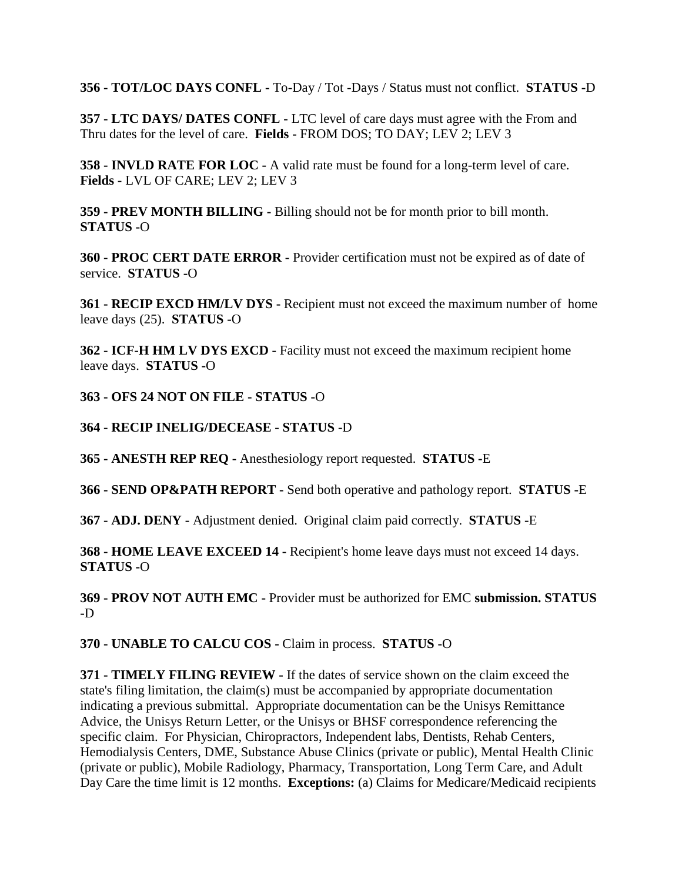**356 - TOT/LOC DAYS CONFL -** To-Day / Tot -Days / Status must not conflict. **STATUS -**D

**357 - LTC DAYS/ DATES CONFL -** LTC level of care days must agree with the From and Thru dates for the level of care. **Fields -** FROM DOS; TO DAY; LEV 2; LEV 3

**358 - INVLD RATE FOR LOC -** A valid rate must be found for a long-term level of care. **Fields -** LVL OF CARE; LEV 2; LEV 3

**359 - PREV MONTH BILLING -** Billing should not be for month prior to bill month. **STATUS -**O

**360 - PROC CERT DATE ERROR -** Provider certification must not be expired as of date of service. **STATUS -**O

**361 - RECIP EXCD HM/LV DYS -** Recipient must not exceed the maximum number of home leave days (25). **STATUS -**O

**362 - ICF-H HM LV DYS EXCD -** Facility must not exceed the maximum recipient home leave days. **STATUS -**O

**363 - OFS 24 NOT ON FILE - STATUS -**O

**364 - RECIP INELIG/DECEASE - STATUS -**D

**365 - ANESTH REP REQ -** Anesthesiology report requested. **STATUS -**E

**366 - SEND OP&PATH REPORT -** Send both operative and pathology report. **STATUS -**E

**367 - ADJ. DENY -** Adjustment denied. Original claim paid correctly. **STATUS -**E

**368 - HOME LEAVE EXCEED 14 -** Recipient's home leave days must not exceed 14 days. **STATUS -**O

**369 - PROV NOT AUTH EMC -** Provider must be authorized for EMC **submission. STATUS -**D

**370 - UNABLE TO CALCU COS -** Claim in process. **STATUS -**O

**371 - TIMELY FILING REVIEW -** If the dates of service shown on the claim exceed the state's filing limitation, the claim(s) must be accompanied by appropriate documentation indicating a previous submittal. Appropriate documentation can be the Unisys Remittance Advice, the Unisys Return Letter, or the Unisys or BHSF correspondence referencing the specific claim. For Physician, Chiropractors, Independent labs, Dentists, Rehab Centers, Hemodialysis Centers, DME, Substance Abuse Clinics (private or public), Mental Health Clinic (private or public), Mobile Radiology, Pharmacy, Transportation, Long Term Care, and Adult Day Care the time limit is 12 months. **Exceptions:** (a) Claims for Medicare/Medicaid recipients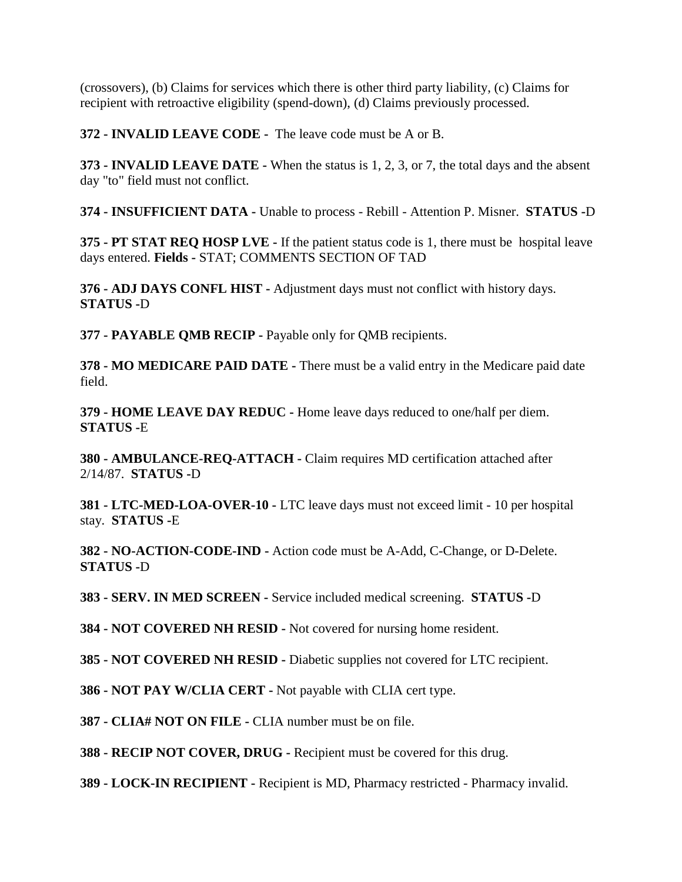(crossovers), (b) Claims for services which there is other third party liability, (c) Claims for recipient with retroactive eligibility (spend-down), (d) Claims previously processed.

**372 - INVALID LEAVE CODE -** The leave code must be A or B.

**373 - INVALID LEAVE DATE -** When the status is 1, 2, 3, or 7, the total days and the absent day "to" field must not conflict.

**374 - INSUFFICIENT DATA -** Unable to process - Rebill - Attention P. Misner. **STATUS -**D

**375 - PT STAT REQ HOSP LVE -** If the patient status code is 1, there must be hospital leave days entered. **Fields -** STAT; COMMENTS SECTION OF TAD

**376 - ADJ DAYS CONFL HIST -** Adjustment days must not conflict with history days. **STATUS -**D

**377 - PAYABLE QMB RECIP -** Payable only for QMB recipients.

**378 - MO MEDICARE PAID DATE -** There must be a valid entry in the Medicare paid date field.

**379 - HOME LEAVE DAY REDUC -** Home leave days reduced to one/half per diem. **STATUS -**E

**380 - AMBULANCE-REQ-ATTACH -** Claim requires MD certification attached after 2/14/87. **STATUS -**D

**381 - LTC-MED-LOA-OVER-10 -** LTC leave days must not exceed limit - 10 per hospital stay. **STATUS -**E

**382 - NO-ACTION-CODE-IND -** Action code must be A-Add, C-Change, or D-Delete. **STATUS -**D

**383 - SERV. IN MED SCREEN -** Service included medical screening. **STATUS -**D

**384 - NOT COVERED NH RESID -** Not covered for nursing home resident.

**385 - NOT COVERED NH RESID -** Diabetic supplies not covered for LTC recipient.

**386 - NOT PAY W/CLIA CERT -** Not payable with CLIA cert type.

**387 - CLIA# NOT ON FILE -** CLIA number must be on file.

**388 - RECIP NOT COVER, DRUG -** Recipient must be covered for this drug.

**389 - LOCK-IN RECIPIENT -** Recipient is MD, Pharmacy restricted - Pharmacy invalid.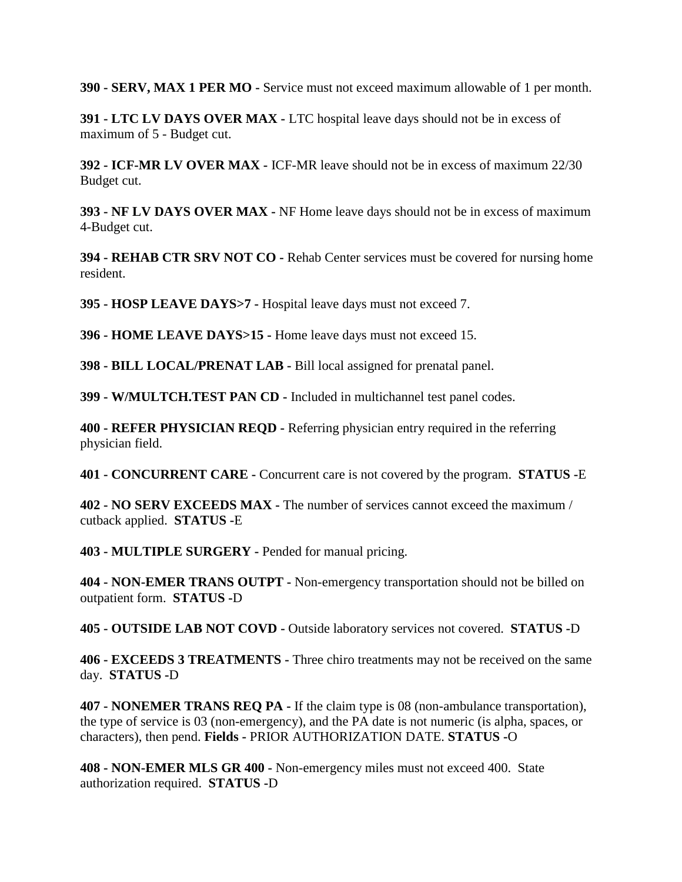**390 - SERV, MAX 1 PER MO -** Service must not exceed maximum allowable of 1 per month.

**391 - LTC LV DAYS OVER MAX -** LTC hospital leave days should not be in excess of maximum of 5 - Budget cut.

**392 - ICF-MR LV OVER MAX -** ICF-MR leave should not be in excess of maximum 22/30 Budget cut.

**393 - NF LV DAYS OVER MAX -** NF Home leave days should not be in excess of maximum 4-Budget cut.

**394 - REHAB CTR SRV NOT CO -** Rehab Center services must be covered for nursing home resident.

**395 - HOSP LEAVE DAYS>7 -** Hospital leave days must not exceed 7.

**396 - HOME LEAVE DAYS>15 -** Home leave days must not exceed 15.

**398 - BILL LOCAL/PRENAT LAB -** Bill local assigned for prenatal panel.

**399 - W/MULTCH.TEST PAN CD -** Included in multichannel test panel codes.

**400 - REFER PHYSICIAN REQD -** Referring physician entry required in the referring physician field.

**401 - CONCURRENT CARE -** Concurrent care is not covered by the program. **STATUS -**E

**402 - NO SERV EXCEEDS MAX -** The number of services cannot exceed the maximum / cutback applied. **STATUS -**E

**403 - MULTIPLE SURGERY -** Pended for manual pricing.

**404 - NON-EMER TRANS OUTPT -** Non-emergency transportation should not be billed on outpatient form. **STATUS -**D

**405 - OUTSIDE LAB NOT COVD -** Outside laboratory services not covered. **STATUS -**D

**406 - EXCEEDS 3 TREATMENTS -** Three chiro treatments may not be received on the same day. **STATUS -**D

**407 - NONEMER TRANS REQ PA -** If the claim type is 08 (non-ambulance transportation), the type of service is 03 (non-emergency), and the PA date is not numeric (is alpha, spaces, or characters), then pend. **Fields -** PRIOR AUTHORIZATION DATE. **STATUS -**O

**408 - NON-EMER MLS GR 400 -** Non-emergency miles must not exceed 400. State authorization required. **STATUS -**D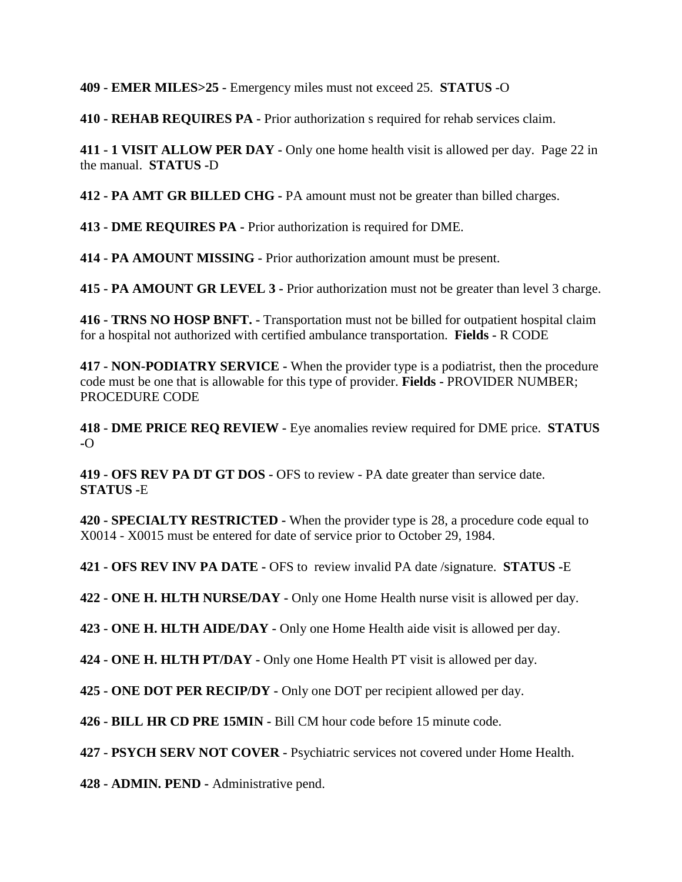**409 - EMER MILES>25 -** Emergency miles must not exceed 25. **STATUS -**O

**410 - REHAB REQUIRES PA -** Prior authorization s required for rehab services claim.

**411 - 1 VISIT ALLOW PER DAY -** Only one home health visit is allowed per day. Page 22 in the manual. **STATUS -**D

**412 - PA AMT GR BILLED CHG -** PA amount must not be greater than billed charges.

**413 - DME REQUIRES PA -** Prior authorization is required for DME.

**414 - PA AMOUNT MISSING -** Prior authorization amount must be present.

**415 - PA AMOUNT GR LEVEL 3 -** Prior authorization must not be greater than level 3 charge.

**416 - TRNS NO HOSP BNFT. -** Transportation must not be billed for outpatient hospital claim for a hospital not authorized with certified ambulance transportation. **Fields -** R CODE

**417 - NON-PODIATRY SERVICE -** When the provider type is a podiatrist, then the procedure code must be one that is allowable for this type of provider. **Fields -** PROVIDER NUMBER; PROCEDURE CODE

**418 - DME PRICE REQ REVIEW -** Eye anomalies review required for DME price. **STATUS -**O

**419 - OFS REV PA DT GT DOS -** OFS to review - PA date greater than service date. **STATUS -**E

**420 - SPECIALTY RESTRICTED -** When the provider type is 28, a procedure code equal to X0014 - X0015 must be entered for date of service prior to October 29, 1984.

**421 - OFS REV INV PA DATE -** OFS to review invalid PA date /signature. **STATUS -**E

**422 - ONE H. HLTH NURSE/DAY -** Only one Home Health nurse visit is allowed per day.

**423 - ONE H. HLTH AIDE/DAY -** Only one Home Health aide visit is allowed per day.

**424 - ONE H. HLTH PT/DAY -** Only one Home Health PT visit is allowed per day.

**425 - ONE DOT PER RECIP/DY -** Only one DOT per recipient allowed per day.

**426 - BILL HR CD PRE 15MIN -** Bill CM hour code before 15 minute code.

**427 - PSYCH SERV NOT COVER -** Psychiatric services not covered under Home Health.

**428 - ADMIN. PEND -** Administrative pend.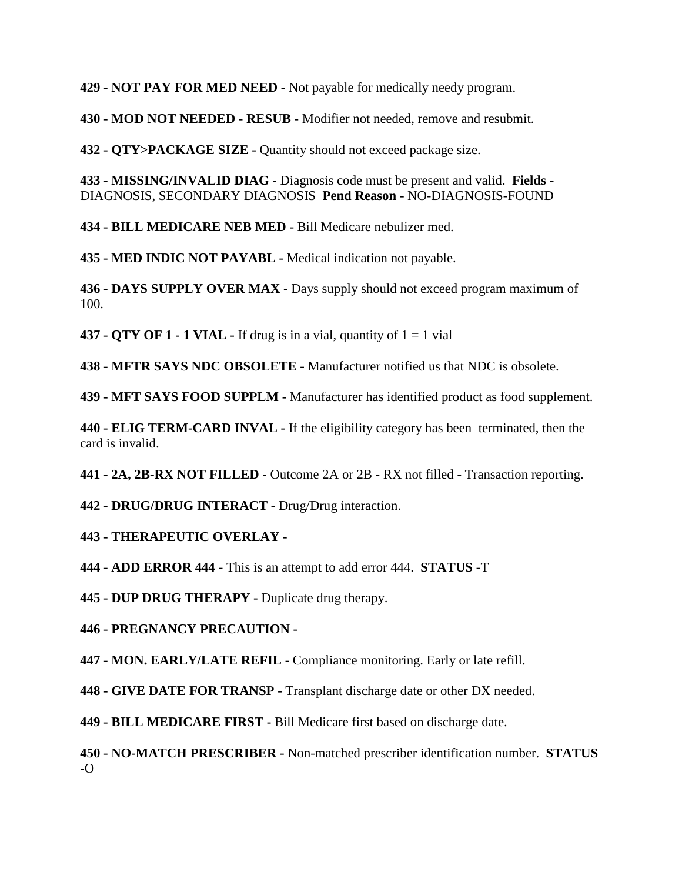**429 - NOT PAY FOR MED NEED -** Not payable for medically needy program.

**430 - MOD NOT NEEDED - RESUB -** Modifier not needed, remove and resubmit.

**432 - QTY>PACKAGE SIZE -** Quantity should not exceed package size.

**433 - MISSING/INVALID DIAG -** Diagnosis code must be present and valid. **Fields -** DIAGNOSIS, SECONDARY DIAGNOSIS **Pend Reason -** NO-DIAGNOSIS-FOUND

**434 - BILL MEDICARE NEB MED -** Bill Medicare nebulizer med.

**435 - MED INDIC NOT PAYABL -** Medical indication not payable.

**436 - DAYS SUPPLY OVER MAX -** Days supply should not exceed program maximum of 100.

**437 - QTY OF 1 - 1 VIAL -** If drug is in a vial, quantity of 1 = 1 vial

**438 - MFTR SAYS NDC OBSOLETE -** Manufacturer notified us that NDC is obsolete.

**439 - MFT SAYS FOOD SUPPLM -** Manufacturer has identified product as food supplement.

**440 - ELIG TERM-CARD INVAL -** If the eligibility category has been terminated, then the card is invalid.

**441 - 2A, 2B-RX NOT FILLED -** Outcome 2A or 2B - RX not filled - Transaction reporting.

**442 - DRUG/DRUG INTERACT -** Drug/Drug interaction.

#### **443 - THERAPEUTIC OVERLAY -**

**444 - ADD ERROR 444 -** This is an attempt to add error 444. **STATUS -**T

**445 - DUP DRUG THERAPY -** Duplicate drug therapy.

**446 - PREGNANCY PRECAUTION -**

**447 - MON. EARLY/LATE REFIL -** Compliance monitoring. Early or late refill.

**448 - GIVE DATE FOR TRANSP -** Transplant discharge date or other DX needed.

**449 - BILL MEDICARE FIRST -** Bill Medicare first based on discharge date.

**450 - NO-MATCH PRESCRIBER -** Non-matched prescriber identification number. **STATUS -**O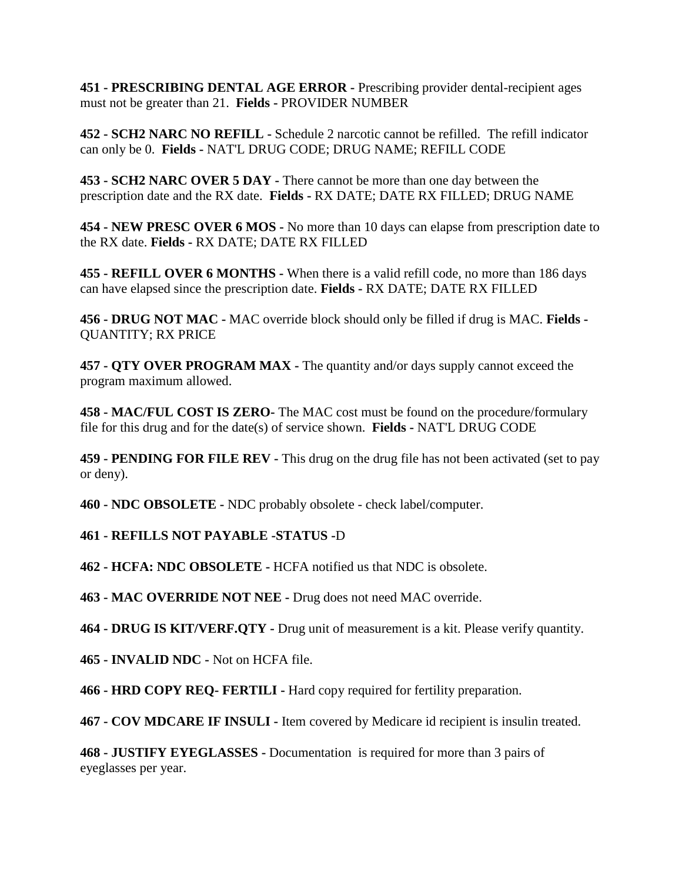**451 - PRESCRIBING DENTAL AGE ERROR -** Prescribing provider dental-recipient ages must not be greater than 21. **Fields -** PROVIDER NUMBER

**452 - SCH2 NARC NO REFILL -** Schedule 2 narcotic cannot be refilled. The refill indicator can only be 0. **Fields -** NAT'L DRUG CODE; DRUG NAME; REFILL CODE

**453 - SCH2 NARC OVER 5 DAY -** There cannot be more than one day between the prescription date and the RX date. **Fields -** RX DATE; DATE RX FILLED; DRUG NAME

**454 - NEW PRESC OVER 6 MOS -** No more than 10 days can elapse from prescription date to the RX date. **Fields -** RX DATE; DATE RX FILLED

**455 - REFILL OVER 6 MONTHS -** When there is a valid refill code, no more than 186 days can have elapsed since the prescription date. **Fields -** RX DATE; DATE RX FILLED

**456 - DRUG NOT MAC -** MAC override block should only be filled if drug is MAC. **Fields -** QUANTITY; RX PRICE

**457 - QTY OVER PROGRAM MAX -** The quantity and/or days supply cannot exceed the program maximum allowed.

**458 - MAC/FUL COST IS ZERO-** The MAC cost must be found on the procedure/formulary file for this drug and for the date(s) of service shown. **Fields -** NAT'L DRUG CODE

**459 - PENDING FOR FILE REV -** This drug on the drug file has not been activated (set to pay or deny).

**460 - NDC OBSOLETE -** NDC probably obsolete - check label/computer.

# **461 - REFILLS NOT PAYABLE -STATUS -**D

**462 - HCFA: NDC OBSOLETE -** HCFA notified us that NDC is obsolete.

**463 - MAC OVERRIDE NOT NEE -** Drug does not need MAC override.

**464 - DRUG IS KIT/VERF.QTY -** Drug unit of measurement is a kit. Please verify quantity.

**465 - INVALID NDC -** Not on HCFA file.

**466 - HRD COPY REQ- FERTILI -** Hard copy required for fertility preparation.

**467 - COV MDCARE IF INSULI -** Item covered by Medicare id recipient is insulin treated.

**468 - JUSTIFY EYEGLASSES -** Documentation is required for more than 3 pairs of eyeglasses per year.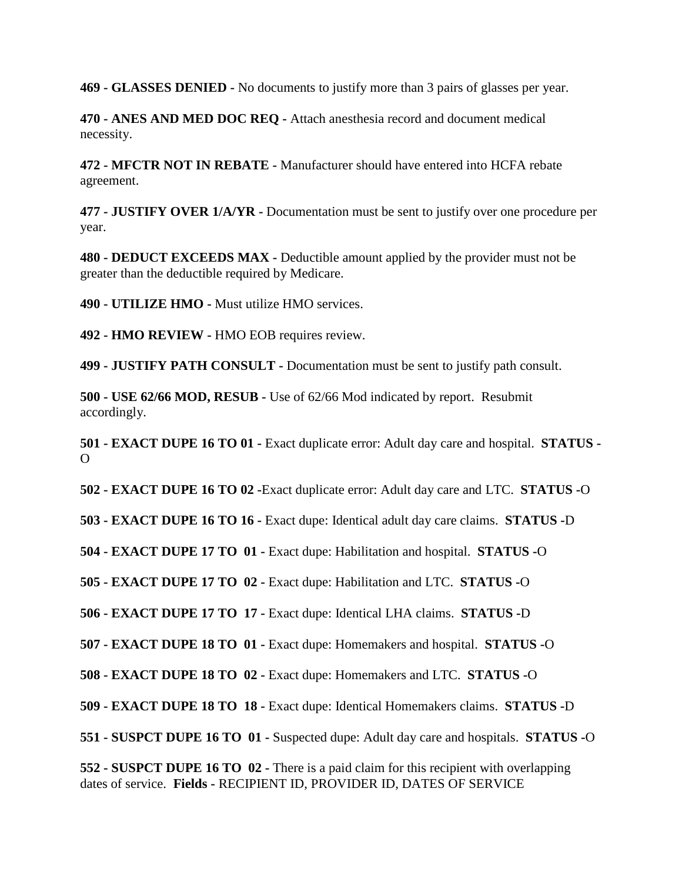**469 - GLASSES DENIED -** No documents to justify more than 3 pairs of glasses per year.

**470 - ANES AND MED DOC REQ -** Attach anesthesia record and document medical necessity.

**472 - MFCTR NOT IN REBATE -** Manufacturer should have entered into HCFA rebate agreement.

**477 - JUSTIFY OVER 1/A/YR -** Documentation must be sent to justify over one procedure per year.

**480 - DEDUCT EXCEEDS MAX -** Deductible amount applied by the provider must not be greater than the deductible required by Medicare.

**490 - UTILIZE HMO -** Must utilize HMO services.

**492 - HMO REVIEW -** HMO EOB requires review.

**499 - JUSTIFY PATH CONSULT -** Documentation must be sent to justify path consult.

**500 - USE 62/66 MOD, RESUB -** Use of 62/66 Mod indicated by report. Resubmit accordingly.

**501 - EXACT DUPE 16 TO 01 -** Exact duplicate error: Adult day care and hospital. **STATUS -**  $\Omega$ 

**502 - EXACT DUPE 16 TO 02 -**Exact duplicate error: Adult day care and LTC. **STATUS -**O

**503 - EXACT DUPE 16 TO 16 -** Exact dupe: Identical adult day care claims. **STATUS -**D

**504 - EXACT DUPE 17 TO 01 -** Exact dupe: Habilitation and hospital. **STATUS -**O

**505 - EXACT DUPE 17 TO 02 -** Exact dupe: Habilitation and LTC. **STATUS -**O

**506 - EXACT DUPE 17 TO 17 -** Exact dupe: Identical LHA claims. **STATUS -**D

**507 - EXACT DUPE 18 TO 01 -** Exact dupe: Homemakers and hospital. **STATUS -**O

**508 - EXACT DUPE 18 TO 02 -** Exact dupe: Homemakers and LTC. **STATUS -**O

**509 - EXACT DUPE 18 TO 18 -** Exact dupe: Identical Homemakers claims. **STATUS -**D

**551 - SUSPCT DUPE 16 TO 01 -** Suspected dupe: Adult day care and hospitals. **STATUS -**O

**552 - SUSPCT DUPE 16 TO 02 -** There is a paid claim for this recipient with overlapping dates of service. **Fields -** RECIPIENT ID, PROVIDER ID, DATES OF SERVICE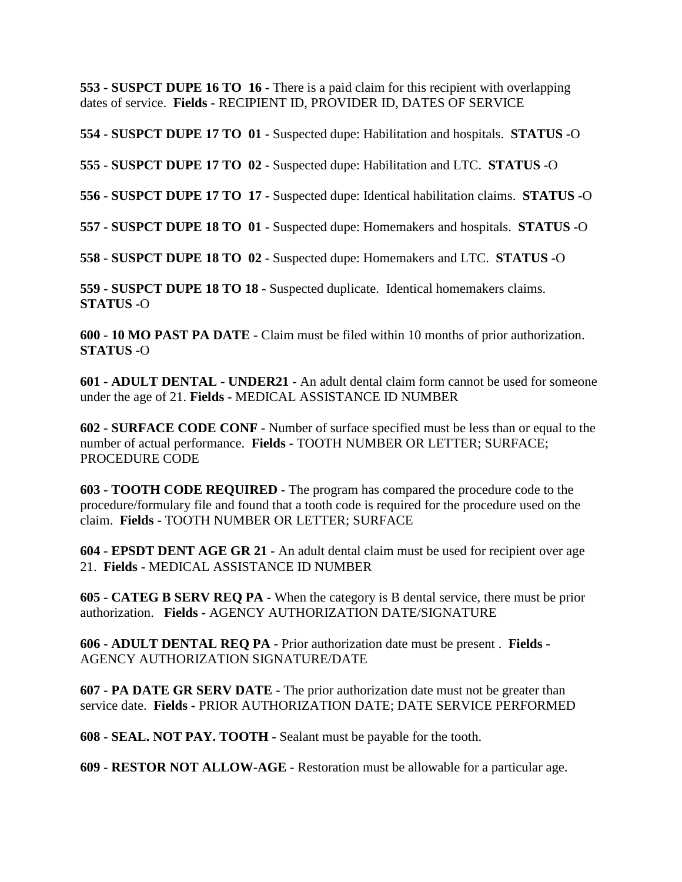**553 - SUSPCT DUPE 16 TO 16 -** There is a paid claim for this recipient with overlapping dates of service. **Fields -** RECIPIENT ID, PROVIDER ID, DATES OF SERVICE

**554 - SUSPCT DUPE 17 TO 01 -** Suspected dupe: Habilitation and hospitals. **STATUS -**O

**555 - SUSPCT DUPE 17 TO 02 -** Suspected dupe: Habilitation and LTC. **STATUS -**O

**556 - SUSPCT DUPE 17 TO 17 -** Suspected dupe: Identical habilitation claims. **STATUS -**O

**557 - SUSPCT DUPE 18 TO 01 -** Suspected dupe: Homemakers and hospitals. **STATUS -**O

**558 - SUSPCT DUPE 18 TO 02 -** Suspected dupe: Homemakers and LTC. **STATUS -**O

**559 - SUSPCT DUPE 18 TO 18 -** Suspected duplicate. Identical homemakers claims. **STATUS -**O

**600 - 10 MO PAST PA DATE -** Claim must be filed within 10 months of prior authorization. **STATUS -**O

**601 - ADULT DENTAL - UNDER21 -** An adult dental claim form cannot be used for someone under the age of 21. **Fields -** MEDICAL ASSISTANCE ID NUMBER

**602 - SURFACE CODE CONF -** Number of surface specified must be less than or equal to the number of actual performance. **Fields -** TOOTH NUMBER OR LETTER; SURFACE; PROCEDURE CODE

**603 - TOOTH CODE REQUIRED -** The program has compared the procedure code to the procedure/formulary file and found that a tooth code is required for the procedure used on the claim. **Fields -** TOOTH NUMBER OR LETTER; SURFACE

**604 - EPSDT DENT AGE GR 21 -** An adult dental claim must be used for recipient over age 21. **Fields -** MEDICAL ASSISTANCE ID NUMBER

**605 - CATEG B SERV REQ PA -** When the category is B dental service, there must be prior authorization. **Fields -** AGENCY AUTHORIZATION DATE/SIGNATURE

**606 - ADULT DENTAL REQ PA -** Prior authorization date must be present . **Fields -** AGENCY AUTHORIZATION SIGNATURE/DATE

**607 - PA DATE GR SERV DATE -** The prior authorization date must not be greater than service date. **Fields -** PRIOR AUTHORIZATION DATE; DATE SERVICE PERFORMED

**608 - SEAL. NOT PAY. TOOTH -** Sealant must be payable for the tooth.

**609 - RESTOR NOT ALLOW-AGE -** Restoration must be allowable for a particular age.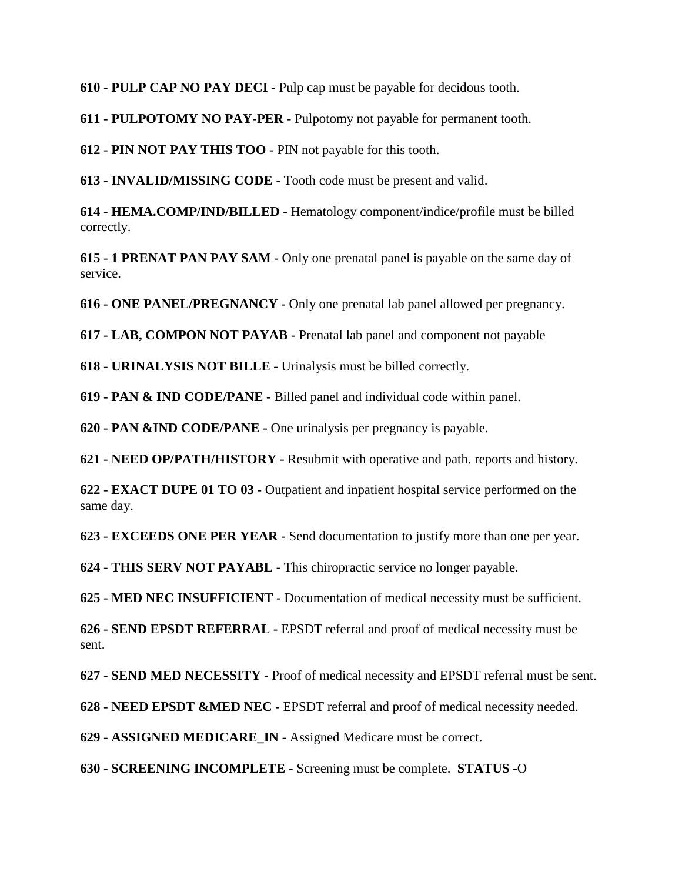**610 - PULP CAP NO PAY DECI -** Pulp cap must be payable for decidous tooth.

**611 - PULPOTOMY NO PAY-PER -** Pulpotomy not payable for permanent tooth.

**612 - PIN NOT PAY THIS TOO -** PIN not payable for this tooth.

**613 - INVALID/MISSING CODE -** Tooth code must be present and valid.

**614 - HEMA.COMP/IND/BILLED -** Hematology component/indice/profile must be billed correctly.

**615 - 1 PRENAT PAN PAY SAM -** Only one prenatal panel is payable on the same day of service.

**616 - ONE PANEL/PREGNANCY -** Only one prenatal lab panel allowed per pregnancy.

**617 - LAB, COMPON NOT PAYAB -** Prenatal lab panel and component not payable

**618 - URINALYSIS NOT BILLE -** Urinalysis must be billed correctly.

**619 - PAN & IND CODE/PANE -** Billed panel and individual code within panel.

**620 - PAN &IND CODE/PANE -** One urinalysis per pregnancy is payable.

**621 - NEED OP/PATH/HISTORY -** Resubmit with operative and path. reports and history.

**622 - EXACT DUPE 01 TO 03 -** Outpatient and inpatient hospital service performed on the same day.

**623 - EXCEEDS ONE PER YEAR -** Send documentation to justify more than one per year.

**624 - THIS SERV NOT PAYABL -** This chiropractic service no longer payable.

**625 - MED NEC INSUFFICIENT -** Documentation of medical necessity must be sufficient.

**626 - SEND EPSDT REFERRAL -** EPSDT referral and proof of medical necessity must be sent.

**627 - SEND MED NECESSITY -** Proof of medical necessity and EPSDT referral must be sent.

**628 - NEED EPSDT &MED NEC -** EPSDT referral and proof of medical necessity needed.

**629 - ASSIGNED MEDICARE\_IN -** Assigned Medicare must be correct.

**630 - SCREENING INCOMPLETE -** Screening must be complete. **STATUS -**O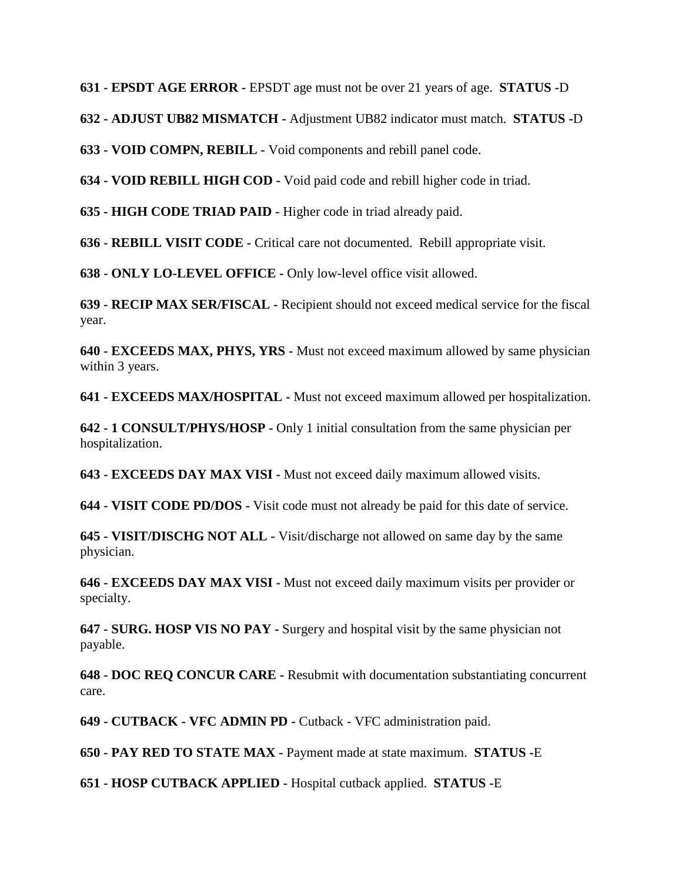**631 - EPSDT AGE ERROR -** EPSDT age must not be over 21 years of age. **STATUS -**D

**632 - ADJUST UB82 MISMATCH -** Adjustment UB82 indicator must match. **STATUS -**D

**633 - VOID COMPN, REBILL -** Void components and rebill panel code.

**634 - VOID REBILL HIGH COD -** Void paid code and rebill higher code in triad.

**635 - HIGH CODE TRIAD PAID -** Higher code in triad already paid.

**636 - REBILL VISIT CODE -** Critical care not documented. Rebill appropriate visit.

**638 - ONLY LO-LEVEL OFFICE -** Only low-level office visit allowed.

**639 - RECIP MAX SER/FISCAL -** Recipient should not exceed medical service for the fiscal year.

**640 - EXCEEDS MAX, PHYS, YRS -** Must not exceed maximum allowed by same physician within 3 years.

**641 - EXCEEDS MAX/HOSPITAL -** Must not exceed maximum allowed per hospitalization.

**642 - 1 CONSULT/PHYS/HOSP -** Only 1 initial consultation from the same physician per hospitalization.

**643 - EXCEEDS DAY MAX VISI -** Must not exceed daily maximum allowed visits.

**644 - VISIT CODE PD/DOS -** Visit code must not already be paid for this date of service.

**645 - VISIT/DISCHG NOT ALL -** Visit/discharge not allowed on same day by the same physician.

**646 - EXCEEDS DAY MAX VISI -** Must not exceed daily maximum visits per provider or specialty.

**647 - SURG. HOSP VIS NO PAY -** Surgery and hospital visit by the same physician not payable.

**648 - DOC REQ CONCUR CARE -** Resubmit with documentation substantiating concurrent care.

**649 - CUTBACK - VFC ADMIN PD -** Cutback - VFC administration paid.

**650 - PAY RED TO STATE MAX -** Payment made at state maximum. **STATUS -**E

**651 - HOSP CUTBACK APPLIED -** Hospital cutback applied. **STATUS -**E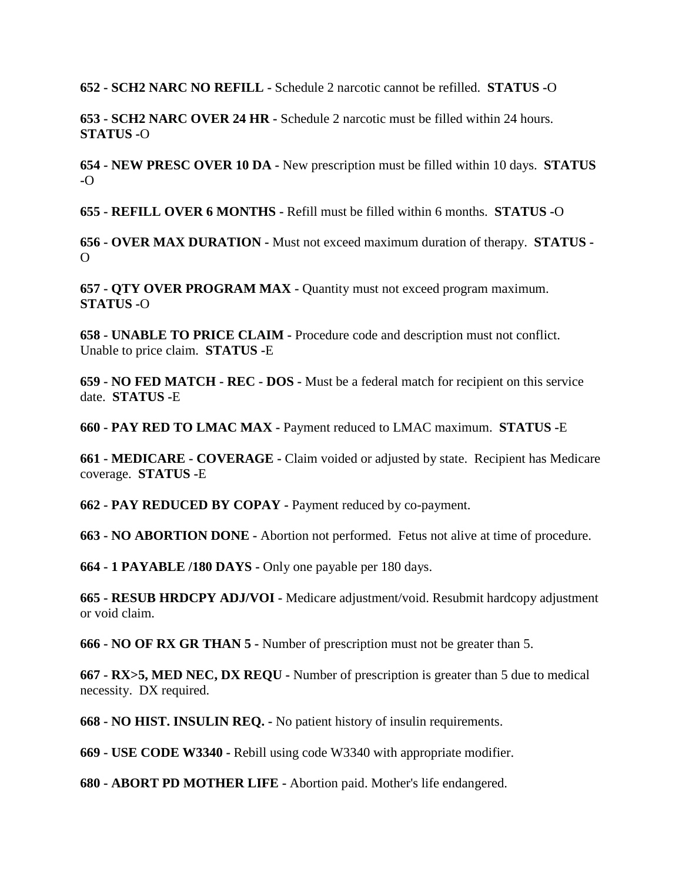**652 - SCH2 NARC NO REFILL -** Schedule 2 narcotic cannot be refilled. **STATUS -**O

**653 - SCH2 NARC OVER 24 HR -** Schedule 2 narcotic must be filled within 24 hours. **STATUS -**O

**654 - NEW PRESC OVER 10 DA -** New prescription must be filled within 10 days. **STATUS -**O

**655 - REFILL OVER 6 MONTHS -** Refill must be filled within 6 months. **STATUS -**O

**656 - OVER MAX DURATION -** Must not exceed maximum duration of therapy. **STATUS -**  $\Omega$ 

**657 - QTY OVER PROGRAM MAX -** Quantity must not exceed program maximum. **STATUS -**O

**658 - UNABLE TO PRICE CLAIM -** Procedure code and description must not conflict. Unable to price claim. **STATUS -**E

**659 - NO FED MATCH - REC - DOS -** Must be a federal match for recipient on this service date. **STATUS -**E

**660 - PAY RED TO LMAC MAX -** Payment reduced to LMAC maximum. **STATUS -**E

**661 - MEDICARE - COVERAGE -** Claim voided or adjusted by state. Recipient has Medicare coverage. **STATUS -**E

**662 - PAY REDUCED BY COPAY -** Payment reduced by co-payment.

**663 - NO ABORTION DONE -** Abortion not performed. Fetus not alive at time of procedure.

**664 - 1 PAYABLE /180 DAYS -** Only one payable per 180 days.

**665 - RESUB HRDCPY ADJ/VOI -** Medicare adjustment/void. Resubmit hardcopy adjustment or void claim.

**666 - NO OF RX GR THAN 5 -** Number of prescription must not be greater than 5.

**667 - RX>5, MED NEC, DX REQU -** Number of prescription is greater than 5 due to medical necessity. DX required.

**668 - NO HIST. INSULIN REQ. -** No patient history of insulin requirements.

**669 - USE CODE W3340 -** Rebill using code W3340 with appropriate modifier.

**680 - ABORT PD MOTHER LIFE -** Abortion paid. Mother's life endangered.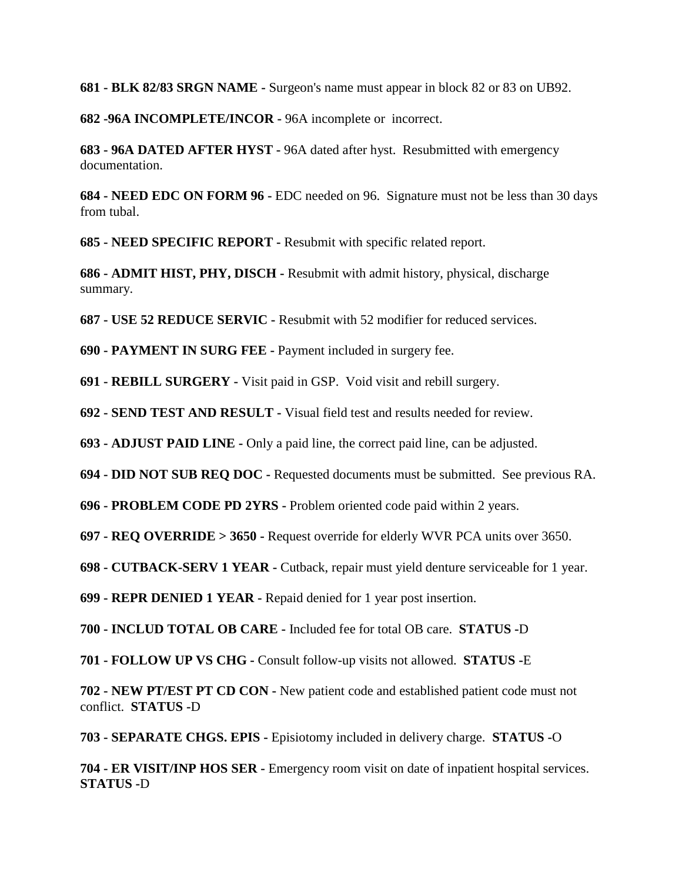**681 - BLK 82/83 SRGN NAME -** Surgeon's name must appear in block 82 or 83 on UB92.

**682 -96A INCOMPLETE/INCOR -** 96A incomplete or incorrect.

**683 - 96A DATED AFTER HYST -** 96A dated after hyst. Resubmitted with emergency documentation.

**684 - NEED EDC ON FORM 96 -** EDC needed on 96. Signature must not be less than 30 days from tubal.

**685 - NEED SPECIFIC REPORT -** Resubmit with specific related report.

**686 - ADMIT HIST, PHY, DISCH -** Resubmit with admit history, physical, discharge summary.

**687 - USE 52 REDUCE SERVIC -** Resubmit with 52 modifier for reduced services.

**690 - PAYMENT IN SURG FEE -** Payment included in surgery fee.

**691 - REBILL SURGERY -** Visit paid in GSP. Void visit and rebill surgery.

**692 - SEND TEST AND RESULT -** Visual field test and results needed for review.

**693 - ADJUST PAID LINE -** Only a paid line, the correct paid line, can be adjusted.

**694 - DID NOT SUB REQ DOC -** Requested documents must be submitted. See previous RA.

**696 - PROBLEM CODE PD 2YRS -** Problem oriented code paid within 2 years.

**697 - REQ OVERRIDE > 3650 -** Request override for elderly WVR PCA units over 3650.

**698 - CUTBACK-SERV 1 YEAR -** Cutback, repair must yield denture serviceable for 1 year.

**699 - REPR DENIED 1 YEAR -** Repaid denied for 1 year post insertion.

**700 - INCLUD TOTAL OB CARE -** Included fee for total OB care. **STATUS -**D

**701 - FOLLOW UP VS CHG -** Consult follow-up visits not allowed. **STATUS -**E

**702 - NEW PT/EST PT CD CON -** New patient code and established patient code must not conflict. **STATUS -**D

**703 - SEPARATE CHGS. EPIS -** Episiotomy included in delivery charge. **STATUS -**O

**704 - ER VISIT/INP HOS SER -** Emergency room visit on date of inpatient hospital services. **STATUS -**D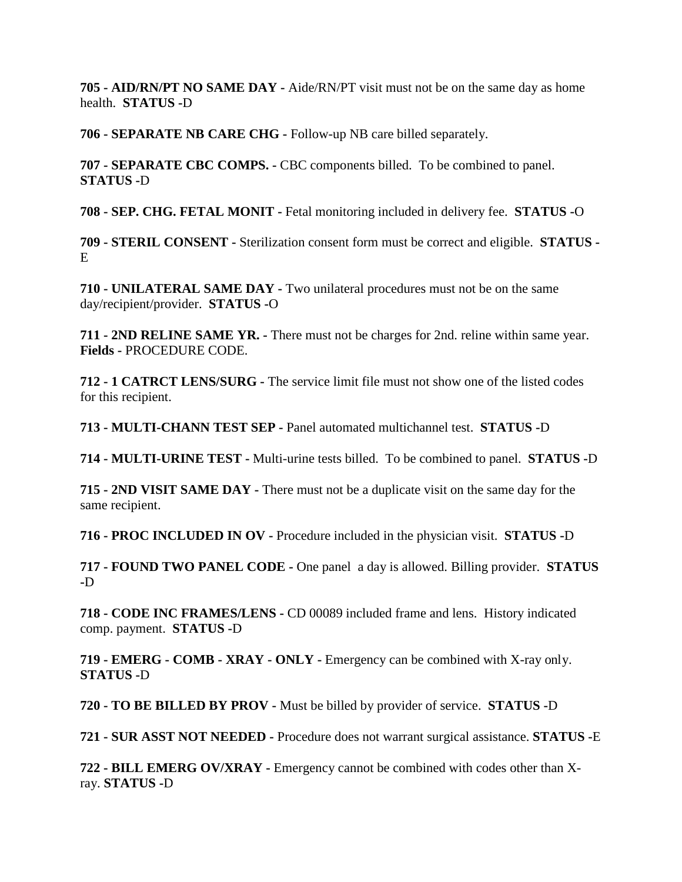**705 - AID/RN/PT NO SAME DAY -** Aide/RN/PT visit must not be on the same day as home health. **STATUS -**D

**706 - SEPARATE NB CARE CHG -** Follow-up NB care billed separately.

**707 - SEPARATE CBC COMPS. -** CBC components billed. To be combined to panel. **STATUS -**D

**708 - SEP. CHG. FETAL MONIT -** Fetal monitoring included in delivery fee. **STATUS -**O

**709 - STERIL CONSENT -** Sterilization consent form must be correct and eligible. **STATUS -**  $E$ 

**710 - UNILATERAL SAME DAY -** Two unilateral procedures must not be on the same day/recipient/provider. **STATUS -**O

**711 - 2ND RELINE SAME YR. -** There must not be charges for 2nd. reline within same year. **Fields -** PROCEDURE CODE.

**712 - 1 CATRCT LENS/SURG -** The service limit file must not show one of the listed codes for this recipient.

**713 - MULTI-CHANN TEST SEP -** Panel automated multichannel test. **STATUS -**D

**714 - MULTI-URINE TEST -** Multi-urine tests billed. To be combined to panel. **STATUS -**D

**715 - 2ND VISIT SAME DAY -** There must not be a duplicate visit on the same day for the same recipient.

**716 - PROC INCLUDED IN OV -** Procedure included in the physician visit. **STATUS -**D

**717 - FOUND TWO PANEL CODE -** One panel a day is allowed. Billing provider. **STATUS -**D

**718 - CODE INC FRAMES/LENS -** CD 00089 included frame and lens. History indicated comp. payment. **STATUS -**D

**719 - EMERG - COMB - XRAY - ONLY -** Emergency can be combined with X-ray only. **STATUS -**D

**720 - TO BE BILLED BY PROV -** Must be billed by provider of service. **STATUS -**D

**721 - SUR ASST NOT NEEDED -** Procedure does not warrant surgical assistance. **STATUS -**E

**722 - BILL EMERG OV/XRAY -** Emergency cannot be combined with codes other than Xray. **STATUS -**D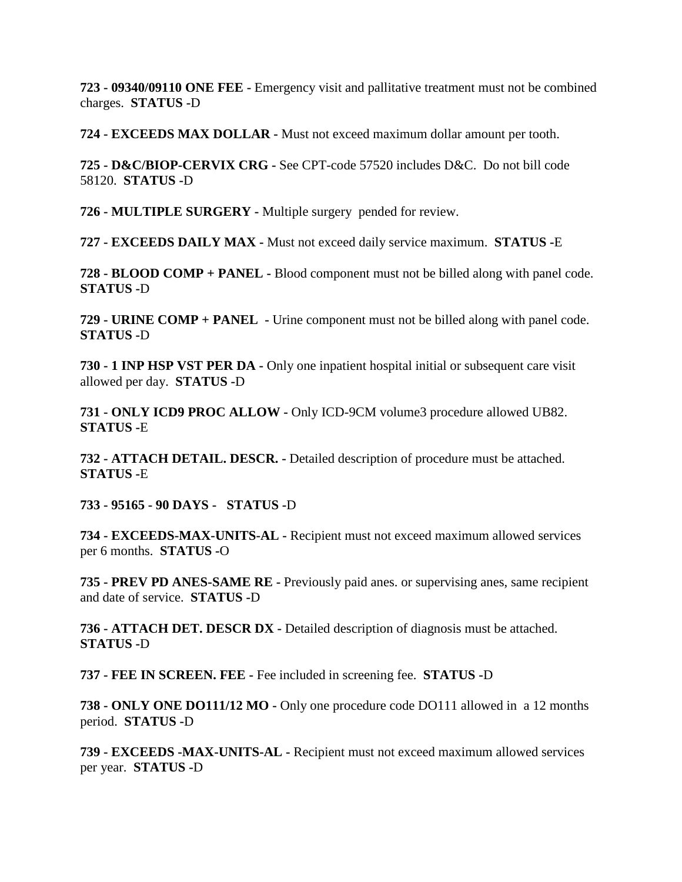**723 - 09340/09110 ONE FEE -** Emergency visit and pallitative treatment must not be combined charges. **STATUS -**D

**724 - EXCEEDS MAX DOLLAR -** Must not exceed maximum dollar amount per tooth.

**725 - D&C/BIOP-CERVIX CRG -** See CPT-code 57520 includes D&C. Do not bill code 58120. **STATUS -**D

**726 - MULTIPLE SURGERY -** Multiple surgery pended for review.

**727 - EXCEEDS DAILY MAX -** Must not exceed daily service maximum. **STATUS -**E

**728 - BLOOD COMP + PANEL -** Blood component must not be billed along with panel code. **STATUS -**D

**729 - URINE COMP + PANEL -** Urine component must not be billed along with panel code. **STATUS -**D

**730 - 1 INP HSP VST PER DA -** Only one inpatient hospital initial or subsequent care visit allowed per day. **STATUS -**D

**731 - ONLY ICD9 PROC ALLOW -** Only ICD-9CM volume3 procedure allowed UB82. **STATUS -**E

**732 - ATTACH DETAIL. DESCR. -** Detailed description of procedure must be attached. **STATUS -**E

**733 - 95165 - 90 DAYS - STATUS -**D

**734 - EXCEEDS-MAX-UNITS-AL -** Recipient must not exceed maximum allowed services per 6 months. **STATUS -**O

**735 - PREV PD ANES-SAME RE -** Previously paid anes. or supervising anes, same recipient and date of service. **STATUS -**D

**736 - ATTACH DET. DESCR DX -** Detailed description of diagnosis must be attached. **STATUS -**D

**737 - FEE IN SCREEN. FEE -** Fee included in screening fee. **STATUS -**D

**738 - ONLY ONE DO111/12 MO -** Only one procedure code DO111 allowed in a 12 months period. **STATUS -**D

**739 - EXCEEDS -MAX-UNITS-AL -** Recipient must not exceed maximum allowed services per year. **STATUS -**D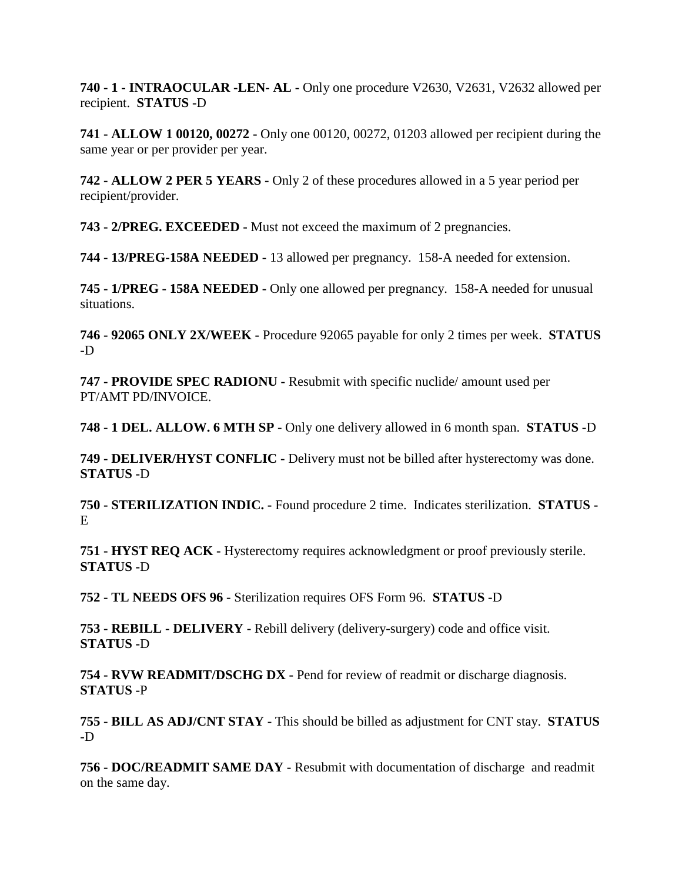**740 - 1 - INTRAOCULAR -LEN- AL -** Only one procedure V2630, V2631, V2632 allowed per recipient. **STATUS -**D

**741 - ALLOW 1 00120, 00272 -** Only one 00120, 00272, 01203 allowed per recipient during the same year or per provider per year.

**742 - ALLOW 2 PER 5 YEARS -** Only 2 of these procedures allowed in a 5 year period per recipient/provider.

**743 - 2/PREG. EXCEEDED -** Must not exceed the maximum of 2 pregnancies.

**744 - 13/PREG-158A NEEDED -** 13 allowed per pregnancy. 158-A needed for extension.

**745 - 1/PREG - 158A NEEDED -** Only one allowed per pregnancy. 158-A needed for unusual situations.

**746 - 92065 ONLY 2X/WEEK -** Procedure 92065 payable for only 2 times per week. **STATUS -**D

**747 - PROVIDE SPEC RADIONU -** Resubmit with specific nuclide/ amount used per PT/AMT PD/INVOICE.

**748 - 1 DEL. ALLOW. 6 MTH SP -** Only one delivery allowed in 6 month span. **STATUS -**D

**749 - DELIVER/HYST CONFLIC -** Delivery must not be billed after hysterectomy was done. **STATUS -**D

**750 - STERILIZATION INDIC. -** Found procedure 2 time. Indicates sterilization. **STATUS -** E

**751 - HYST REQ ACK -** Hysterectomy requires acknowledgment or proof previously sterile. **STATUS -**D

**752 - TL NEEDS OFS 96 -** Sterilization requires OFS Form 96. **STATUS -**D

**753 - REBILL - DELIVERY -** Rebill delivery (delivery-surgery) code and office visit. **STATUS -**D

**754 - RVW READMIT/DSCHG DX -** Pend for review of readmit or discharge diagnosis. **STATUS -**P

**755 - BILL AS ADJ/CNT STAY -** This should be billed as adjustment for CNT stay. **STATUS -**D

**756 - DOC/READMIT SAME DAY -** Resubmit with documentation of discharge and readmit on the same day.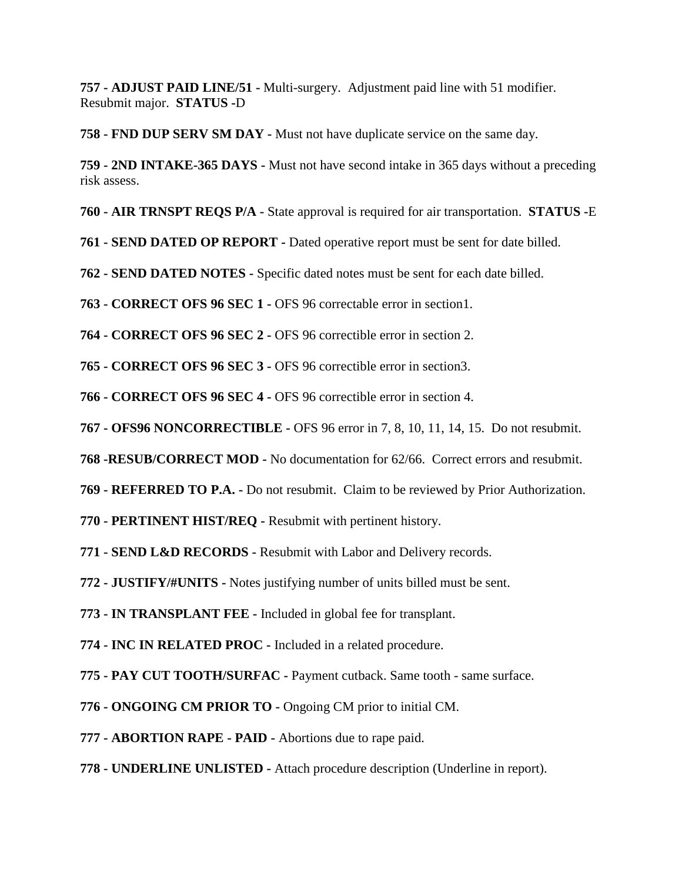**757 - ADJUST PAID LINE/51 -** Multi-surgery. Adjustment paid line with 51 modifier. Resubmit major. **STATUS -**D

**758 - FND DUP SERV SM DAY -** Must not have duplicate service on the same day.

**759 - 2ND INTAKE-365 DAYS -** Must not have second intake in 365 days without a preceding risk assess.

**760 - AIR TRNSPT REQS P/A -** State approval is required for air transportation. **STATUS -**E

**761 - SEND DATED OP REPORT -** Dated operative report must be sent for date billed.

**762 - SEND DATED NOTES -** Specific dated notes must be sent for each date billed.

**763 - CORRECT OFS 96 SEC 1 -** OFS 96 correctable error in section1.

**764 - CORRECT OFS 96 SEC 2 -** OFS 96 correctible error in section 2.

**765 - CORRECT OFS 96 SEC 3 -** OFS 96 correctible error in section3.

**766 - CORRECT OFS 96 SEC 4 -** OFS 96 correctible error in section 4.

**767 - OFS96 NONCORRECTIBLE -** OFS 96 error in 7, 8, 10, 11, 14, 15. Do not resubmit.

**768 -RESUB/CORRECT MOD -** No documentation for 62/66. Correct errors and resubmit.

**769 - REFERRED TO P.A. -** Do not resubmit. Claim to be reviewed by Prior Authorization.

**770 - PERTINENT HIST/REQ -** Resubmit with pertinent history.

**771 - SEND L&D RECORDS -** Resubmit with Labor and Delivery records.

**772 - JUSTIFY/#UNITS -** Notes justifying number of units billed must be sent.

**773 - IN TRANSPLANT FEE -** Included in global fee for transplant.

**774 - INC IN RELATED PROC -** Included in a related procedure.

**775 - PAY CUT TOOTH/SURFAC -** Payment cutback. Same tooth - same surface.

**776 - ONGOING CM PRIOR TO -** Ongoing CM prior to initial CM.

**777 - ABORTION RAPE - PAID -** Abortions due to rape paid.

**778 - UNDERLINE UNLISTED -** Attach procedure description (Underline in report).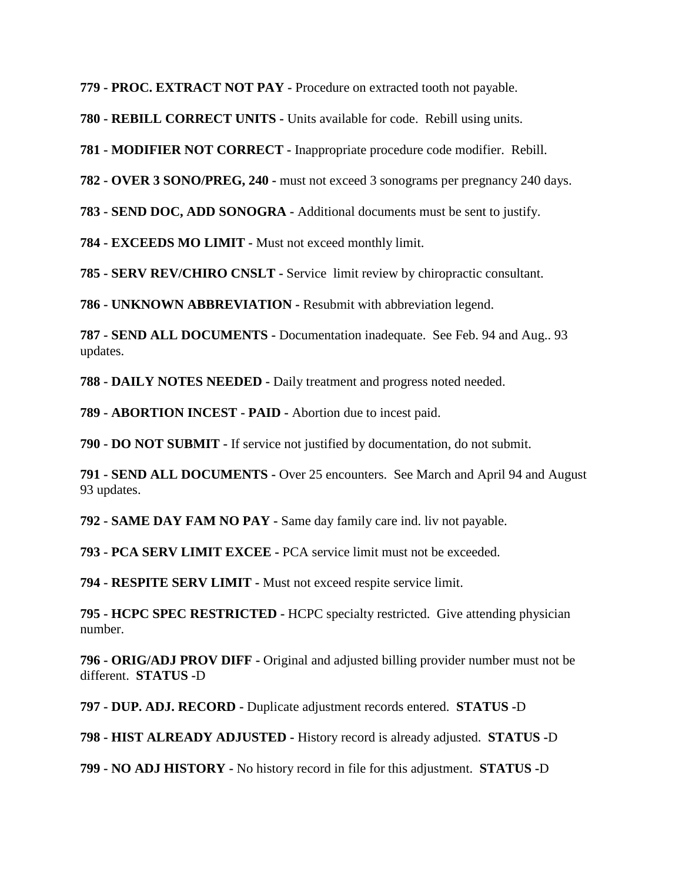**779 - PROC. EXTRACT NOT PAY -** Procedure on extracted tooth not payable.

**780 - REBILL CORRECT UNITS -** Units available for code. Rebill using units.

**781 - MODIFIER NOT CORRECT -** Inappropriate procedure code modifier. Rebill.

**782 - OVER 3 SONO/PREG, 240 -** must not exceed 3 sonograms per pregnancy 240 days.

**783 - SEND DOC, ADD SONOGRA -** Additional documents must be sent to justify.

**784 - EXCEEDS MO LIMIT -** Must not exceed monthly limit.

**785 - SERV REV/CHIRO CNSLT -** Service limit review by chiropractic consultant.

**786 - UNKNOWN ABBREVIATION -** Resubmit with abbreviation legend.

**787 - SEND ALL DOCUMENTS -** Documentation inadequate. See Feb. 94 and Aug.. 93 updates.

**788 - DAILY NOTES NEEDED -** Daily treatment and progress noted needed.

**789 - ABORTION INCEST - PAID -** Abortion due to incest paid.

**790 - DO NOT SUBMIT -** If service not justified by documentation, do not submit.

**791 - SEND ALL DOCUMENTS -** Over 25 encounters. See March and April 94 and August 93 updates.

**792 - SAME DAY FAM NO PAY -** Same day family care ind. liv not payable.

**793 - PCA SERV LIMIT EXCEE -** PCA service limit must not be exceeded.

**794 - RESPITE SERV LIMIT -** Must not exceed respite service limit.

**795 - HCPC SPEC RESTRICTED -** HCPC specialty restricted. Give attending physician number.

**796 - ORIG/ADJ PROV DIFF -** Original and adjusted billing provider number must not be different. **STATUS -**D

**797 - DUP. ADJ. RECORD -** Duplicate adjustment records entered. **STATUS -**D

**798 - HIST ALREADY ADJUSTED -** History record is already adjusted. **STATUS -**D

**799 - NO ADJ HISTORY -** No history record in file for this adjustment. **STATUS -**D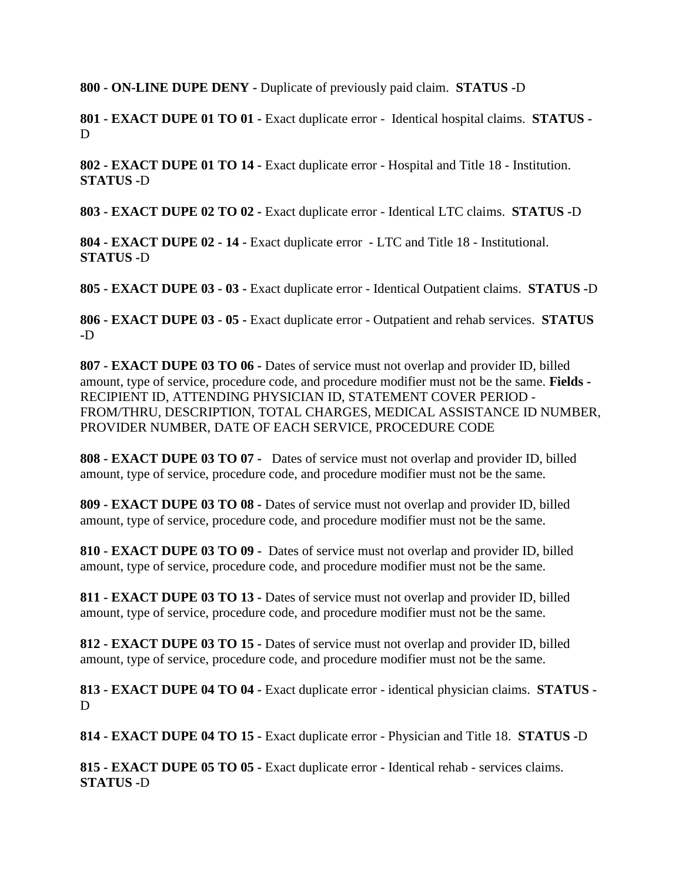**800 - ON-LINE DUPE DENY -** Duplicate of previously paid claim. **STATUS -**D

**801 - EXACT DUPE 01 TO 01 -** Exact duplicate error - Identical hospital claims. **STATUS -** D

**802 - EXACT DUPE 01 TO 14 -** Exact duplicate error - Hospital and Title 18 - Institution. **STATUS -**D

**803 - EXACT DUPE 02 TO 02 -** Exact duplicate error - Identical LTC claims. **STATUS -**D

**804 - EXACT DUPE 02 - 14 -** Exact duplicate error - LTC and Title 18 - Institutional. **STATUS -**D

**805 - EXACT DUPE 03 - 03 -** Exact duplicate error - Identical Outpatient claims. **STATUS -**D

**806 - EXACT DUPE 03 - 05 -** Exact duplicate error - Outpatient and rehab services. **STATUS -**D

**807 - EXACT DUPE 03 TO 06 -** Dates of service must not overlap and provider ID, billed amount, type of service, procedure code, and procedure modifier must not be the same. **Fields -** RECIPIENT ID, ATTENDING PHYSICIAN ID, STATEMENT COVER PERIOD - FROM/THRU, DESCRIPTION, TOTAL CHARGES, MEDICAL ASSISTANCE ID NUMBER, PROVIDER NUMBER, DATE OF EACH SERVICE, PROCEDURE CODE

**808 - EXACT DUPE 03 TO 07 -** Dates of service must not overlap and provider ID, billed amount, type of service, procedure code, and procedure modifier must not be the same.

**809 - EXACT DUPE 03 TO 08 -** Dates of service must not overlap and provider ID, billed amount, type of service, procedure code, and procedure modifier must not be the same.

**810 - EXACT DUPE 03 TO 09 -** Dates of service must not overlap and provider ID, billed amount, type of service, procedure code, and procedure modifier must not be the same.

**811 - EXACT DUPE 03 TO 13 -** Dates of service must not overlap and provider ID, billed amount, type of service, procedure code, and procedure modifier must not be the same.

**812 - EXACT DUPE 03 TO 15 -** Dates of service must not overlap and provider ID, billed amount, type of service, procedure code, and procedure modifier must not be the same.

**813 - EXACT DUPE 04 TO 04 -** Exact duplicate error - identical physician claims. **STATUS -** D

**814 - EXACT DUPE 04 TO 15 -** Exact duplicate error - Physician and Title 18. **STATUS -**D

**815 - EXACT DUPE 05 TO 05 -** Exact duplicate error - Identical rehab - services claims. **STATUS -**D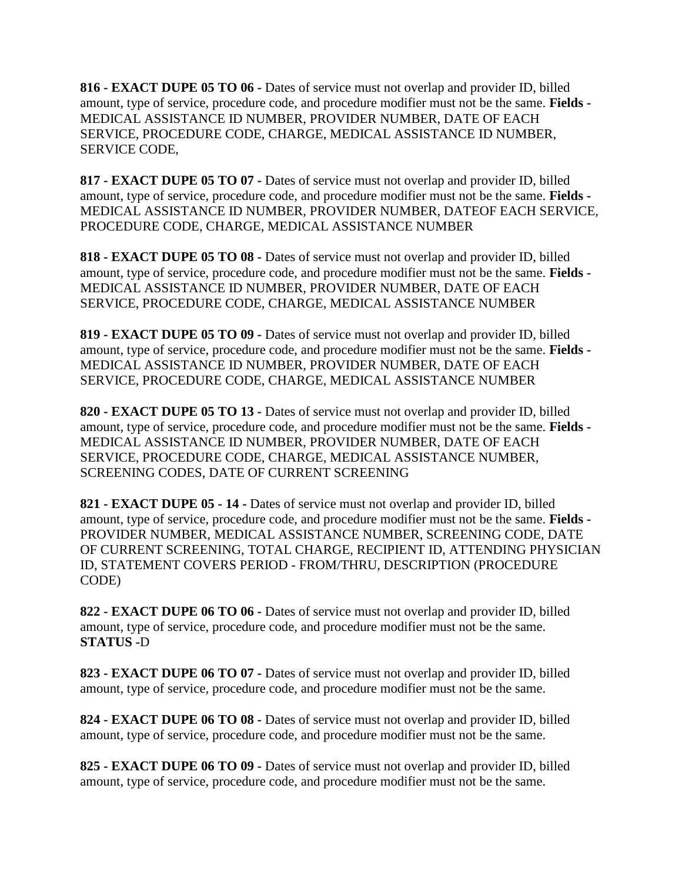**816 - EXACT DUPE 05 TO 06 -** Dates of service must not overlap and provider ID, billed amount, type of service, procedure code, and procedure modifier must not be the same. **Fields -** MEDICAL ASSISTANCE ID NUMBER, PROVIDER NUMBER, DATE OF EACH SERVICE, PROCEDURE CODE, CHARGE, MEDICAL ASSISTANCE ID NUMBER, SERVICE CODE,

**817 - EXACT DUPE 05 TO 07 -** Dates of service must not overlap and provider ID, billed amount, type of service, procedure code, and procedure modifier must not be the same. **Fields -** MEDICAL ASSISTANCE ID NUMBER, PROVIDER NUMBER, DATEOF EACH SERVICE, PROCEDURE CODE, CHARGE, MEDICAL ASSISTANCE NUMBER

**818 - EXACT DUPE 05 TO 08 -** Dates of service must not overlap and provider ID, billed amount, type of service, procedure code, and procedure modifier must not be the same. **Fields -** MEDICAL ASSISTANCE ID NUMBER, PROVIDER NUMBER, DATE OF EACH SERVICE, PROCEDURE CODE, CHARGE, MEDICAL ASSISTANCE NUMBER

**819 - EXACT DUPE 05 TO 09 -** Dates of service must not overlap and provider ID, billed amount, type of service, procedure code, and procedure modifier must not be the same. **Fields -** MEDICAL ASSISTANCE ID NUMBER, PROVIDER NUMBER, DATE OF EACH SERVICE, PROCEDURE CODE, CHARGE, MEDICAL ASSISTANCE NUMBER

**820 - EXACT DUPE 05 TO 13 -** Dates of service must not overlap and provider ID, billed amount, type of service, procedure code, and procedure modifier must not be the same. **Fields -** MEDICAL ASSISTANCE ID NUMBER, PROVIDER NUMBER, DATE OF EACH SERVICE, PROCEDURE CODE, CHARGE, MEDICAL ASSISTANCE NUMBER, SCREENING CODES, DATE OF CURRENT SCREENING

**821 - EXACT DUPE 05 - 14 -** Dates of service must not overlap and provider ID, billed amount, type of service, procedure code, and procedure modifier must not be the same. **Fields -** PROVIDER NUMBER, MEDICAL ASSISTANCE NUMBER, SCREENING CODE, DATE OF CURRENT SCREENING, TOTAL CHARGE, RECIPIENT ID, ATTENDING PHYSICIAN ID, STATEMENT COVERS PERIOD - FROM/THRU, DESCRIPTION (PROCEDURE CODE)

**822 - EXACT DUPE 06 TO 06 -** Dates of service must not overlap and provider ID, billed amount, type of service, procedure code, and procedure modifier must not be the same. **STATUS -**D

**823 - EXACT DUPE 06 TO 07 -** Dates of service must not overlap and provider ID, billed amount, type of service, procedure code, and procedure modifier must not be the same.

**824 - EXACT DUPE 06 TO 08 -** Dates of service must not overlap and provider ID, billed amount, type of service, procedure code, and procedure modifier must not be the same.

**825 - EXACT DUPE 06 TO 09 -** Dates of service must not overlap and provider ID, billed amount, type of service, procedure code, and procedure modifier must not be the same.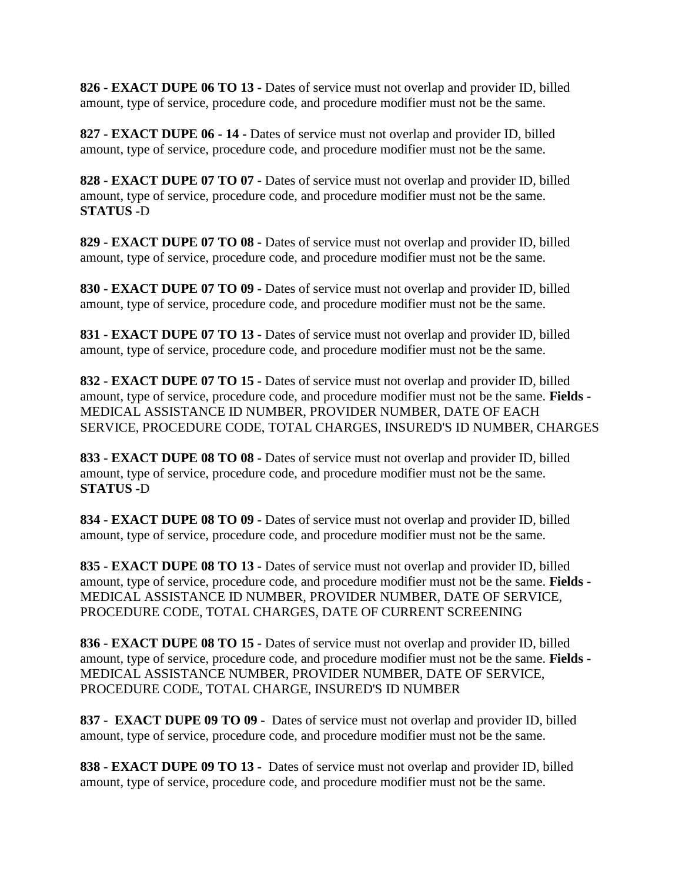**826 - EXACT DUPE 06 TO 13 -** Dates of service must not overlap and provider ID, billed amount, type of service, procedure code, and procedure modifier must not be the same.

**827 - EXACT DUPE 06 - 14 -** Dates of service must not overlap and provider ID, billed amount, type of service, procedure code, and procedure modifier must not be the same.

**828 - EXACT DUPE 07 TO 07 -** Dates of service must not overlap and provider ID, billed amount, type of service, procedure code, and procedure modifier must not be the same. **STATUS -**D

**829 - EXACT DUPE 07 TO 08 -** Dates of service must not overlap and provider ID, billed amount, type of service, procedure code, and procedure modifier must not be the same.

**830 - EXACT DUPE 07 TO 09 -** Dates of service must not overlap and provider ID, billed amount, type of service, procedure code, and procedure modifier must not be the same.

**831 - EXACT DUPE 07 TO 13 -** Dates of service must not overlap and provider ID, billed amount, type of service, procedure code, and procedure modifier must not be the same.

**832 - EXACT DUPE 07 TO 15 -** Dates of service must not overlap and provider ID, billed amount, type of service, procedure code, and procedure modifier must not be the same. **Fields -** MEDICAL ASSISTANCE ID NUMBER, PROVIDER NUMBER, DATE OF EACH SERVICE, PROCEDURE CODE, TOTAL CHARGES, INSURED'S ID NUMBER, CHARGES

**833 - EXACT DUPE 08 TO 08 -** Dates of service must not overlap and provider ID, billed amount, type of service, procedure code, and procedure modifier must not be the same. **STATUS -**D

**834 - EXACT DUPE 08 TO 09 -** Dates of service must not overlap and provider ID, billed amount, type of service, procedure code, and procedure modifier must not be the same.

**835 - EXACT DUPE 08 TO 13 -** Dates of service must not overlap and provider ID, billed amount, type of service, procedure code, and procedure modifier must not be the same. **Fields -** MEDICAL ASSISTANCE ID NUMBER, PROVIDER NUMBER, DATE OF SERVICE, PROCEDURE CODE, TOTAL CHARGES, DATE OF CURRENT SCREENING

**836 - EXACT DUPE 08 TO 15 -** Dates of service must not overlap and provider ID, billed amount, type of service, procedure code, and procedure modifier must not be the same. **Fields -** MEDICAL ASSISTANCE NUMBER, PROVIDER NUMBER, DATE OF SERVICE, PROCEDURE CODE, TOTAL CHARGE, INSURED'S ID NUMBER

**837 - EXACT DUPE 09 TO 09 -** Dates of service must not overlap and provider ID, billed amount, type of service, procedure code, and procedure modifier must not be the same.

**838 - EXACT DUPE 09 TO 13 -** Dates of service must not overlap and provider ID, billed amount, type of service, procedure code, and procedure modifier must not be the same.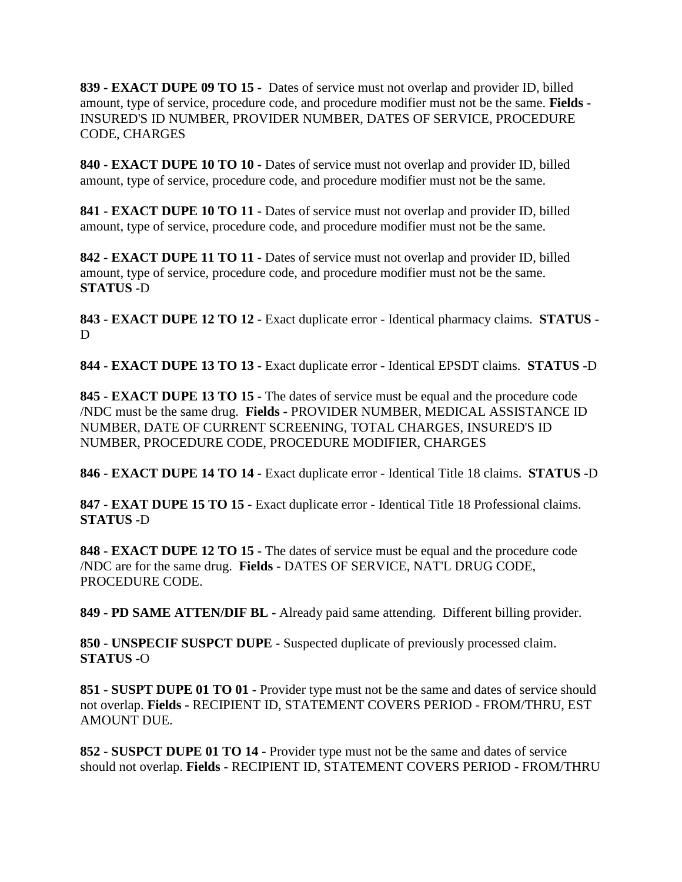**839 - EXACT DUPE 09 TO 15 -** Dates of service must not overlap and provider ID, billed amount, type of service, procedure code, and procedure modifier must not be the same. **Fields -** INSURED'S ID NUMBER, PROVIDER NUMBER, DATES OF SERVICE, PROCEDURE CODE, CHARGES

**840 - EXACT DUPE 10 TO 10 -** Dates of service must not overlap and provider ID, billed amount, type of service, procedure code, and procedure modifier must not be the same.

**841 - EXACT DUPE 10 TO 11 -** Dates of service must not overlap and provider ID, billed amount, type of service, procedure code, and procedure modifier must not be the same.

**842 - EXACT DUPE 11 TO 11 -** Dates of service must not overlap and provider ID, billed amount, type of service, procedure code, and procedure modifier must not be the same. **STATUS -**D

**843 - EXACT DUPE 12 TO 12 -** Exact duplicate error - Identical pharmacy claims. **STATUS -** D

**844 - EXACT DUPE 13 TO 13 -** Exact duplicate error - Identical EPSDT claims. **STATUS -**D

**845 - EXACT DUPE 13 TO 15 -** The dates of service must be equal and the procedure code /NDC must be the same drug. **Fields -** PROVIDER NUMBER, MEDICAL ASSISTANCE ID NUMBER, DATE OF CURRENT SCREENING, TOTAL CHARGES, INSURED'S ID NUMBER, PROCEDURE CODE, PROCEDURE MODIFIER, CHARGES

**846 - EXACT DUPE 14 TO 14 -** Exact duplicate error - Identical Title 18 claims. **STATUS -**D

**847 - EXAT DUPE 15 TO 15 -** Exact duplicate error - Identical Title 18 Professional claims. **STATUS -**D

**848 - EXACT DUPE 12 TO 15 -** The dates of service must be equal and the procedure code /NDC are for the same drug. **Fields -** DATES OF SERVICE, NAT'L DRUG CODE, PROCEDURE CODE.

**849 - PD SAME ATTEN/DIF BL -** Already paid same attending. Different billing provider.

**850 - UNSPECIF SUSPCT DUPE -** Suspected duplicate of previously processed claim. **STATUS -**O

**851 - SUSPT DUPE 01 TO 01 -** Provider type must not be the same and dates of service should not overlap. **Fields -** RECIPIENT ID, STATEMENT COVERS PERIOD - FROM/THRU, EST AMOUNT DUE.

**852 - SUSPCT DUPE 01 TO 14 -** Provider type must not be the same and dates of service should not overlap. **Fields -** RECIPIENT ID, STATEMENT COVERS PERIOD - FROM/THRU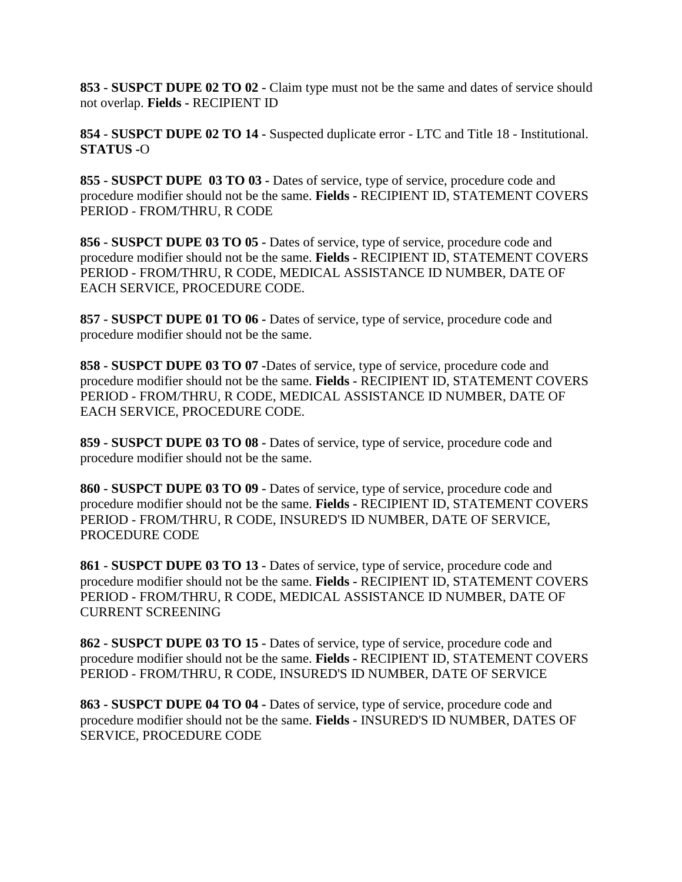**853 - SUSPCT DUPE 02 TO 02 -** Claim type must not be the same and dates of service should not overlap. **Fields -** RECIPIENT ID

**854 - SUSPCT DUPE 02 TO 14 -** Suspected duplicate error - LTC and Title 18 - Institutional. **STATUS -**O

**855 - SUSPCT DUPE 03 TO 03 -** Dates of service, type of service, procedure code and procedure modifier should not be the same. **Fields -** RECIPIENT ID, STATEMENT COVERS PERIOD - FROM/THRU, R CODE

**856 - SUSPCT DUPE 03 TO 05 -** Dates of service, type of service, procedure code and procedure modifier should not be the same. **Fields -** RECIPIENT ID, STATEMENT COVERS PERIOD - FROM/THRU, R CODE, MEDICAL ASSISTANCE ID NUMBER, DATE OF EACH SERVICE, PROCEDURE CODE.

**857 - SUSPCT DUPE 01 TO 06 -** Dates of service, type of service, procedure code and procedure modifier should not be the same.

**858 - SUSPCT DUPE 03 TO 07 -**Dates of service, type of service, procedure code and procedure modifier should not be the same. **Fields -** RECIPIENT ID, STATEMENT COVERS PERIOD - FROM/THRU, R CODE, MEDICAL ASSISTANCE ID NUMBER, DATE OF EACH SERVICE, PROCEDURE CODE.

**859 - SUSPCT DUPE 03 TO 08 -** Dates of service, type of service, procedure code and procedure modifier should not be the same.

**860 - SUSPCT DUPE 03 TO 09 -** Dates of service, type of service, procedure code and procedure modifier should not be the same. **Fields -** RECIPIENT ID, STATEMENT COVERS PERIOD - FROM/THRU, R CODE, INSURED'S ID NUMBER, DATE OF SERVICE, PROCEDURE CODE

**861 - SUSPCT DUPE 03 TO 13 -** Dates of service, type of service, procedure code and procedure modifier should not be the same. **Fields -** RECIPIENT ID, STATEMENT COVERS PERIOD - FROM/THRU, R CODE, MEDICAL ASSISTANCE ID NUMBER, DATE OF CURRENT SCREENING

**862 - SUSPCT DUPE 03 TO 15 -** Dates of service, type of service, procedure code and procedure modifier should not be the same. **Fields -** RECIPIENT ID, STATEMENT COVERS PERIOD - FROM/THRU, R CODE, INSURED'S ID NUMBER, DATE OF SERVICE

**863 - SUSPCT DUPE 04 TO 04 -** Dates of service, type of service, procedure code and procedure modifier should not be the same. **Fields -** INSURED'S ID NUMBER, DATES OF SERVICE, PROCEDURE CODE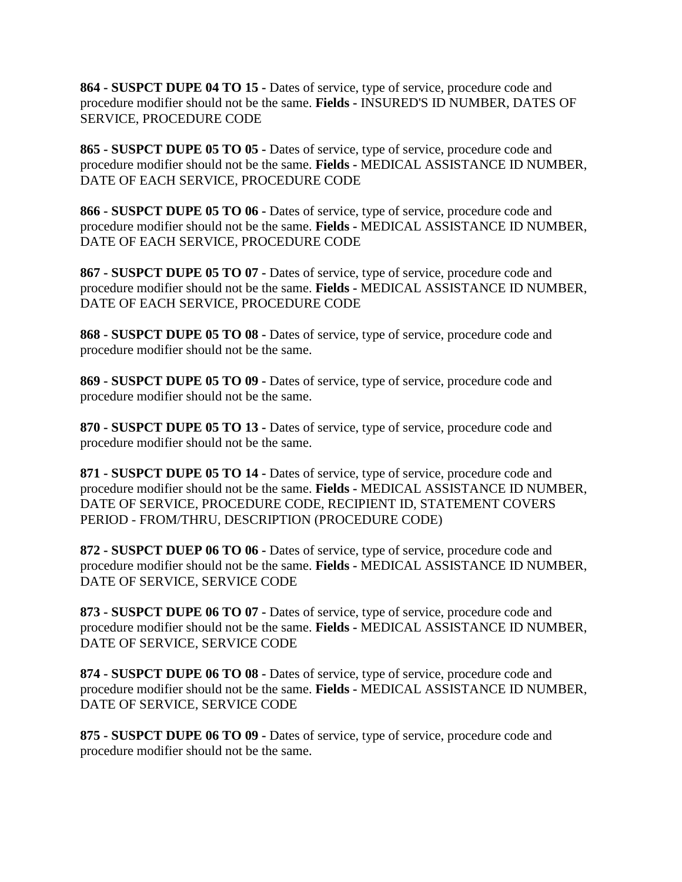**864 - SUSPCT DUPE 04 TO 15 -** Dates of service, type of service, procedure code and procedure modifier should not be the same. **Fields -** INSURED'S ID NUMBER, DATES OF SERVICE, PROCEDURE CODE

**865 - SUSPCT DUPE 05 TO 05 -** Dates of service, type of service, procedure code and procedure modifier should not be the same. **Fields -** MEDICAL ASSISTANCE ID NUMBER, DATE OF EACH SERVICE, PROCEDURE CODE

**866 - SUSPCT DUPE 05 TO 06 -** Dates of service, type of service, procedure code and procedure modifier should not be the same. **Fields -** MEDICAL ASSISTANCE ID NUMBER, DATE OF EACH SERVICE, PROCEDURE CODE

**867 - SUSPCT DUPE 05 TO 07 -** Dates of service, type of service, procedure code and procedure modifier should not be the same. **Fields -** MEDICAL ASSISTANCE ID NUMBER, DATE OF EACH SERVICE, PROCEDURE CODE

**868 - SUSPCT DUPE 05 TO 08 -** Dates of service, type of service, procedure code and procedure modifier should not be the same.

**869 - SUSPCT DUPE 05 TO 09 -** Dates of service, type of service, procedure code and procedure modifier should not be the same.

**870 - SUSPCT DUPE 05 TO 13 -** Dates of service, type of service, procedure code and procedure modifier should not be the same.

**871 - SUSPCT DUPE 05 TO 14 -** Dates of service, type of service, procedure code and procedure modifier should not be the same. **Fields -** MEDICAL ASSISTANCE ID NUMBER, DATE OF SERVICE, PROCEDURE CODE, RECIPIENT ID, STATEMENT COVERS PERIOD - FROM/THRU, DESCRIPTION (PROCEDURE CODE)

**872 - SUSPCT DUEP 06 TO 06 -** Dates of service, type of service, procedure code and procedure modifier should not be the same. **Fields -** MEDICAL ASSISTANCE ID NUMBER, DATE OF SERVICE, SERVICE CODE

**873 - SUSPCT DUPE 06 TO 07 -** Dates of service, type of service, procedure code and procedure modifier should not be the same. **Fields -** MEDICAL ASSISTANCE ID NUMBER, DATE OF SERVICE, SERVICE CODE

**874 - SUSPCT DUPE 06 TO 08 -** Dates of service, type of service, procedure code and procedure modifier should not be the same. **Fields -** MEDICAL ASSISTANCE ID NUMBER, DATE OF SERVICE, SERVICE CODE

**875 - SUSPCT DUPE 06 TO 09 -** Dates of service, type of service, procedure code and procedure modifier should not be the same.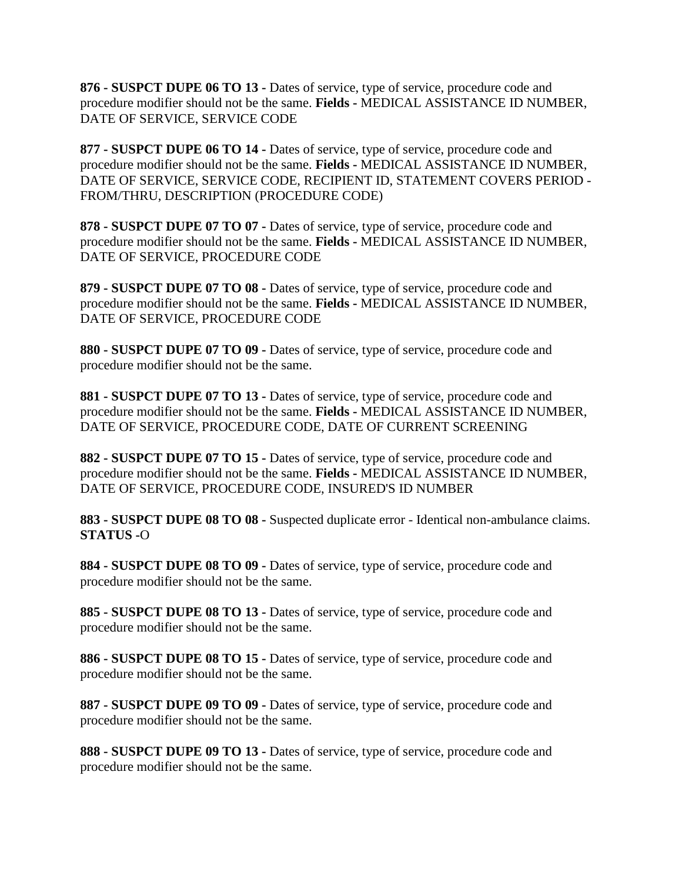**876 - SUSPCT DUPE 06 TO 13 -** Dates of service, type of service, procedure code and procedure modifier should not be the same. **Fields -** MEDICAL ASSISTANCE ID NUMBER, DATE OF SERVICE, SERVICE CODE

**877 - SUSPCT DUPE 06 TO 14 -** Dates of service, type of service, procedure code and procedure modifier should not be the same. **Fields -** MEDICAL ASSISTANCE ID NUMBER, DATE OF SERVICE, SERVICE CODE, RECIPIENT ID, STATEMENT COVERS PERIOD - FROM/THRU, DESCRIPTION (PROCEDURE CODE)

**878 - SUSPCT DUPE 07 TO 07 -** Dates of service, type of service, procedure code and procedure modifier should not be the same. **Fields -** MEDICAL ASSISTANCE ID NUMBER, DATE OF SERVICE, PROCEDURE CODE

**879 - SUSPCT DUPE 07 TO 08 -** Dates of service, type of service, procedure code and procedure modifier should not be the same. **Fields -** MEDICAL ASSISTANCE ID NUMBER, DATE OF SERVICE, PROCEDURE CODE

**880 - SUSPCT DUPE 07 TO 09 -** Dates of service, type of service, procedure code and procedure modifier should not be the same.

**881 - SUSPCT DUPE 07 TO 13 -** Dates of service, type of service, procedure code and procedure modifier should not be the same. **Fields -** MEDICAL ASSISTANCE ID NUMBER, DATE OF SERVICE, PROCEDURE CODE, DATE OF CURRENT SCREENING

**882 - SUSPCT DUPE 07 TO 15 -** Dates of service, type of service, procedure code and procedure modifier should not be the same. **Fields -** MEDICAL ASSISTANCE ID NUMBER, DATE OF SERVICE, PROCEDURE CODE, INSURED'S ID NUMBER

**883 - SUSPCT DUPE 08 TO 08 -** Suspected duplicate error - Identical non-ambulance claims. **STATUS -**O

**884 - SUSPCT DUPE 08 TO 09 -** Dates of service, type of service, procedure code and procedure modifier should not be the same.

**885 - SUSPCT DUPE 08 TO 13 -** Dates of service, type of service, procedure code and procedure modifier should not be the same.

**886 - SUSPCT DUPE 08 TO 15 -** Dates of service, type of service, procedure code and procedure modifier should not be the same.

**887 - SUSPCT DUPE 09 TO 09 -** Dates of service, type of service, procedure code and procedure modifier should not be the same.

**888 - SUSPCT DUPE 09 TO 13 -** Dates of service, type of service, procedure code and procedure modifier should not be the same.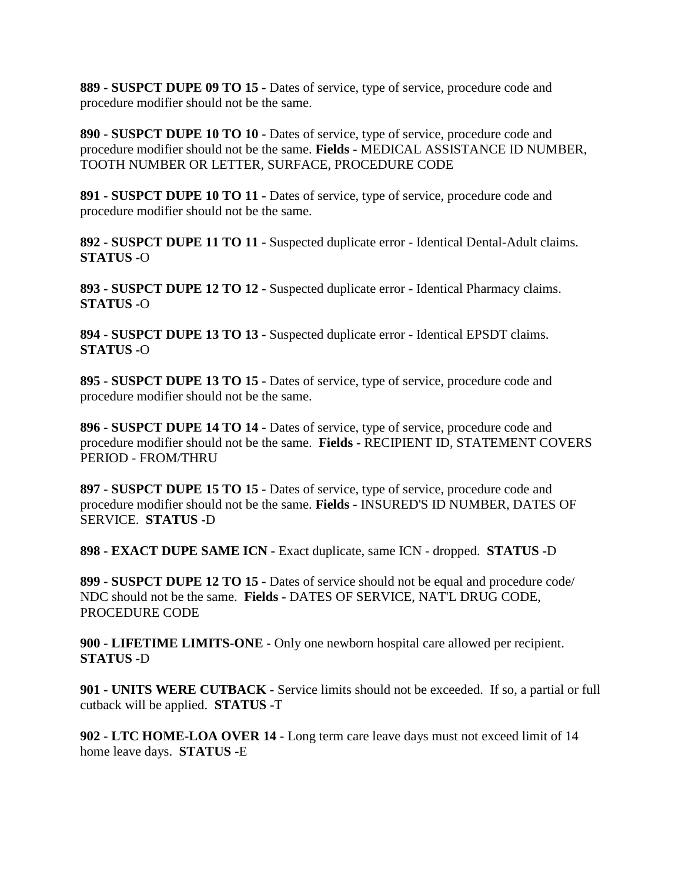**889 - SUSPCT DUPE 09 TO 15 -** Dates of service, type of service, procedure code and procedure modifier should not be the same.

**890 - SUSPCT DUPE 10 TO 10 -** Dates of service, type of service, procedure code and procedure modifier should not be the same. **Fields -** MEDICAL ASSISTANCE ID NUMBER, TOOTH NUMBER OR LETTER, SURFACE, PROCEDURE CODE

**891 - SUSPCT DUPE 10 TO 11 -** Dates of service, type of service, procedure code and procedure modifier should not be the same.

**892 - SUSPCT DUPE 11 TO 11 -** Suspected duplicate error - Identical Dental-Adult claims. **STATUS -**O

**893 - SUSPCT DUPE 12 TO 12 -** Suspected duplicate error - Identical Pharmacy claims. **STATUS -**O

**894 - SUSPCT DUPE 13 TO 13 -** Suspected duplicate error - Identical EPSDT claims. **STATUS -**O

**895 - SUSPCT DUPE 13 TO 15 -** Dates of service, type of service, procedure code and procedure modifier should not be the same.

**896 - SUSPCT DUPE 14 TO 14 -** Dates of service, type of service, procedure code and procedure modifier should not be the same. **Fields -** RECIPIENT ID, STATEMENT COVERS PERIOD - FROM/THRU

**897 - SUSPCT DUPE 15 TO 15 -** Dates of service, type of service, procedure code and procedure modifier should not be the same. **Fields -** INSURED'S ID NUMBER, DATES OF SERVICE. **STATUS -**D

**898 - EXACT DUPE SAME ICN -** Exact duplicate, same ICN - dropped. **STATUS -**D

**899 - SUSPCT DUPE 12 TO 15 -** Dates of service should not be equal and procedure code/ NDC should not be the same. **Fields -** DATES OF SERVICE, NAT'L DRUG CODE, PROCEDURE CODE

**900 - LIFETIME LIMITS-ONE -** Only one newborn hospital care allowed per recipient. **STATUS -**D

**901 - UNITS WERE CUTBACK -** Service limits should not be exceeded. If so, a partial or full cutback will be applied. **STATUS -**T

**902 - LTC HOME-LOA OVER 14 -** Long term care leave days must not exceed limit of 14 home leave days. **STATUS -**E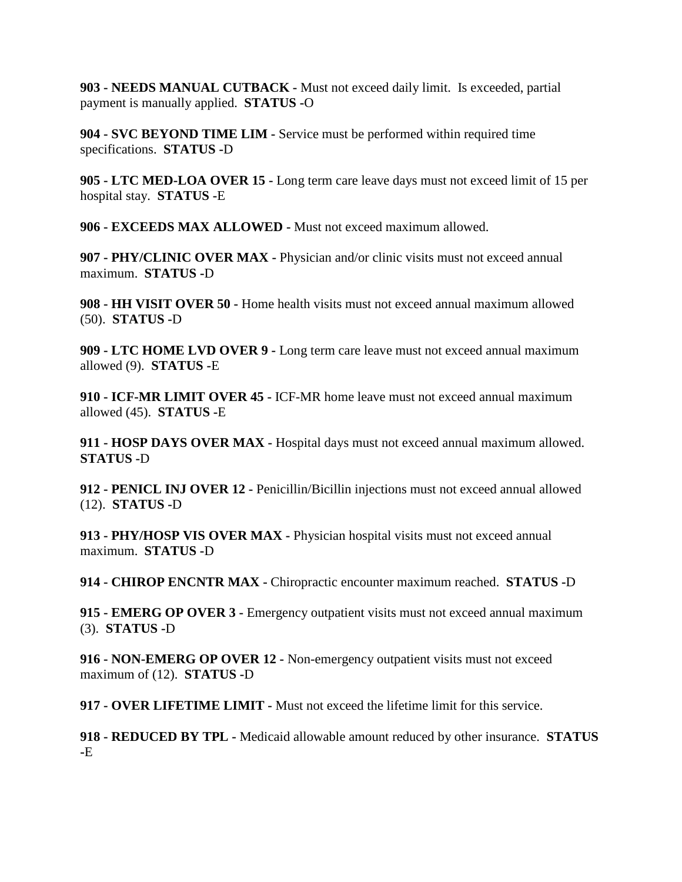**903 - NEEDS MANUAL CUTBACK -** Must not exceed daily limit. Is exceeded, partial payment is manually applied. **STATUS -**O

**904 - SVC BEYOND TIME LIM -** Service must be performed within required time specifications. **STATUS -**D

**905 - LTC MED-LOA OVER 15 -** Long term care leave days must not exceed limit of 15 per hospital stay. **STATUS -**E

**906 - EXCEEDS MAX ALLOWED -** Must not exceed maximum allowed.

**907 - PHY/CLINIC OVER MAX -** Physician and/or clinic visits must not exceed annual maximum. **STATUS -**D

**908 - HH VISIT OVER 50 -** Home health visits must not exceed annual maximum allowed (50). **STATUS -**D

**909 - LTC HOME LVD OVER 9 -** Long term care leave must not exceed annual maximum allowed (9). **STATUS -**E

**910 - ICF-MR LIMIT OVER 45 -** ICF-MR home leave must not exceed annual maximum allowed (45). **STATUS -**E

**911 - HOSP DAYS OVER MAX -** Hospital days must not exceed annual maximum allowed. **STATUS -**D

**912 - PENICL INJ OVER 12 -** Penicillin/Bicillin injections must not exceed annual allowed (12). **STATUS -**D

**913 - PHY/HOSP VIS OVER MAX -** Physician hospital visits must not exceed annual maximum. **STATUS -**D

**914 - CHIROP ENCNTR MAX -** Chiropractic encounter maximum reached. **STATUS -**D

**915 - EMERG OP OVER 3 -** Emergency outpatient visits must not exceed annual maximum (3). **STATUS -**D

**916 - NON-EMERG OP OVER 12 -** Non-emergency outpatient visits must not exceed maximum of (12). **STATUS -**D

**917 - OVER LIFETIME LIMIT -** Must not exceed the lifetime limit for this service.

**918 - REDUCED BY TPL -** Medicaid allowable amount reduced by other insurance. **STATUS -**E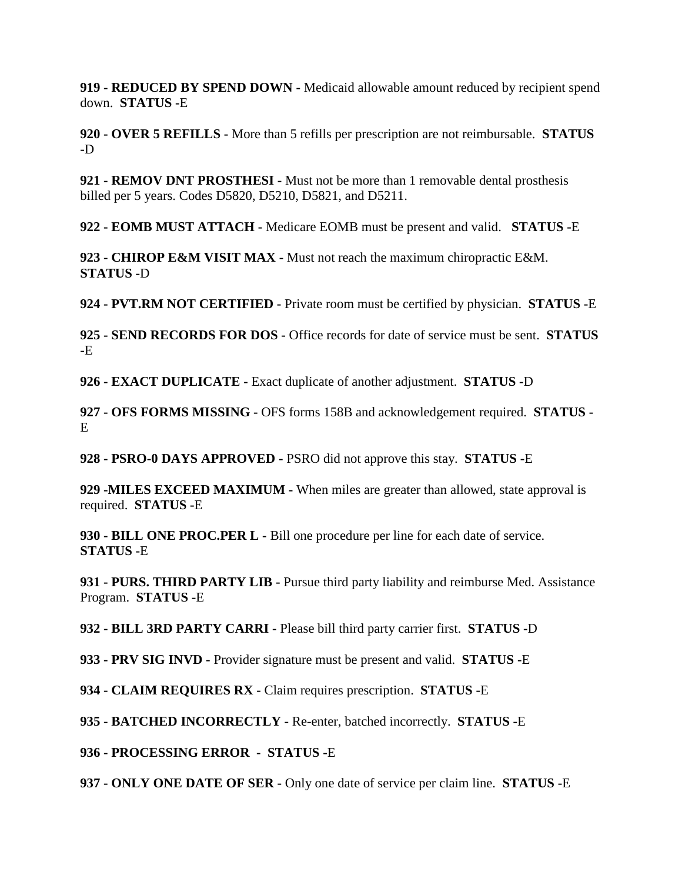**919 - REDUCED BY SPEND DOWN -** Medicaid allowable amount reduced by recipient spend down. **STATUS -**E

**920 - OVER 5 REFILLS -** More than 5 refills per prescription are not reimbursable. **STATUS -**D

**921 - REMOV DNT PROSTHESI -** Must not be more than 1 removable dental prosthesis billed per 5 years. Codes D5820, D5210, D5821, and D5211.

**922 - EOMB MUST ATTACH -** Medicare EOMB must be present and valid. **STATUS -**E

**923 - CHIROP E&M VISIT MAX -** Must not reach the maximum chiropractic E&M. **STATUS -**D

**924 - PVT.RM NOT CERTIFIED -** Private room must be certified by physician. **STATUS -**E

**925 - SEND RECORDS FOR DOS -** Office records for date of service must be sent. **STATUS -**E

**926 - EXACT DUPLICATE -** Exact duplicate of another adjustment. **STATUS -**D

**927 - OFS FORMS MISSING -** OFS forms 158B and acknowledgement required. **STATUS -**  $E$ 

**928 - PSRO-0 DAYS APPROVED -** PSRO did not approve this stay. **STATUS -**E

**929 -MILES EXCEED MAXIMUM -** When miles are greater than allowed, state approval is required. **STATUS -**E

**930 - BILL ONE PROC.PER L -** Bill one procedure per line for each date of service. **STATUS -**E

**931 - PURS. THIRD PARTY LIB -** Pursue third party liability and reimburse Med. Assistance Program. **STATUS -**E

**932 - BILL 3RD PARTY CARRI -** Please bill third party carrier first. **STATUS -**D

**933 - PRV SIG INVD -** Provider signature must be present and valid. **STATUS -**E

**934 - CLAIM REQUIRES RX -** Claim requires prescription. **STATUS -**E

**935 - BATCHED INCORRECTLY -** Re-enter, batched incorrectly. **STATUS -**E

**936 - PROCESSING ERROR - STATUS -**E

**937 - ONLY ONE DATE OF SER -** Only one date of service per claim line. **STATUS -**E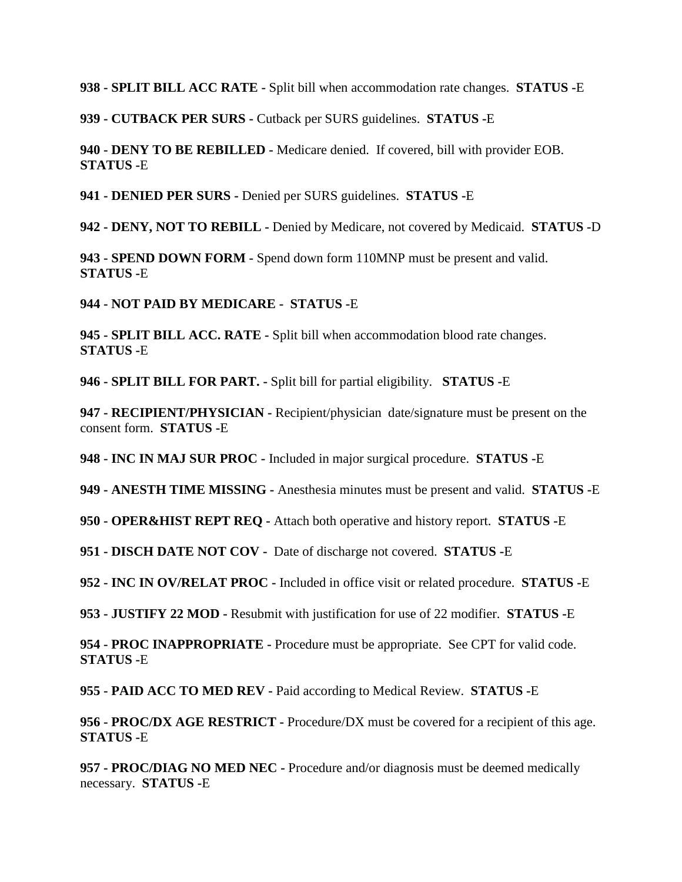**938 - SPLIT BILL ACC RATE -** Split bill when accommodation rate changes. **STATUS -**E

**939 - CUTBACK PER SURS -** Cutback per SURS guidelines. **STATUS -**E

**940 - DENY TO BE REBILLED -** Medicare denied. If covered, bill with provider EOB. **STATUS -**E

**941 - DENIED PER SURS -** Denied per SURS guidelines. **STATUS -**E

**942 - DENY, NOT TO REBILL -** Denied by Medicare, not covered by Medicaid. **STATUS -**D

**943 - SPEND DOWN FORM -** Spend down form 110MNP must be present and valid. **STATUS -**E

**944 - NOT PAID BY MEDICARE - STATUS -**E

**945 - SPLIT BILL ACC. RATE -** Split bill when accommodation blood rate changes. **STATUS -**E

**946 - SPLIT BILL FOR PART. -** Split bill for partial eligibility. **STATUS -**E

**947 - RECIPIENT/PHYSICIAN -** Recipient/physician date/signature must be present on the consent form. **STATUS -**E

**948 - INC IN MAJ SUR PROC -** Included in major surgical procedure. **STATUS -**E

**949 - ANESTH TIME MISSING -** Anesthesia minutes must be present and valid. **STATUS -**E

**950 - OPER&HIST REPT REQ -** Attach both operative and history report. **STATUS -**E

**951 - DISCH DATE NOT COV -** Date of discharge not covered. **STATUS -**E

**952 - INC IN OV/RELAT PROC -** Included in office visit or related procedure. **STATUS -**E

**953 - JUSTIFY 22 MOD -** Resubmit with justification for use of 22 modifier. **STATUS -**E

**954 - PROC INAPPROPRIATE -** Procedure must be appropriate. See CPT for valid code. **STATUS -**E

**955 - PAID ACC TO MED REV -** Paid according to Medical Review. **STATUS -**E

**956 - PROC/DX AGE RESTRICT -** Procedure/DX must be covered for a recipient of this age. **STATUS -**E

**957 - PROC/DIAG NO MED NEC -** Procedure and/or diagnosis must be deemed medically necessary. **STATUS -**E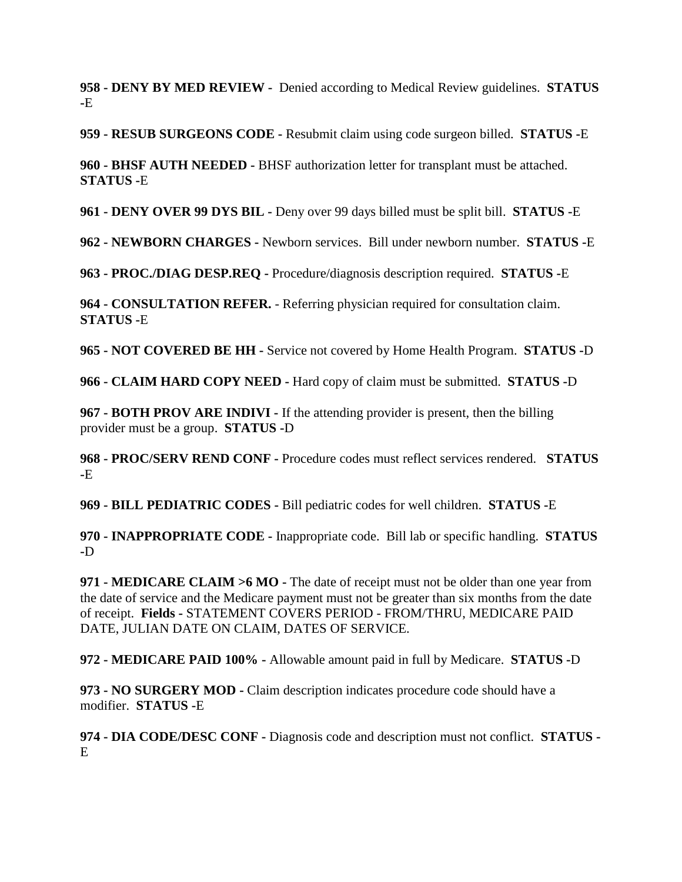**958 - DENY BY MED REVIEW -** Denied according to Medical Review guidelines. **STATUS -**E

**959 - RESUB SURGEONS CODE -** Resubmit claim using code surgeon billed. **STATUS -**E

**960 - BHSF AUTH NEEDED -** BHSF authorization letter for transplant must be attached. **STATUS -**E

**961 - DENY OVER 99 DYS BIL -** Deny over 99 days billed must be split bill. **STATUS -**E

**962 - NEWBORN CHARGES -** Newborn services. Bill under newborn number. **STATUS -**E

**963 - PROC./DIAG DESP.REQ -** Procedure/diagnosis description required. **STATUS -**E

**964 - CONSULTATION REFER.** - Referring physician required for consultation claim. **STATUS -**E

**965 - NOT COVERED BE HH -** Service not covered by Home Health Program. **STATUS -**D

**966 - CLAIM HARD COPY NEED -** Hard copy of claim must be submitted. **STATUS -**D

**967 - BOTH PROV ARE INDIVI -** If the attending provider is present, then the billing provider must be a group. **STATUS -**D

**968 - PROC/SERV REND CONF -** Procedure codes must reflect services rendered. **STATUS -**E

**969 - BILL PEDIATRIC CODES -** Bill pediatric codes for well children. **STATUS -**E

**970 - INAPPROPRIATE CODE -** Inappropriate code. Bill lab or specific handling. **STATUS -**D

**971 - MEDICARE CLAIM >6 MO -** The date of receipt must not be older than one year from the date of service and the Medicare payment must not be greater than six months from the date of receipt. **Fields -** STATEMENT COVERS PERIOD - FROM/THRU, MEDICARE PAID DATE, JULIAN DATE ON CLAIM, DATES OF SERVICE.

**972 - MEDICARE PAID 100% -** Allowable amount paid in full by Medicare. **STATUS -**D

**973 - NO SURGERY MOD -** Claim description indicates procedure code should have a modifier. **STATUS -**E

**974 - DIA CODE/DESC CONF -** Diagnosis code and description must not conflict. **STATUS -** E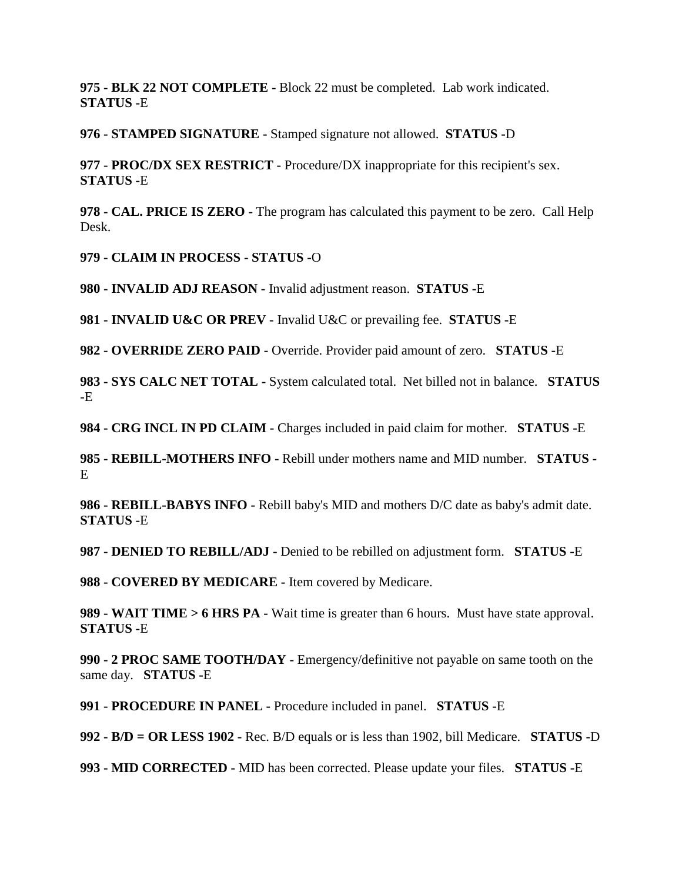**975 - BLK 22 NOT COMPLETE -** Block 22 must be completed. Lab work indicated. **STATUS -**E

**976 - STAMPED SIGNATURE -** Stamped signature not allowed. **STATUS -**D

**977 - PROC/DX SEX RESTRICT -** Procedure/DX inappropriate for this recipient's sex. **STATUS -**E

**978 - CAL. PRICE IS ZERO -** The program has calculated this payment to be zero. Call Help Desk.

**979 - CLAIM IN PROCESS - STATUS -**O

**980 - INVALID ADJ REASON -** Invalid adjustment reason. **STATUS -**E

**981 - INVALID U&C OR PREV -** Invalid U&C or prevailing fee. **STATUS -**E

**982 - OVERRIDE ZERO PAID -** Override. Provider paid amount of zero. **STATUS -**E

**983 - SYS CALC NET TOTAL -** System calculated total. Net billed not in balance. **STATUS -**E

**984 - CRG INCL IN PD CLAIM -** Charges included in paid claim for mother. **STATUS -**E

**985 - REBILL-MOTHERS INFO -** Rebill under mothers name and MID number. **STATUS -** E

**986 - REBILL-BABYS INFO -** Rebill baby's MID and mothers D/C date as baby's admit date. **STATUS -**E

**987 - DENIED TO REBILL/ADJ -** Denied to be rebilled on adjustment form. **STATUS -**E

**988 - COVERED BY MEDICARE -** Item covered by Medicare.

**989 - WAIT TIME > 6 HRS PA -** Wait time is greater than 6 hours. Must have state approval. **STATUS -**E

**990 - 2 PROC SAME TOOTH/DAY -** Emergency/definitive not payable on same tooth on the same day. **STATUS -**E

**991 - PROCEDURE IN PANEL -** Procedure included in panel. **STATUS -**E

**992 - B/D = OR LESS 1902 -** Rec. B/D equals or is less than 1902, bill Medicare. **STATUS -**D

**993 - MID CORRECTED -** MID has been corrected. Please update your files. **STATUS -**E